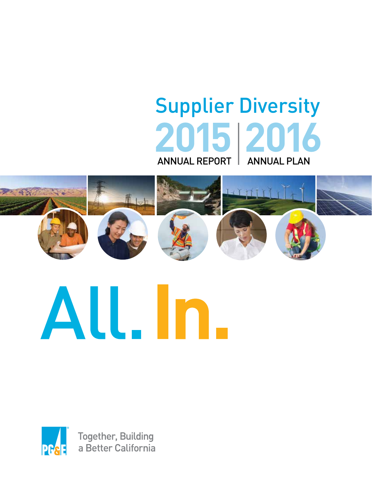# Supplier Diversity **2015 2016** ANNUAL REPORT | ANNUAL PLAN





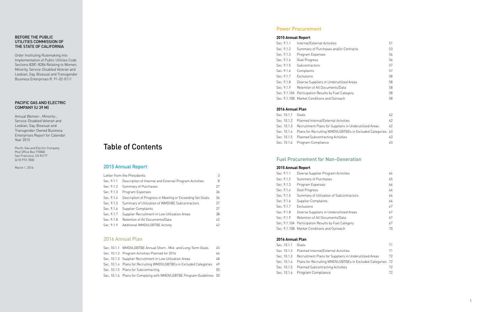#### BEFORE THE PUBLIC UTILITIES COMMISSION OF THE STATE OF CALIFORNIA

Order Instituting Rulemaking into Implementation of Public Utilities Code Sections 8281-8286 Relating to Women, Minority, Service-Disabled Veteran and Lesbian, Gay, Bisexual and Transgender Business Enterprises R. 91-02-0111

#### PACIFIC GAS AND ELECTRIC COMPANY (U 39 M)

Annual Women-, Minority-, Service-Disabled Veteran and Lesbian, Gay, Bisexual and Transgender-Owned Business Enterprises Report for Calendar Year 2015

Pacific Gas and Electric Company Post Office Box 770000 San Francisco, CA 94177 (415) 973-7000

March 1, 2016

## Table of Contents

### 2015 Annual Report

|            | Letter from the Presidents                                | 3  |
|------------|-----------------------------------------------------------|----|
| Sec. 9.1.1 | Description of Internal and External Program Activities   | 8  |
| Sec. 9.1.2 | Summary of Purchases                                      | 27 |
| Sec. 9.1.3 | Program Expenses                                          | 36 |
| Sec. 9.1.4 | Description of Progress in Meeting or Exceeding Set Goals | 36 |
| Sec. 9.1.5 | Summary of Utilization of WMDVBE Subcontractors           | 37 |
| Sec. 9.1.6 | Supplier Complaints                                       | 37 |
| Sec. 9.1.7 | Supplier Recruitment in Low Utilization Areas             | 38 |
| Sec. 9.1.8 | Retention of All Documents/Data                           | 42 |
| Sec. 9.1.9 | Additional WMDVLGBTBE Activity                            | 42 |

### 2016 Annual Plan

| Sec. 10.1.1 WMDVLGBTBE Annual Short-, Mid- and Long-Term Goals        | 45  |
|-----------------------------------------------------------------------|-----|
| Sec. 10.1.2 Program Activities Planned for 2016                       | 46  |
| Sec. 10.1.3 Supplier Recruitment in Low Utilization Areas             | 48  |
| Sec. 10.1.4 Plans for Recruiting WMDVLGBTBEs in Excluded Categories   | 49  |
| Sec. 10.1.5 Plans for Subcontracting                                  | 50. |
| Sec. 10.1.6 Plans for Complying with WMDVLGBTBE Program Guidelines 50 |     |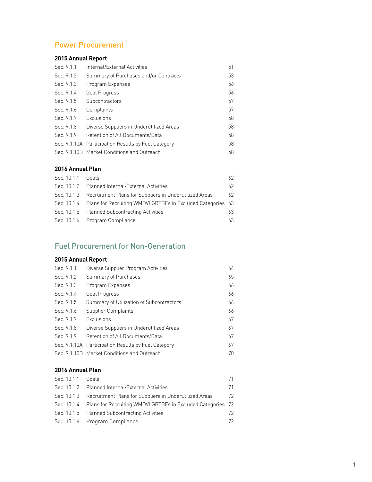## Power Procurement

### **2015 Annual Report**

| Sec. 9.1.1 | Internal/External Activities                        | 51 |
|------------|-----------------------------------------------------|----|
| Sec. 9.1.2 | Summary of Purchases and/or Contracts               | 53 |
| Sec. 9.1.3 | Program Expenses                                    | 56 |
| Sec. 9.1.4 | Goal Progress                                       | 56 |
| Sec. 9.1.5 | Subcontractors                                      | 57 |
| Sec. 9.1.6 | Complaints                                          | 57 |
| Sec. 9.1.7 | Exclusions                                          | 58 |
| Sec. 9.1.8 | Diverse Suppliers in Underutilized Areas            | 58 |
| Sec. 9.1.9 | Retention of All Documents/Data                     | 58 |
|            | Sec. 9.1.10A Participation Results by Fuel Category | 58 |
|            | Sec. 9.1.10B Market Conditions and Outreach         | 58 |

#### **2016 Annual Plan**

| Sec. 10.1.1 Goals |                                                                        | 62 |
|-------------------|------------------------------------------------------------------------|----|
|                   | Sec. 10.1.2 Planned Internal/External Activities                       | 62 |
|                   | Sec. 10.1.3 Recruitment Plans for Suppliers in Underutilized Areas     | 62 |
|                   | Sec. 10.1.4 Plans for Recruiting WMDVLGBTBEs in Excluded Categories 63 |    |
|                   | Sec. 10.1.5 Planned Subcontracting Activities                          | 63 |
|                   | Sec. 10.1.6 Program Compliance                                         | 63 |
|                   |                                                                        |    |

## Fuel Procurement for Non-Generation

#### **2015 Annual Report**

| Sec. 9.1.1 | Diverse Supplier Program Activities                 | 64 |
|------------|-----------------------------------------------------|----|
| Sec. 9.1.2 | Summary of Purchases                                | 65 |
| Sec. 9.1.3 | Program Expenses                                    | 66 |
| Sec. 9.1.4 | Goal Progress                                       | 66 |
| Sec. 9.1.5 | Summary of Utilization of Subcontractors            | 66 |
| Sec. 9.1.6 | Supplier Complaints                                 | 66 |
| Sec. 9.1.7 | Exclusions                                          | 67 |
| Sec. 9.1.8 | Diverse Suppliers in Underutilized Areas            | 67 |
| Sec. 9.1.9 | Retention of All Documents/Data                     | 67 |
|            | Sec. 9.1.10A Participation Results by Fuel Category | 67 |
|            | Sec. 9.1.10B Market Conditions and Outreach         | 70 |
|            |                                                     |    |

#### **2016 Annual Plan**

| Sec. 10.1.1 Goals |                                                                        | 71 |
|-------------------|------------------------------------------------------------------------|----|
|                   | Sec. 10.1.2 Planned Internal/External Activities                       | 71 |
|                   | Sec. 10.1.3 Recruitment Plans for Suppliers in Underutilized Areas     | 72 |
|                   | Sec. 10.1.4 Plans for Recruiting WMDVLGBTBEs in Excluded Categories 72 |    |
|                   | Sec. 10.1.5 Planned Subcontracting Activities                          | 72 |
|                   | Sec. 10.1.6 Program Compliance                                         | 72 |
|                   |                                                                        |    |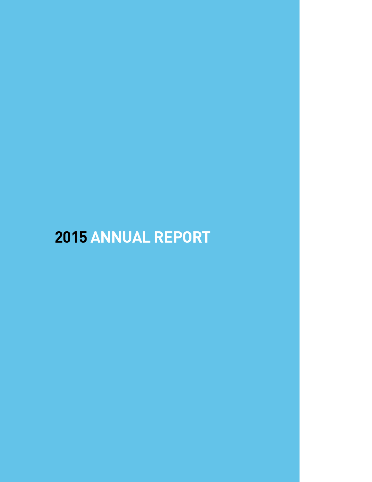# **ANNUAL REPORT**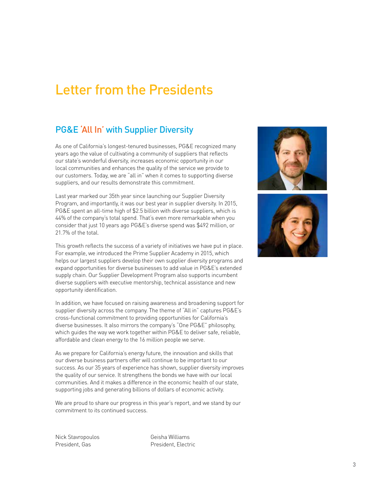## Letter from the Presidents

## PG&E 'All In' with Supplier Diversity

As one of California's longest-tenured businesses, PG&E recognized many years ago the value of cultivating a community of suppliers that reflects our state's wonderful diversity, increases economic opportunity in our local communities and enhances the quality of the service we provide to our customers. Today, we are "all in" when it comes to supporting diverse suppliers, and our results demonstrate this commitment.

Last year marked our 35th year since launching our Supplier Diversity Program, and importantly, it was our best year in supplier diversity. In 2015, PG&E spent an all-time high of \$2.5 billion with diverse suppliers, which is 44% of the company's total spend. That's even more remarkable when you consider that just 10 years ago PG&E's diverse spend was \$492 million, or 21.7% of the total.

This growth reflects the success of a variety of initiatives we have put in place. For example, we introduced the Prime Supplier Academy in 2015, which helps our largest suppliers develop their own supplier diversity programs and expand opportunities for diverse businesses to add value in PG&E's extended supply chain. Our Supplier Development Program also supports incumbent diverse suppliers with executive mentorship, technical assistance and new opportunity identification.

In addition, we have focused on raising awareness and broadening support for supplier diversity across the company. The theme of "All in" captures PG&E's cross-functional commitment to providing opportunities for California's diverse businesses. It also mirrors the company's "One PG&E" philosophy, which guides the way we work together within PG&E to deliver safe, reliable, affordable and clean energy to the 16 million people we serve.

As we prepare for California's energy future, the innovation and skills that our diverse business partners offer will continue to be important to our success. As our 35 years of experience has shown, supplier diversity improves the quality of our service. It strengthens the bonds we have with our local communities. And it makes a difference in the economic health of our state, supporting jobs and generating billions of dollars of economic activity.

We are proud to share our progress in this year's report, and we stand by our commitment to its continued success.

Nick Stavropoulos President, Gas

Geisha Williams President, Electric



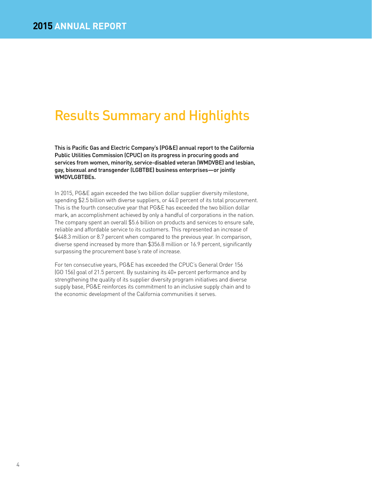## Results Summary and Highlights

This is Pacific Gas and Electric Company's (PG&E) annual report to the California Public Utilities Commission (CPUC) on its progress in procuring goods and services from women, minority, service-disabled veteran (WMDVBE) and lesbian, gay, bisexual and transgender (LGBTBE) business enterprises—or jointly WMDVLGBTBEs.

In 2015, PG&E again exceeded the two billion dollar supplier diversity milestone, spending \$2.5 billion with diverse suppliers, or 44.0 percent of its total procurement. This is the fourth consecutive year that PG&E has exceeded the two billion dollar mark, an accomplishment achieved by only a handful of corporations in the nation. The company spent an overall \$5.6 billion on products and services to ensure safe, reliable and affordable service to its customers. This represented an increase of \$448.3 million or 8.7 percent when compared to the previous year. In comparison, diverse spend increased by more than \$356.8 million or 16.9 percent, significantly surpassing the procurement base's rate of increase.

For ten consecutive years, PG&E has exceeded the CPUC's General Order 156 (GO 156) goal of 21.5 percent. By sustaining its 40+ percent performance and by strengthening the quality of its supplier diversity program initiatives and diverse supply base, PG&E reinforces its commitment to an inclusive supply chain and to the economic development of the California communities it serves.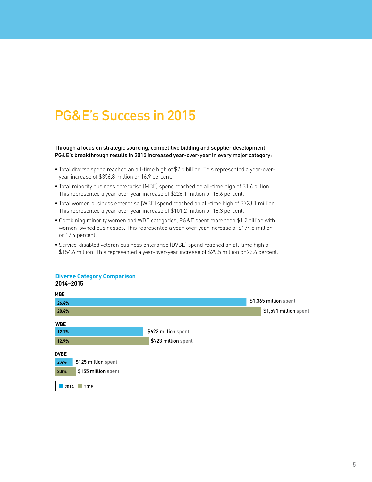## PG&E's Success in 2015

Through a focus on strategic sourcing, competitive bidding and supplier development, PG&E's breakthrough results in 2015 increased year-over-year in every major category:

- Total diverse spend reached an all-time high of \$2.5 billion. This represented a year-overyear increase of \$356.8 million or 16.9 percent.
- Total minority business enterprise (MBE) spend reached an all-time high of \$1.6 billion. This represented a year-over-year increase of \$226.1 million or 16.6 percent.
- Total women business enterprise (WBE) spend reached an all-time high of \$723.1 million. This represented a year-over-year increase of \$101.2 million or 16.3 percent.
- Combining minority women and WBE categories, PG&E spent more than \$1.2 billion with women-owned businesses. This represented a year-over-year increase of \$174.8 million or 17.4 percent.
- Service-disabled veteran business enterprise (DVBE) spend reached an all-time high of \$154.6 million. This represented a year-over-year increase of \$29.5 million or 23.6 percent.

#### **Diverse Category Comparison 2014–2015**

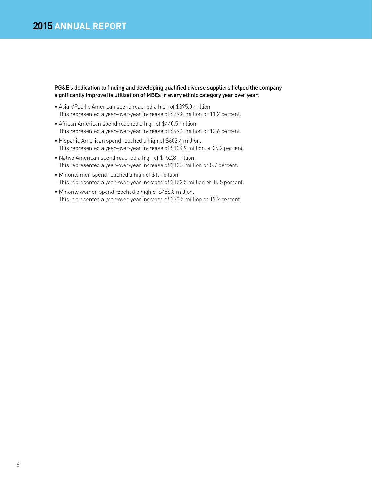#### PG&E's dedication to finding and developing qualified diverse suppliers helped the company significantly improve its utilization of MBEs in every ethnic category year over year:

- Asian/Pacific American spend reached a high of \$395.0 million. This represented a year-over-year increase of \$39.8 million or 11.2 percent.
- African American spend reached a high of \$440.5 million. This represented a year-over-year increase of \$49.2 million or 12.6 percent.
- Hispanic American spend reached a high of \$602.4 million. This represented a year-over-year increase of \$124.9 million or 26.2 percent.
- Native American spend reached a high of \$152.8 million. This represented a year-over-year increase of \$12.2 million or 8.7 percent.
- Minority men spend reached a high of \$1.1 billion. This represented a year-over-year increase of \$152.5 million or 15.5 percent.
- Minority women spend reached a high of \$456.8 million. This represented a year-over-year increase of \$73.5 million or 19.2 percent.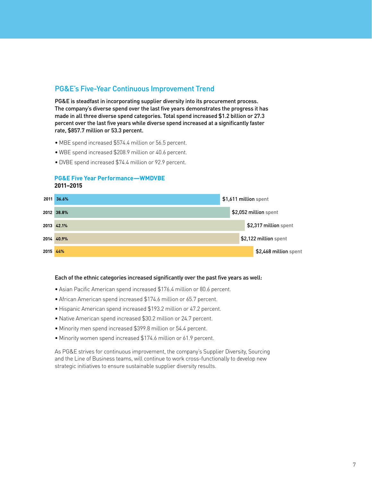#### PG&E's Five-Year Continuous Improvement Trend

PG&E is steadfast in incorporating supplier diversity into its procurement process. The company's diverse spend over the last five years demonstrates the progress it has made in all three diverse spend categories. Total spend increased \$1.2 billion or 27.3 percent over the last five years while diverse spend increased at a significantly faster rate, \$857.7 million or 53.3 percent.

- MBE spend increased \$574.4 million or 56.5 percent.
- WBE spend increased \$208.9 million or 40.6 percent.
- DVBE spend increased \$74.4 million or 92.9 percent.

#### **PG&E Five Year Performance—WMDVBE 2011–2015**



#### Each of the ethnic categories increased significantly over the past five years as well:

- Asian Pacific American spend increased \$176.4 million or 80.6 percent.
- African American spend increased \$174.6 million or 65.7 percent.
- Hispanic American spend increased \$193.2 million or 47.2 percent.
- Native American spend increased \$30.2 million or 24.7 percent.
- Minority men spend increased \$399.8 million or 54.4 percent.
- Minority women spend increased \$174.6 million or 61.9 percent.

As PG&E strives for continuous improvement, the company's Supplier Diversity, Sourcing and the Line of Business teams, will continue to work cross-functionally to develop new strategic initiatives to ensure sustainable supplier diversity results.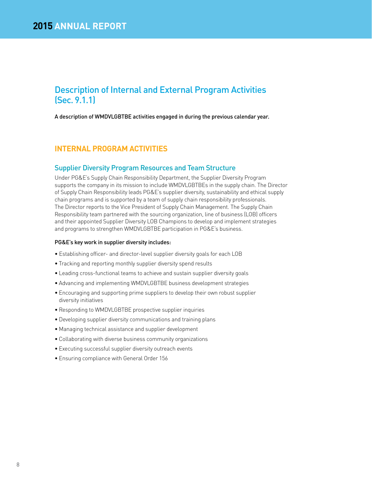### Description of Internal and External Program Activities (Sec. 9.1.1)

A description of WMDVLGBTBE activities engaged in during the previous calendar year.

#### **INTERNAL PROGRAM ACTIVITIES**

#### Supplier Diversity Program Resources and Team Structure

Under PG&E's Supply Chain Responsibility Department, the Supplier Diversity Program supports the company in its mission to include WMDVLGBTBEs in the supply chain. The Director of Supply Chain Responsibility leads PG&E's supplier diversity, sustainability and ethical supply chain programs and is supported by a team of supply chain responsibility professionals. The Director reports to the Vice President of Supply Chain Management. The Supply Chain Responsibility team partnered with the sourcing organization, line of business (LOB) officers and their appointed Supplier Diversity LOB Champions to develop and implement strategies and programs to strengthen WMDVLGBTBE participation in PG&E's business.

#### PG&E's key work in supplier diversity includes:

- Establishing officer- and director-level supplier diversity goals for each LOB
- Tracking and reporting monthly supplier diversity spend results
- Leading cross-functional teams to achieve and sustain supplier diversity goals
- Advancing and implementing WMDVLGBTBE business development strategies
- Encouraging and supporting prime suppliers to develop their own robust supplier diversity initiatives
- Responding to WMDVLGBTBE prospective supplier inquiries
- Developing supplier diversity communications and training plans
- Managing technical assistance and supplier development
- Collaborating with diverse business community organizations
- Executing successful supplier diversity outreach events
- Ensuring compliance with General Order 156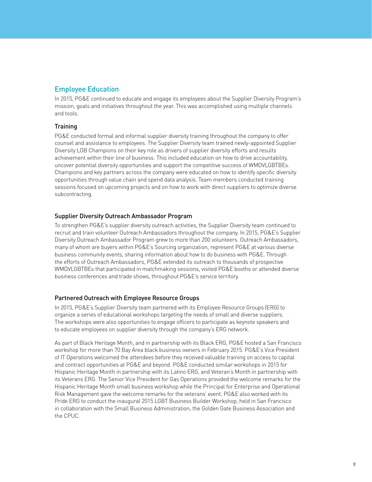### Employee Education

In 2015, PG&E continued to educate and engage its employees about the Supplier Diversity Program's mission, goals and initiatives throughout the year. This was accomplished using multiple channels and tools.

#### **Training**

PG&E conducted formal and informal supplier diversity training throughout the company to offer counsel and assistance to employees. The Supplier Diversity team trained newly-appointed Supplier Diversity LOB Champions on their key role as drivers of supplier diversity efforts and results achievement within their line of business. This included education on how to drive accountability, uncover potential diversity opportunities and support the competitive success of WMDVLGBTBEs. Champions and key partners across the company were educated on how to identify specific diversity opportunities through value chain and spend data analysis. Team members conducted training sessions focused on upcoming projects and on how to work with direct suppliers to optimize diverse subcontracting.

#### Supplier Diversity Outreach Ambassador Program

To strengthen PG&E's supplier diversity outreach activities, the Supplier Diversity team continued to recruit and train volunteer Outreach Ambassadors throughout the company. In 2015, PG&E's Supplier Diversity Outreach Ambassador Program grew to more than 200 volunteers. Outreach Ambassadors, many of whom are buyers within PG&E's Sourcing organization, represent PG&E at various diverse business community events, sharing information about how to do business with PG&E. Through the efforts of Outreach Ambassadors, PG&E extended its outreach to thousands of prospective WMDVLGBTBEs that participated in matchmaking sessions, visited PG&E booths or attended diverse business conferences and trade shows, throughout PG&E's service territory.

#### Partnered Outreach with Employee Resource Groups

In 2015, PG&E's Supplier Diversity team partnered with its Employee Resource Groups (ERG) to organize a series of educational workshops targeting the needs of small and diverse suppliers. The workshops were also opportunities to engage officers to participate as keynote speakers and to educate employees on supplier diversity through the company's ERG network.

As part of Black Heritage Month, and in partnership with its Black ERG, PG&E hosted a San Francisco workshop for more than 70 Bay Area black business owners in February 2015. PG&E's Vice President of IT Operations welcomed the attendees before they received valuable training on access to capital and contract opportunities at PG&E and beyond. PG&E conducted similar workshops in 2015 for Hispanic Heritage Month in partnership with its Latino ERG, and Veteran's Month in partnership with its Veterans ERG. The Senior Vice President for Gas Operations provided the welcome remarks for the Hispanic Heritage Month small business workshop while the Principal for Enterprise and Operational Risk Management gave the welcome remarks for the veterans' event. PG&E also worked with its Pride ERG to conduct the inaugural 2015 LGBT Business Builder Workshop, held in San Francisco in collaboration with the Small Business Administration, the Golden Gate Business Association and the CPUC.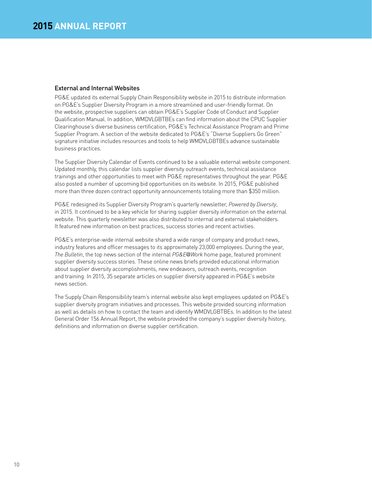#### External and Internal Websites

PG&E updated its external Supply Chain Responsibility website in 2015 to distribute information on PG&E's Supplier Diversity Program in a more streamlined and user-friendly format. On the website, prospective suppliers can obtain PG&E's Supplier Code of Conduct and Supplier Qualification Manual. In addition, WMDVLGBTBEs can find information about the CPUC Supplier Clearinghouse's diverse business certification, PG&E's Technical Assistance Program and Prime Supplier Program. A section of the website dedicated to PG&E's "Diverse Suppliers Go Green" signature initiative includes resources and tools to help WMDVLGBTBEs advance sustainable business practices.

The Supplier Diversity Calendar of Events continued to be a valuable external website component. Updated monthly, this calendar lists supplier diversity outreach events, technical assistance trainings and other opportunities to meet with PG&E representatives throughout the year. PG&E also posted a number of upcoming bid opportunities on its website. In 2015, PG&E published more than three dozen contract opportunity announcements totaling more than \$350 million.

PG&E redesigned its Supplier Diversity Program's quarterly newsletter, *Powered by Diversity*, in 2015. It continued to be a key vehicle for sharing supplier diversity information on the external website. This quarterly newsletter was also distributed to internal and external stakeholders. It featured new information on best practices, success stories and recent activities.

PG&E's enterprise-wide internal website shared a wide range of company and product news, industry features and officer messages to its approximately 23,000 employees. During the year, *The Bulletin*, the top news section of the internal *PG&E@Work* home page, featured prominent supplier diversity success stories. These online news briefs provided educational information about supplier diversity accomplishments, new endeavors, outreach events, recognition and training. In 2015, 35 separate articles on supplier diversity appeared in PG&E's website news section.

The Supply Chain Responsibility team's internal website also kept employees updated on PG&E's supplier diversity program initiatives and processes. This website provided sourcing information as well as details on how to contact the team and identify WMDVLGBTBEs. In addition to the latest General Order 156 Annual Report, the website provided the company's supplier diversity history, definitions and information on diverse supplier certification.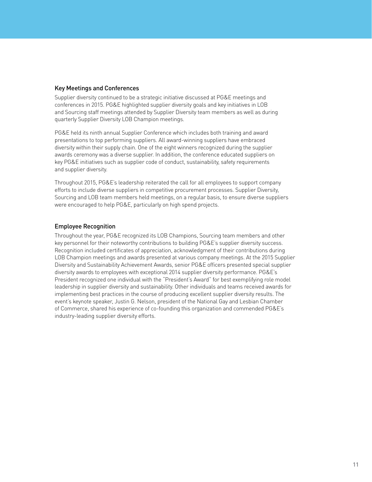#### Key Meetings and Conferences

Supplier diversity continued to be a strategic initiative discussed at PG&E meetings and conferences in 2015. PG&E highlighted supplier diversity goals and key initiatives in LOB and Sourcing staff meetings attended by Supplier Diversity team members as well as during quarterly Supplier Diversity LOB Champion meetings.

PG&E held its ninth annual Supplier Conference which includes both training and award presentations to top performing suppliers. All award-winning suppliers have embraced diversity within their supply chain. One of the eight winners recognized during the supplier awards ceremony was a diverse supplier. In addition, the conference educated suppliers on key PG&E initiatives such as supplier code of conduct, sustainability, safety requirements and supplier diversity.

Throughout 2015, PG&E's leadership reiterated the call for all employees to support company efforts to include diverse suppliers in competitive procurement processes. Supplier Diversity, Sourcing and LOB team members held meetings, on a regular basis, to ensure diverse suppliers were encouraged to help PG&E, particularly on high spend projects.

#### Employee Recognition

Throughout the year, PG&E recognized its LOB Champions, Sourcing team members and other key personnel for their noteworthy contributions to building PG&E's supplier diversity success. Recognition included certificates of appreciation, acknowledgment of their contributions during LOB Champion meetings and awards presented at various company meetings. At the 2015 Supplier Diversity and Sustainability Achievement Awards, senior PG&E officers presented special supplier diversity awards to employees with exceptional 2014 supplier diversity performance. PG&E's President recognized one individual with the "President's Award" for best exemplifying role model leadership in supplier diversity and sustainability. Other individuals and teams received awards for implementing best practices in the course of producing excellent supplier diversity results. The event's keynote speaker, Justin G. Nelson, president of the National Gay and Lesbian Chamber of Commerce, shared his experience of co-founding this organization and commended PG&E's industry-leading supplier diversity efforts.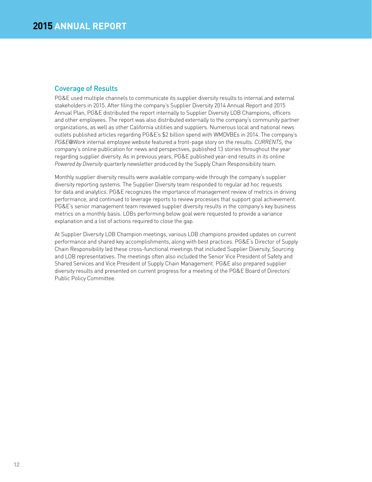#### Coverage of Results

PG&E used multiple channels to communicate its supplier diversity results to internal and external stakeholders in 2015. After filing the company's Supplier Diversity 2014 Annual Report and 2015 Annual Plan, PG&E distributed the report internally to Supplier Diversity LOB Champions, officers and other employees. The report was also distributed externally to the company's community partner organizations, as well as other California utilities and suppliers. Numerous local and national news outlets published articles regarding PG&E's \$2 billion spend with WMDVBEs in 2014. The company's *PG&E@Work* internal employee website featured a front-page story on the results. *CURRENTS*, the company's online publication for news and perspectives, published 13 stories throughout the year regarding supplier diversity. As in previous years, PG&E published year-end results in its online *Powered by Diversity* quarterly newsletter produced by the Supply Chain Responsibility team.

Monthly supplier diversity results were available company-wide through the company's supplier diversity reporting systems. The Supplier Diversity team responded to regular ad hoc requests for data and analytics. PG&E recognizes the importance of management review of metrics in driving performance, and continued to leverage reports to review processes that support goal achievement. PG&E's senior management team reviewed supplier diversity results in the company's key business metrics on a monthly basis. LOBs performing below goal were requested to provide a variance explanation and a list of actions required to close the gap.

At Supplier Diversity LOB Champion meetings, various LOB champions provided updates on current performance and shared key accomplishments, along with best practices. PG&E's Director of Supply Chain Responsibility led these cross-functional meetings that included Supplier Diversity, Sourcing and LOB representatives. The meetings often also included the Senior Vice President of Safety and Shared Services and Vice President of Supply Chain Management. PG&E also prepared supplier diversity results and presented on current progress for a meeting of the PG&E Board of Directors' Public Policy Committee.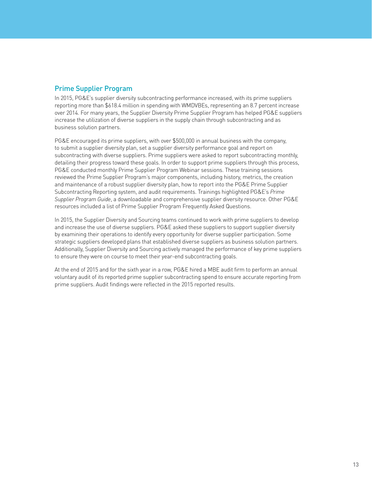#### Prime Supplier Program

In 2015, PG&E's supplier diversity subcontracting performance increased, with its prime suppliers reporting more than \$618.4 million in spending with WMDVBEs, representing an 8.7 percent increase over 2014. For many years, the Supplier Diversity Prime Supplier Program has helped PG&E suppliers increase the utilization of diverse suppliers in the supply chain through subcontracting and as business solution partners.

PG&E encouraged its prime suppliers, with over \$500,000 in annual business with the company, to submit a supplier diversity plan, set a supplier diversity performance goal and report on subcontracting with diverse suppliers. Prime suppliers were asked to report subcontracting monthly, detailing their progress toward these goals. In order to support prime suppliers through this process, PG&E conducted monthly Prime Supplier Program Webinar sessions. These training sessions reviewed the Prime Supplier Program's major components, including history, metrics, the creation and maintenance of a robust supplier diversity plan, how to report into the PG&E Prime Supplier Subcontracting Reporting system, and audit requirements. Trainings highlighted PG&E's *Prime Supplier Program Guide*, a downloadable and comprehensive supplier diversity resource. Other PG&E resources included a list of Prime Supplier Program Frequently Asked Questions.

In 2015, the Supplier Diversity and Sourcing teams continued to work with prime suppliers to develop and increase the use of diverse suppliers. PG&E asked these suppliers to support supplier diversity by examining their operations to identify every opportunity for diverse supplier participation. Some strategic suppliers developed plans that established diverse suppliers as business solution partners. Additionally, Supplier Diversity and Sourcing actively managed the performance of key prime suppliers to ensure they were on course to meet their year-end subcontracting goals.

At the end of 2015 and for the sixth year in a row, PG&E hired a MBE audit firm to perform an annual voluntary audit of its reported prime supplier subcontracting spend to ensure accurate reporting from prime suppliers. Audit findings were reflected in the 2015 reported results.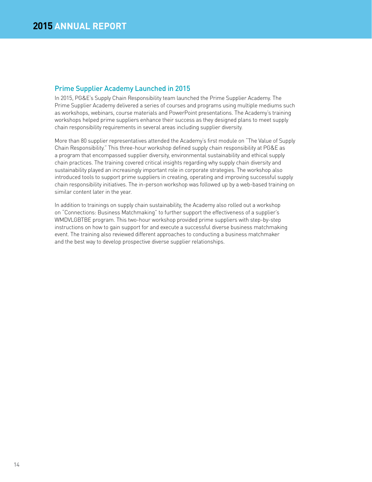#### Prime Supplier Academy Launched in 2015

In 2015, PG&E's Supply Chain Responsibility team launched the Prime Supplier Academy. The Prime Supplier Academy delivered a series of courses and programs using multiple mediums such as workshops, webinars, course materials and PowerPoint presentations. The Academy's training workshops helped prime suppliers enhance their success as they designed plans to meet supply chain responsibility requirements in several areas including supplier diversity.

More than 80 supplier representatives attended the Academy's first module on "The Value of Supply Chain Responsibility." This three-hour workshop defined supply chain responsibility at PG&E as a program that encompassed supplier diversity, environmental sustainability and ethical supply chain practices. The training covered critical insights regarding why supply chain diversity and sustainability played an increasingly important role in corporate strategies. The workshop also introduced tools to support prime suppliers in creating, operating and improving successful supply chain responsibility initiatives. The in-person workshop was followed up by a web-based training on similar content later in the year.

In addition to trainings on supply chain sustainability, the Academy also rolled out a workshop on "Connections: Business Matchmaking" to further support the effectiveness of a supplier's WMDVLGBTBE program. This two-hour workshop provided prime suppliers with step-by-step instructions on how to gain support for and execute a successful diverse business matchmaking event. The training also reviewed different approaches to conducting a business matchmaker and the best way to develop prospective diverse supplier relationships.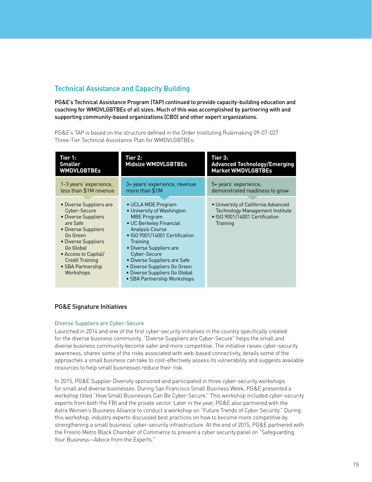### Technical Assistance and Capacity Building

PG&E's Technical Assistance Program (TAP) continued to provide capacity-building education and coaching for WMDVLGBTBEs of all sizes. Much of this was accomplished by partnering with and supporting community-based organizations (CBO) and other expert organizations.

PG&E's TAP is based on the structure defined in the Order Instituting Rulemaking 09-07-027 Three-Tier Technical Assistance Plan for WMDVLGBTBEs:

| Tier 1:<br><b>Smaller</b><br><b>WMDVLGBTBEs</b>                                                                                                                                                                                       | Tier 2:<br><b>Midsize WMDVLGBTBEs</b>                                                                                                                                                                                                                                                                                                                | Tier 3:<br><b>Advanced Technology/Emerging</b><br><b>Market WMDVLGBTBEs</b>                                                 |
|---------------------------------------------------------------------------------------------------------------------------------------------------------------------------------------------------------------------------------------|------------------------------------------------------------------------------------------------------------------------------------------------------------------------------------------------------------------------------------------------------------------------------------------------------------------------------------------------------|-----------------------------------------------------------------------------------------------------------------------------|
| 1-3 years' experience,<br>less than \$1M revenue                                                                                                                                                                                      | 3+ years' experience, revenue<br>more than \$1M                                                                                                                                                                                                                                                                                                      | 5+ years' experience,<br>demonstrated readiness to grow                                                                     |
| • Diverse Suppliers are<br>Cyber-Secure<br>• Diverse Suppliers<br>are Safe<br>• Diverse Suppliers<br>Go Green<br>• Diverse Suppliers<br>Go Global<br>• Access to Capital/<br><b>Credit Training</b><br>• SBA Partnership<br>Workshops | • UCLA MDE Program<br>• University of Washington<br><b>MBE Program</b><br>• UC Berkeley Financial<br><b>Analysis Course</b><br>• ISO 9001/14001 Certification<br>Training<br>• Diverse Suppliers are<br>Cyber-Secure<br>• Diverse Suppliers are Safe<br>• Diverse Suppliers Go Green<br>• Diverse Suppliers Go Global<br>• SBA Partnership Workshops | • University of California Advanced<br><b>Technology Management Institute</b><br>• ISO 9001/14001 Certification<br>Training |

#### PG&E Signature Initiatives

#### Diverse Suppliers are Cyber-Secure

Launched in 2014 and one of the first cyber-security initiatives in the country specifically created for the diverse business community, "Diverse Suppliers are Cyber-Secure" helps the small and diverse business community become safer and more competitive. The initiative raises cyber-security awareness, shares some of the risks associated with web-based connectivity, details some of the approaches a small business can take to cost-effectively assess its vulnerability and suggests available resources to help small businesses reduce their risk.

In 2015, PG&E Supplier Diversity sponsored and participated in three cyber-security workshops for small and diverse businesses. During San Francisco Small Business Week, PG&E presented a workshop titled "How Small Businesses Can Be Cyber-Secure." This workshop included cyber-security experts from both the FBI and the private sector. Later in the year, PG&E also partnered with the Astra Women's Business Alliance to conduct a workshop on "Future Trends of Cyber Security." During this workshop, industry experts discussed best practices on how to become more competitive by strengthening a small business' cyber-security infrastructure. At the end of 2015, PG&E partnered with the Fresno Metro Black Chamber of Commerce to present a cyber security panel on "Safeguarding Your Business—Advice from the Experts."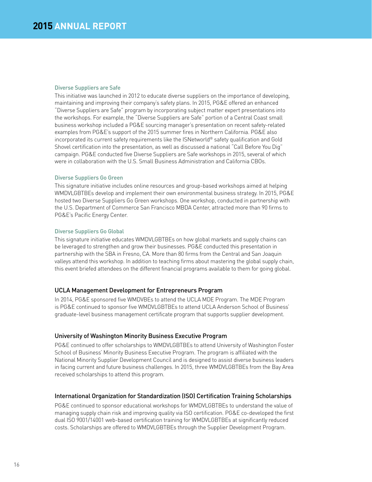#### Diverse Suppliers are Safe

This initiative was launched in 2012 to educate diverse suppliers on the importance of developing, maintaining and improving their company's safety plans. In 2015, PG&E offered an enhanced "Diverse Suppliers are Safe" program by incorporating subject matter expert presentations into the workshops. For example, the "Diverse Suppliers are Safe" portion of a Central Coast small business workshop included a PG&E sourcing manager's presentation on recent safety-related examples from PG&E's support of the 2015 summer fires in Northern California. PG&E also incorporated its current safety requirements like the ISNetworld® safety qualification and Gold Shovel certification into the presentation, as well as discussed a national "Call Before You Dig" campaign. PG&E conducted five Diverse Suppliers are Safe workshops in 2015, several of which were in collaboration with the U.S. Small Business Administration and California CBOs.

#### Diverse Suppliers Go Green

This signature initiative includes online resources and group-based workshops aimed at helping WMDVLGBTBEs develop and implement their own environmental business strategy. In 2015, PG&E hosted two Diverse Suppliers Go Green workshops. One workshop, conducted in partnership with the U.S. Department of Commerce San Francisco MBDA Center, attracted more than 90 firms to PG&E's Pacific Energy Center.

#### Diverse Suppliers Go Global

This signature initiative educates WMDVLGBTBEs on how global markets and supply chains can be leveraged to strengthen and grow their businesses. PG&E conducted this presentation in partnership with the SBA in Fresno, CA. More than 80 firms from the Central and San Joaquin valleys attend this workshop. In addition to teaching firms about mastering the global supply chain, this event briefed attendees on the different financial programs available to them for going global.

#### UCLA Management Development for Entrepreneurs Program

In 2014, PG&E sponsored five WMDVBEs to attend the UCLA MDE Program. The MDE Program is PG&E continued to sponsor five WMDVLGBTBEs to attend UCLA Anderson School of Business' graduate-level business management certificate program that supports supplier development.

#### University of Washington Minority Business Executive Program

PG&E continued to offer scholarships to WMDVLGBTBEs to attend University of Washington Foster School of Business' Minority Business Executive Program. The program is affiliated with the National Minority Supplier Development Council and is designed to assist diverse business leaders in facing current and future business challenges. In 2015, three WMDVLGBTBEs from the Bay Area received scholarships to attend this program.

#### International Organization for Standardization (ISO) Certification Training Scholarships

PG&E continued to sponsor educational workshops for WMDVLGBTBEs to understand the value of managing supply chain risk and improving quality via ISO certification. PG&E co-developed the first dual ISO 9001/14001 web-based certification training for WMDVLGBTBEs at significantly reduced costs. Scholarships are offered to WMDVLGBTBEs through the Supplier Development Program.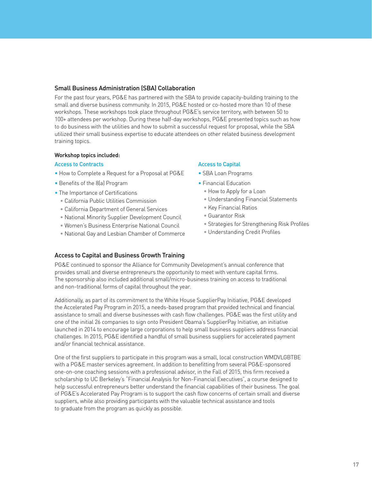#### Small Business Administration (SBA) Collaboration

For the past four years, PG&E has partnered with the SBA to provide capacity-building training to the small and diverse business community. In 2015, PG&E hosted or co-hosted more than 10 of these workshops. These workshops took place throughout PG&E's service territory, with between 50 to 100+ attendees per workshop. During these half-day workshops, PG&E presented topics such as how to do business with the utilities and how to submit a successful request for proposal, while the SBA utilized their small business expertise to educate attendees on other related business development training topics.

#### Workshop topics included:

#### Access to Contracts

- How to Complete a Request for a Proposal at PG&E
- Benefits of the 8(a) Program
- The Importance of Certifications
	- California Public Utilities Commission
	- California Department of General Services
	- National Minority Supplier Development Council
	- Women's Business Enterprise National Council
	- National Gay and Lesbian Chamber of Commerce

#### Access to Capital

- SBA Loan Programs
- Financial Education
	- How to Apply for a Loan
	- Understanding Financial Statements
	- Key Financial Ratios
	- Guarantor Risk
	- Strategies for Strengthening Risk Profiles
	- Understanding Credit Profiles

#### Access to Capital and Business Growth Training

PG&E continued to sponsor the Alliance for Community Development's annual conference that provides small and diverse entrepreneurs the opportunity to meet with venture capital firms. The sponsorship also included additional small/micro-business training on access to traditional and non-traditional forms of capital throughout the year.

Additionally, as part of its commitment to the White House SupplierPay Initiative, PG&E developed the Accelerated Pay Program in 2015, a needs-based program that provided technical and financial assistance to small and diverse businesses with cash flow challenges. PG&E was the first utility and one of the initial 26 companies to sign onto President Obama's SupplierPay Initiative, an initiative launched in 2014 to encourage large corporations to help small business suppliers address financial challenges. In 2015, PG&E identified a handful of small business suppliers for accelerated payment and/or financial technical assistance.

One of the first suppliers to participate in this program was a small, local construction WMDVLGBTBE with a PG&E master services agreement. In addition to benefitting from several PG&E-sponsored one-on-one coaching sessions with a professional advisor, in the Fall of 2015, this firm received a scholarship to UC Berkeley's "Financial Analysis for Non-Financial Executives", a course designed to help successful entrepreneurs better understand the financial capabilities of their business. The goal of PG&E's Accelerated Pay Program is to support the cash flow concerns of certain small and diverse suppliers, while also providing participants with the valuable technical assistance and tools to graduate from the program as quickly as possible.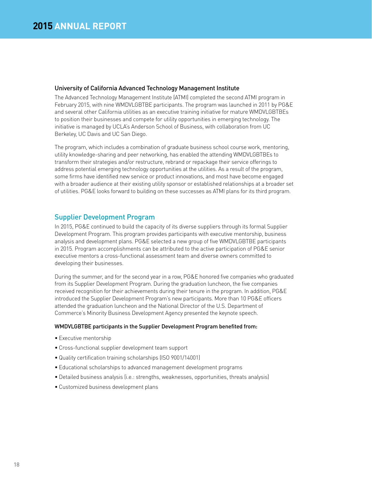#### University of California Advanced Technology Management Institute

The Advanced Technology Management Institute (ATMI) completed the second ATMI program in February 2015, with nine WMDVLGBTBE participants. The program was launched in 2011 by PG&E and several other California utilities as an executive training initiative for mature WMDVLGBTBEs to position their businesses and compete for utility opportunities in emerging technology. The initiative is managed by UCLA's Anderson School of Business, with collaboration from UC Berkeley, UC Davis and UC San Diego.

The program, which includes a combination of graduate business school course work, mentoring, utility knowledge-sharing and peer networking, has enabled the attending WMDVLGBTBEs to transform their strategies and/or restructure, rebrand or repackage their service offerings to address potential emerging technology opportunities at the utilities. As a result of the program, some firms have identified new service or product innovations, and most have become engaged with a broader audience at their existing utility sponsor or established relationships at a broader set of utilities. PG&E looks forward to building on these successes as ATMI plans for its third program.

#### Supplier Development Program

In 2015, PG&E continued to build the capacity of its diverse suppliers through its formal Supplier Development Program. This program provides participants with executive mentorship, business analysis and development plans. PG&E selected a new group of five WMDVLGBTBE participants in 2015. Program accomplishments can be attributed to the active participation of PG&E senior executive mentors a cross-functional assessment team and diverse owners committed to developing their businesses.

During the summer, and for the second year in a row, PG&E honored five companies who graduated from its Supplier Development Program. During the graduation luncheon, the five companies received recognition for their achievements during their tenure in the program. In addition, PG&E introduced the Supplier Development Program's new participants. More than 10 PG&E officers attended the graduation luncheon and the National Director of the U.S. Department of Commerce's Minority Business Development Agency presented the keynote speech.

#### WMDVLGBTBE participants in the Supplier Development Program benefited from:

- Executive mentorship
- Cross-functional supplier development team support
- Quality certification training scholarships (ISO 9001/14001)
- Educational scholarships to advanced management development programs
- Detailed business analysis (i.e.: strengths, weaknesses, opportunities, threats analysis)
- Customized business development plans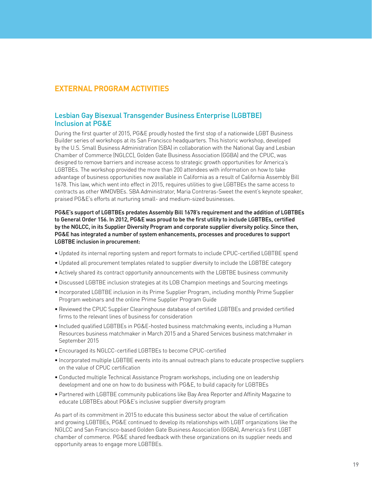#### **EXTERNAL PROGRAM ACTIVITIES**

#### Lesbian Gay Bisexual Transgender Business Enterprise (LGBTBE) Inclusion at PG&E

During the first quarter of 2015, PG&E proudly hosted the first stop of a nationwide LGBT Business Builder series of workshops at its San Francisco headquarters. This historic workshop, developed by the U.S. Small Business Administration (SBA) in collaboration with the National Gay and Lesbian Chamber of Commerce (NGLCC), Golden Gate Business Association (GGBA) and the CPUC, was designed to remove barriers and increase access to strategic growth opportunities for America's LGBTBEs. The workshop provided the more than 200 attendees with information on how to take advantage of business opportunities now available in California as a result of California Assembly Bill 1678. This law, which went into effect in 2015, requires utilities to give LGBTBEs the same access to contracts as other WMDVBEs. SBA Administrator, Maria Contreras-Sweet the event's keynote speaker, praised PG&E's efforts at nurturing small- and medium-sized businesses.

PG&E's support of LGBTBEs predates Assembly Bill 1678's requirement and the addition of LGBTBEs to General Order 156. In 2012, PG&E was proud to be the first utility to include LGBTBEs, certified by the NGLCC, in its Supplier Diversity Program and corporate supplier diversity policy. Since then, PG&E has integrated a number of system enhancements, processes and procedures to support LGBTBE inclusion in procurement:

- Updated its internal reporting system and report formats to include CPUC-certified LGBTBE spend
- Updated all procurement templates related to supplier diversity to include the LGBTBE category
- Actively shared its contract opportunity announcements with the LGBTBE business community
- Discussed LGBTBE inclusion strategies at its LOB Champion meetings and Sourcing meetings
- Incorporated LGBTBE inclusion in its Prime Supplier Program, including monthly Prime Supplier Program webinars and the online Prime Supplier Program Guide
- Reviewed the CPUC Supplier Clearinghouse database of certified LGBTBEs and provided certified firms to the relevant lines of business for consideration
- Included qualified LGBTBEs in PG&E-hosted business matchmaking events, including a Human Resources business matchmaker in March 2015 and a Shared Services business matchmaker in September 2015
- Encouraged its NGLCC-certified LGBTBEs to become CPUC-certified
- Incorporated multiple LGBTBE events into its annual outreach plans to educate prospective suppliers on the value of CPUC certification
- Conducted multiple Technical Assistance Program workshops, including one on leadership development and one on how to do business with PG&E, to build capacity for LGBTBEs
- Partnered with LGBTBE community publications like Bay Area Reporter and Affinity Magazine to educate LGBTBEs about PG&E's inclusive supplier diversity program

As part of its commitment in 2015 to educate this business sector about the value of certification and growing LGBTBEs, PG&E continued to develop its relationships with LGBT organizations like the NGLCC and San Francisco-based Golden Gate Business Association (GGBA), America's first LGBT chamber of commerce. PG&E shared feedback with these organizations on its supplier needs and opportunity areas to engage more LGBTBEs.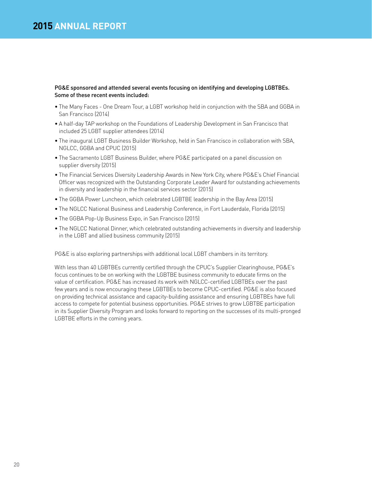#### PG&E sponsored and attended several events focusing on identifying and developing LGBTBEs. Some of these recent events included:

- The Many Faces One Dream Tour, a LGBT workshop held in conjunction with the SBA and GGBA in San Francisco (2014)
- A half-day TAP workshop on the Foundations of Leadership Development in San Francisco that included 25 LGBT supplier attendees (2014)
- The inaugural LGBT Business Builder Workshop, held in San Francisco in collaboration with SBA, NGLCC, GGBA and CPUC (2015)
- The Sacramento LGBT Business Builder, where PG&E participated on a panel discussion on supplier diversity (2015)
- The Financial Services Diversity Leadership Awards in New York City, where PG&E's Chief Financial Officer was recognized with the Outstanding Corporate Leader Award for outstanding achievements in diversity and leadership in the financial services sector (2015)
- The GGBA Power Luncheon, which celebrated LGBTBE leadership in the Bay Area (2015)
- The NGLCC National Business and Leadership Conference, in Fort Lauderdale, Florida (2015)
- The GGBA Pop-Up Business Expo, in San Francisco (2015)
- The NGLCC National Dinner, which celebrated outstanding achievements in diversity and leadership in the LGBT and allied business community (2015)

PG&E is also exploring partnerships with additional local LGBT chambers in its territory.

With less than 40 LGBTBEs currently certified through the CPUC's Supplier Clearinghouse, PG&E's focus continues to be on working with the LGBTBE business community to educate firms on the value of certification. PG&E has increased its work with NGLCC-certified LGBTBEs over the past few years and is now encouraging these LGBTBEs to become CPUC-certified. PG&E is also focused on providing technical assistance and capacity-building assistance and ensuring LGBTBEs have full access to compete for potential business opportunities. PG&E strives to grow LGBTBE participation in its Supplier Diversity Program and looks forward to reporting on the successes of its multi-pronged LGBTBE efforts in the coming years.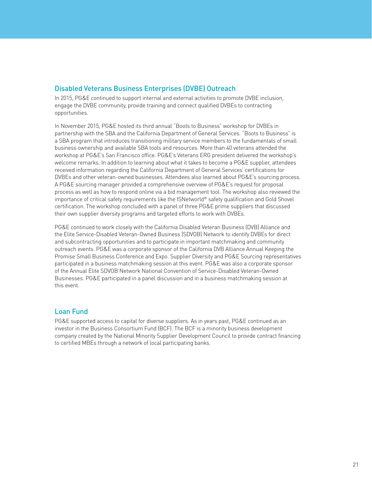#### Disabled Veterans Business Enterprises (DVBE) Outreach

In 2015, PG&E continued to support internal and external activities to promote DVBE inclusion, engage the DVBE community, provide training and connect qualified DVBEs to contracting opportunities.

In November 2015, PG&E hosted its third annual "Boots to Business" workshop for DVBEs in partnership with the SBA and the California Department of General Services. "Boots to Business" is a SBA program that introduces transitioning military service members to the fundamentals of small business ownership and available SBA tools and resources. More than 40 veterans attended the workshop at PG&E's San Francisco office. PG&E's Veterans ERG president delivered the workshop's welcome remarks. In addition to learning about what it takes to become a PG&E supplier, attendees received information regarding the California Department of General Services' certifications for DVBEs and other veteran-owned businesses. Attendees also learned about PG&E's sourcing process. A PG&E sourcing manager provided a comprehensive overview of PG&E's request for proposal process as well as how to respond online via a bid management tool. The workshop also reviewed the importance of critical safety requirements like the ISNetworld® safety qualification and Gold Shovel certification. The workshop concluded with a panel of three PG&E prime suppliers that discussed their own supplier diversity programs and targeted efforts to work with DVBEs.

PG&E continued to work closely with the California Disabled Veteran Business (DVB) Alliance and the Elite Service-Disabled Veteran-Owned Business (SDVOB) Network to identify DVBEs for direct and subcontracting opportunities and to participate in important matchmaking and community outreach events. PG&E was a corporate sponsor of the California DVB Alliance Annual Keeping the Promise Small Business Conference and Expo. Supplier Diversity and PG&E Sourcing representatives participated in a business matchmaking session at this event. PG&E was also a corporate sponsor of the Annual Elite SDVOB Network National Convention of Service-Disabled Veteran-Owned Businesses. PG&E participated in a panel discussion and in a business matchmaking session at this event.

#### Loan Fund

PG&E supported access to capital for diverse suppliers. As in years past, PG&E continued as an investor in the Business Consortium Fund (BCF). The BCF is a minority business development company created by the National Minority Supplier Development Council to provide contract financing to certified MBEs through a network of local participating banks.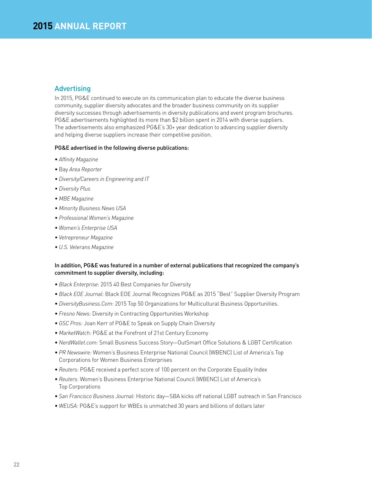#### **Advertising**

In 2015, PG&E continued to execute on its communication plan to educate the diverse business community, supplier diversity advocates and the broader business community on its supplier diversity successes through advertisements in diversity publications and event program brochures. PG&E advertisements highlighted its more than \$2 billion spent in 2014 with diverse suppliers. The advertisements also emphasized PG&E's 30+ year dedication to advancing supplier diversity and helping diverse suppliers increase their competitive position.

#### PG&E advertised in the following diverse publications:

- *Affinity Magazine*
- Bay *Area Reporter*
- *• Diversity/Careers in Engineering and IT*
- *• Diversity Plus*
- *• MBE Magazine*
- *• Minority Business News USA*
- *• Professional Women's Magazine*
- *• Women's Enterprise USA*
- *• Vetrepreneur Magazine*
- *• U.S. Veterans Magazine*

#### In addition, PG&E was featured in a number of external publications that recognized the company's commitment to supplier diversity, including:

- *Black Enterprise:* 2015 40 Best Companies for Diversity
- *Black EOE Journal:* Black EOE Journal Recognizes PG&E as 2015 "Best" Supplier Diversity Program
- *DiversityBusiness.Com:* 2015 Top 50 Organizations for Multicultural Business Opportunities.
- *Fresno News:* Diversity in Contracting Opportunities Workshop
- *GSC Pros:* Joan Kerr of PG&E to Speak on Supply Chain Diversity
- *MarketWatch:* PG&E at the Forefront of 21st Century Economy
- *NerdWallet.com:* Small Business Success Story—OutSmart Office Solutions & LGBT Certification
- *PR Newswire:* Women's Business Enterprise National Council (WBENC) List of America's Top Corporations for Women Business Enterprises
- *Reuters:* PG&E received a perfect score of 100 percent on the Corporate Equality Index
- *Reuters:* Women's Business Enterprise National Council (WBENC) List of America's Top Corporations
- *San Francisco Business Journal:* Historic day—SBA kicks off national LGBT outreach in San Francisco
- *WEUSA:* PG&E's support for WBEs is unmatched 30 years and billions of dollars later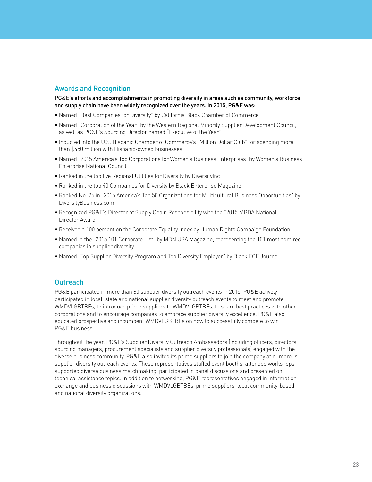#### Awards and Recognition

PG&E's efforts and accomplishments in promoting diversity in areas such as community, workforce and supply chain have been widely recognized over the years. In 2015, PG&E was:

- Named "Best Companies for Diversity" by California Black Chamber of Commerce
- Named "Corporation of the Year" by the Western Regional Minority Supplier Development Council, as well as PG&E's Sourcing Director named "Executive of the Year"
- Inducted into the U.S. Hispanic Chamber of Commerce's "Million Dollar Club" for spending more than \$450 million with Hispanic-owned businesses
- Named "2015 America's Top Corporations for Women's Business Enterprises" by Women's Business Enterprise National Council
- Ranked in the top five Regional Utilities for Diversity by DiversityInc
- Ranked in the top 40 Companies for Diversity by Black Enterprise Magazine
- Ranked No. 25 in "2015 America's Top 50 Organizations for Multicultural Business Opportunities" by DiversityBusiness.com
- Recognized PG&E's Director of Supply Chain Responsibility with the "2015 MBDA National Director Award"
- Received a 100 percent on the Corporate Equality Index by Human Rights Campaign Foundation
- Named in the "2015 101 Corporate List" by MBN USA Magazine, representing the 101 most admired companies in supplier diversity
- Named "Top Supplier Diversity Program and Top Diversity Employer" by Black EOE Journal

#### **Outreach**

PG&E participated in more than 80 supplier diversity outreach events in 2015. PG&E actively participated in local, state and national supplier diversity outreach events to meet and promote WMDVLGBTBEs, to introduce prime suppliers to WMDVLGBTBEs, to share best practices with other corporations and to encourage companies to embrace supplier diversity excellence. PG&E also educated prospective and incumbent WMDVLGBTBEs on how to successfully compete to win PG&E business.

Throughout the year, PG&E's Supplier Diversity Outreach Ambassadors (including officers, directors, sourcing managers, procurement specialists and supplier diversity professionals) engaged with the diverse business community. PG&E also invited its prime suppliers to join the company at numerous supplier diversity outreach events. These representatives staffed event booths, attended workshops, supported diverse business matchmaking, participated in panel discussions and presented on technical assistance topics. In addition to networking, PG&E representatives engaged in information exchange and business discussions with WMDVLGBTBEs, prime suppliers, local community-based and national diversity organizations.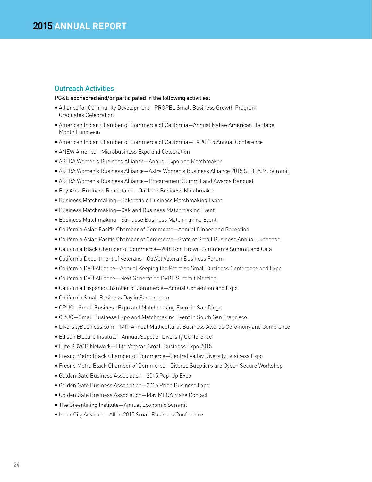#### Outreach Activities

#### PG&E sponsored and/or participated in the following activities:

- Alliance for Community Development—PROPEL Small Business Growth Program Graduates Celebration
- American Indian Chamber of Commerce of California—Annual Native American Heritage Month Luncheon
- American Indian Chamber of Commerce of California—EXPO '15 Annual Conference
- ANEW America—Microbusiness Expo and Celebration
- ASTRA Women's Business Alliance—Annual Expo and Matchmaker
- ASTRA Women's Business Alliance—Astra Women's Business Alliance 2015 S.T.E.A.M. Summit
- ASTRA Women's Business Alliance—Procurement Summit and Awards Banquet
- Bay Area Business Roundtable—Oakland Business Matchmaker
- Business Matchmaking—Bakersfield Business Matchmaking Event
- Business Matchmaking—Oakland Business Matchmaking Event
- Business Matchmaking—San Jose Business Matchmaking Event
- California Asian Pacific Chamber of Commerce—Annual Dinner and Reception
- California Asian Pacific Chamber of Commerce—State of Small Business Annual Luncheon
- California Black Chamber of Commerce—20th Ron Brown Commerce Summit and Gala
- California Department of Veterans—CalVet Veteran Business Forum
- California DVB Alliance—Annual Keeping the Promise Small Business Conference and Expo
- California DVB Alliance—Next Generation DVBE Summit Meeting
- California Hispanic Chamber of Commerce—Annual Convention and Expo
- California Small Business Day in Sacramento
- CPUC—Small Business Expo and Matchmaking Event in San Diego
- CPUC—Small Business Expo and Matchmaking Event in South San Francisco
- DiversityBusiness.com—14th Annual Multicultural Business Awards Ceremony and Conference
- Edison Electric Institute—Annual Supplier Diversity Conference
- Elite SDVOB Network—Elite Veteran Small Business Expo 2015
- Fresno Metro Black Chamber of Commerce—Central Valley Diversity Business Expo
- Fresno Metro Black Chamber of Commerce—Diverse Suppliers are Cyber-Secure Workshop
- Golden Gate Business Association—2015 Pop-Up Expo
- Golden Gate Business Association—2015 Pride Business Expo
- Golden Gate Business Association—May MEGA Make Contact
- The Greenlining Institute—Annual Economic Summit
- Inner City Advisors—All In 2015 Small Business Conference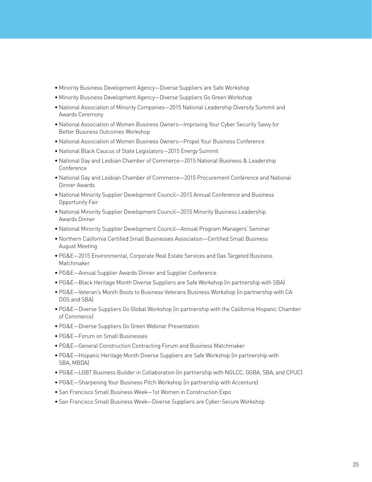- Minority Business Development Agency—Diverse Suppliers are Safe Workshop
- Minority Business Development Agency—Diverse Suppliers Go Green Workshop
- National Association of Minority Companies—2015 National Leadership Diversity Summit and Awards Ceremony
- National Association of Women Business Owners—Improving Your Cyber Security Savvy for Better Business Outcomes Workshop
- National Association of Women Business Owners—Propel Your Business Conference
- National Black Caucus of State Legislators—2015 Energy Summit
- National Gay and Lesbian Chamber of Commerce—2015 National Business & Leadership Conference
- National Gay and Lesbian Chamber of Commerce—2015 Procurement Conference and National Dinner Awards
- National Minority Supplier Development Council—2015 Annual Conference and Business Opportunity Fair
- National Minority Supplier Development Council—2015 Minority Business Leadership Awards Dinner
- National Minority Supplier Development Council—Annual Program Managers' Seminar
- Northern California Certified Small Businesses Association—Certified Small Business August Meeting
- PG&E—2015 Environmental, Corporate Real Estate Services and Gas Targeted Business Matchmaker
- PG&E—Annual Supplier Awards Dinner and Supplier Conference
- PG&E—Black Heritage Month Diverse Suppliers are Safe Workshop (in partnership with SBA)
- PG&E—Veteran's Month Boots to Business Veterans Business Workshop (in partnership with CA DGS and SBA)
- PG&E—Diverse Suppliers Go Global Workshop (in partnership with the California Hispanic Chamber of Commerce)
- PG&E—Diverse Suppliers Go Green Webinar Presentation
- PG&E—Forum on Small Businesses
- PG&E—General Construction Contracting Forum and Business Matchmaker
- PG&E—Hispanic Heritage Month Diverse Suppliers are Safe Workshop (in partnership with SBA, MBDA)
- PG&E—LGBT Business Builder in Collaboration (in partnership with NGLCC, GGBA, SBA, and CPUC)
- PG&E—Sharpening Your Business Pitch Workshop (in partnership with Accenture)
- San Francisco Small Business Week—1st Women in Construction Expo
- San Francisco Small Business Week—Diverse Suppliers are Cyber-Secure Workshop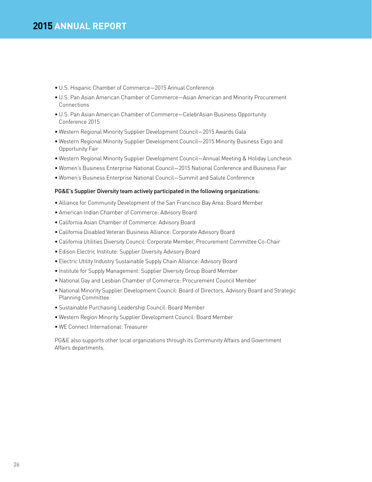- U.S. Hispanic Chamber of Commerce—2015 Annual Conference
- U.S. Pan Asian American Chamber of Commerce—Asian American and Minority Procurement **Connections**
- U.S. Pan Asian American Chamber of Commerce—CelebrAsian Business Opportunity Conference 2015
- Western Regional Minority Supplier Development Council—2015 Awards Gala
- Western Regional Minority Supplier Development Council—2015 Minority Business Expo and Opportunity Fair
- Western Regional Minority Supplier Development Council—Annual Meeting & Holiday Luncheon
- Women's Business Enterprise National Council—2015 National Conference and Business Fair
- Women's Business Enterprise National Council—Summit and Salute Conference

#### PG&E's Supplier Diversity team actively participated in the following organizations:

- Alliance for Community Development of the San Francisco Bay Area: Board Member
- American Indian Chamber of Commerce: Advisory Board
- California Asian Chamber of Commerce: Advisory Board
- California Disabled Veteran Business Alliance: Corporate Advisory Board
- California Utilities Diversity Council: Corporate Member, Procurement Committee Co-Chair
- Edison Electric Institute: Supplier Diversity Advisory Board
- Electric Utility Industry Sustainable Supply Chain Alliance: Advisory Board
- Institute for Supply Management: Supplier Diversity Group Board Member
- National Gay and Lesbian Chamber of Commerce: Procurement Council Member
- National Minority Supplier Development Council: Board of Directors, Advisory Board and Strategic Planning Committee
- Sustainable Purchasing Leadership Council: Board Member
- Western Region Minority Supplier Development Council: Board Member
- WE Connect International: Treasurer

PG&E also supports other local organizations through its Community Affairs and Government Affairs departments.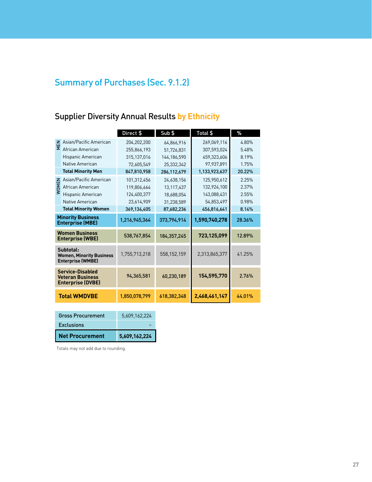## Summary of Purchases (Sec. 9.1.2)

## Supplier Diversity Annual Results **by Ethnicity**

|                                                                                |                                                | Direct \$     | Sub \$      | Total \$      | $\%$   |
|--------------------------------------------------------------------------------|------------------------------------------------|---------------|-------------|---------------|--------|
|                                                                                | E Asian/Pacific American<br>E African American | 204,202,200   | 64,866,916  | 269,069,116   | 4.80%  |
|                                                                                | African American                               | 255,866,193   | 51,726,831  | 307,593,024   | 5.48%  |
|                                                                                | Hispanic American                              | 315,137,016   | 144,186,590 | 459,323,606   | 8.19%  |
|                                                                                | Native American                                | 72.605.549    | 25,332,342  | 97,937,891    | 1.75%  |
|                                                                                | <b>Total Minority Men</b>                      | 847,810,958   | 286,112,679 | 1,133,923,637 | 20.22% |
|                                                                                | Asian/Pacific American                         | 101.312.456   | 24,638,156  | 125.950.612   | 2.25%  |
| <b>WOMEN</b>                                                                   | African American                               | 119,806,664   | 13,117,437  | 132,924,100   | 2.37%  |
|                                                                                | Hispanic American                              | 124,400,377   | 18,688,054  | 143,088,431   | 2.55%  |
|                                                                                | Native American                                | 23,614,909    | 31,238,589  | 54,853,497    | 0.98%  |
|                                                                                | <b>Total Minority Women</b>                    | 369,134,405   | 87,682,236  | 456,816,641   | 8.14%  |
| <b>Minority Business</b><br><b>Enterprise (MBE)</b>                            |                                                | 1,216,945,364 | 373,794,914 | 1,590,740,278 | 28.36% |
| <b>Women Business</b><br><b>Enterprise (WBE)</b>                               |                                                | 538,767,854   | 184,357,245 | 723,125,099   | 12.89% |
| Subtotal:<br><b>Women, Minority Business</b><br><b>Enterprise (WMBE)</b>       |                                                | 1,755,713,218 | 558,152,159 | 2,313,865,377 | 41.25% |
| <b>Service-Disabled</b><br><b>Veteran Business</b><br><b>Enterprise (DVBE)</b> |                                                | 94,365,581    | 60,230,189  | 154,595,770   | 2.76%  |
| <b>Total WMDVBE</b>                                                            |                                                | 1,850,078,799 | 618,382,348 | 2,468,461,147 | 44.01% |
|                                                                                |                                                |               |             |               |        |
|                                                                                | <b>Gross Procurement</b>                       | 5,609,162,224 |             |               |        |
| <b>Exclusions</b>                                                              |                                                |               |             |               |        |
|                                                                                | <b>Net Procurement</b>                         | 5,609,162,224 |             |               |        |

| <b>Net Procurement</b> | 5,609,162,224 |
|------------------------|---------------|
| <b>Exclusions</b>      |               |
|                        |               |

Totals may not add due to rounding.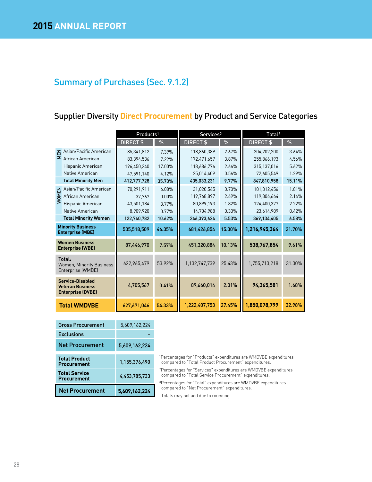## Summary of Purchases (Sec. 9.1.2)

## Supplier Diversity **Direct Procurement** by Product and Service Categories

|                                                                                |                                                                                        | Products <sup>1</sup> |        | Services <sup>2</sup>                                 |               | Total <sup>3</sup>                                                                                                                                           |        |
|--------------------------------------------------------------------------------|----------------------------------------------------------------------------------------|-----------------------|--------|-------------------------------------------------------|---------------|--------------------------------------------------------------------------------------------------------------------------------------------------------------|--------|
|                                                                                |                                                                                        | DIRECT \$             | %      | DIRECT <sub>\$</sub>                                  | $\frac{9}{6}$ | DIRECT \$                                                                                                                                                    | %      |
|                                                                                | Asian/Pacific American                                                                 | 85,341,812            | 7.39%  | 118,860,389                                           | 2.67%         | 204,202,200                                                                                                                                                  | 3.64%  |
| MEN                                                                            | African American                                                                       | 83,394,536            | 7.22%  | 172,471,657                                           | 3.87%         | 255,866,193                                                                                                                                                  | 4.56%  |
|                                                                                | Hispanic American                                                                      | 196,450,240           | 17.00% | 118,686,776                                           | 2.66%         | 315,137,016                                                                                                                                                  | 5.62%  |
|                                                                                | Native American                                                                        | 47,591,140            | 4.12%  | 25,014,409                                            | 0.56%         | 72,605,549                                                                                                                                                   | 1.29%  |
|                                                                                | <b>Total Minority Men</b>                                                              | 412,777,728           | 35.73% | 435,033,231                                           | 9.77%         | 847,810,958                                                                                                                                                  | 15.11% |
|                                                                                | Asian/Pacific American                                                                 | 70,291,911            | 6.08%  | 31,020,545                                            | 0.70%         | 101,312,456                                                                                                                                                  | 1.81%  |
| <b>WOMEN</b>                                                                   | African American                                                                       | 37,767                | 0.00%  | 119,768,897                                           | 2.69%         | 119,806,664                                                                                                                                                  | 2.14%  |
|                                                                                | Hispanic American                                                                      | 43,501,184            | 3.77%  | 80,899,193                                            | 1.82%         | 124,400,377                                                                                                                                                  | 2.22%  |
|                                                                                | Native American                                                                        | 8,909,920             | 0.77%  | 14,704,988                                            | 0.33%         | 23,614,909                                                                                                                                                   | 0.42%  |
|                                                                                | <b>Total Minority Women</b>                                                            | 122,740,782           | 10.62% | 246,393,624                                           | 5.53%         | 369,134,405                                                                                                                                                  | 6.58%  |
|                                                                                | <b>Minority Business</b><br><b>Enterprise (MBE)</b>                                    | 535,518,509           | 46.35% | 681,426,854                                           | 15.30%        | 1,216,945,364                                                                                                                                                | 21.70% |
| <b>Women Business</b><br><b>Enterprise (WBE)</b>                               |                                                                                        | 87,446,970            | 7.57%  | 451,320,884                                           | 10.13%        | 538,767,854                                                                                                                                                  | 9.61%  |
| Total:<br><b>Women, Minority Business</b><br>Enterprise (WMBE)                 |                                                                                        | 622,965,479           | 53.92% | 1,132,747,739                                         | 25.43%        | 1,755,713,218                                                                                                                                                | 31.30% |
| <b>Service-Disabled</b><br><b>Veteran Business</b><br><b>Enterprise (DVBE)</b> |                                                                                        | 4,705,567             | 0.41%  | 89,660,014                                            | 2.01%         | 94,365,581                                                                                                                                                   | 1.68%  |
|                                                                                | <b>Total WMDVBE</b>                                                                    | 627,671,046           | 54.33% | 1,222,407,753                                         | 27.45%        | 1,850,078,799                                                                                                                                                | 32.98% |
|                                                                                |                                                                                        |                       |        |                                                       |               |                                                                                                                                                              |        |
|                                                                                | <b>Gross Procurement</b>                                                               | 5,609,162,224         |        |                                                       |               |                                                                                                                                                              |        |
|                                                                                | <b>Exclusions</b>                                                                      |                       |        |                                                       |               |                                                                                                                                                              |        |
|                                                                                | <b>Net Procurement</b>                                                                 | 5,609,162,224         |        |                                                       |               |                                                                                                                                                              |        |
|                                                                                | <b>Total Product</b><br><b>Procurement</b>                                             | 1,155,376,490         |        | compared to "Total Product Procurement" expenditures. |               | <sup>1</sup> Percentages for "Products" expenditures are WMDVBE expenditures<br><sup>2</sup> Percentages for "Services" expenditures are WMDVBE expenditures |        |
|                                                                                | <b>Total Service</b><br><b>Procurement</b>                                             | 4,453,785,733         |        | compared to "Total Service Procurement" expenditures. |               | <sup>3</sup> Percentages for "Total" expenditures are WMDVBE expenditures                                                                                    |        |
|                                                                                | compared to "Net Procurement" expenditures.<br><b>Net Procurement</b><br>5,609,162,224 |                       |        |                                                       |               |                                                                                                                                                              |        |

| <b>Net Procurement</b>                     | 5,609,162,224 |
|--------------------------------------------|---------------|
| <b>Total Service</b><br><b>Procurement</b> | 4,453,785,733 |
| <b>Total Product</b><br><b>Procurement</b> | 1,155,376,490 |
| Net Procurement                            | 5,609,162,224 |
| <b>Exclusions</b>                          |               |
| <b>Gross Procurement</b>                   | 5.609.162.224 |

Totals may not add due to rounding.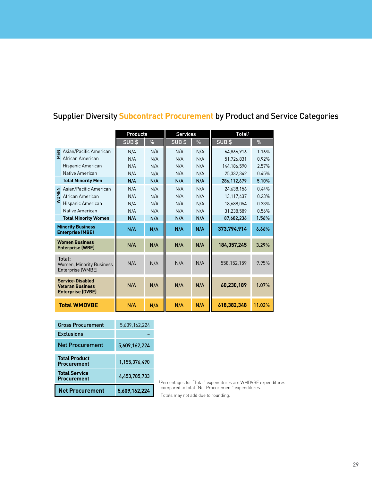|                                                                                |                                                                       | Products      |     | <b>Services</b> |               | Total <sup>1</sup>                                                 |        |
|--------------------------------------------------------------------------------|-----------------------------------------------------------------------|---------------|-----|-----------------|---------------|--------------------------------------------------------------------|--------|
|                                                                                |                                                                       | SUB\$         | %   | SUB\$           | $\frac{9}{6}$ | SUB\$                                                              | %      |
|                                                                                |                                                                       | N/A           | N/A | N/A             | N/A           | 64,866,916                                                         | 1.16%  |
|                                                                                | $\Xi$ Asian/Pacific American<br>$\Sigma$ African American             | N/A           | N/A | N/A             | N/A           | 51,726,831                                                         | 0.92%  |
|                                                                                | Hispanic American                                                     | N/A           | N/A | N/A             | N/A           | 144,186,590                                                        | 2.57%  |
|                                                                                | Native American                                                       | N/A           | N/A | N/A             | N/A           | 25,332,342                                                         | 0.45%  |
|                                                                                | <b>Total Minority Men</b>                                             | N/A           | N/A | N/A             | N/A           | 286,112,679                                                        | 5.10%  |
|                                                                                | z Asian/Pacific American<br>S African American<br>S Hispanic American | N/A           | N/A | N/A             | N/A           | 24,638,156                                                         | 0.44%  |
|                                                                                |                                                                       | N/A           | N/A | N/A             | N/A           | 13,117,437                                                         | 0.23%  |
|                                                                                | Hispanic American                                                     | N/A           | N/A | N/A             | N/A           | 18,688,054                                                         | 0.33%  |
|                                                                                | Native American                                                       | N/A           | N/A | N/A             | N/A           | 31,238,589                                                         | 0.56%  |
|                                                                                | <b>Total Minority Women</b>                                           | N/A           | N/A | N/A             | N/A           | 87,682,236                                                         | 1.56%  |
|                                                                                | <b>Minority Business</b><br><b>Enterprise (MBE)</b>                   | N/A           | N/A | N/A             | N/A           | 373,794,914                                                        | 6.66%  |
|                                                                                | <b>Women Business</b><br><b>Enterprise (WBE)</b>                      | N/A           | N/A | N/A             | N/A           | 184,357,245                                                        | 3.29%  |
| Total:<br><b>Women, Minority Business</b><br>Enterprise (WMBE)                 |                                                                       | N/A           | N/A | N/A             | N/A           | 558,152,159                                                        | 9.95%  |
| <b>Service-Disabled</b><br><b>Veteran Business</b><br><b>Enterprise (DVBE)</b> |                                                                       | N/A           | N/A | N/A             | N/A           | 60,230,189                                                         | 1.07%  |
|                                                                                | <b>Total WMDVBE</b>                                                   | N/A           | N/A | N/A             | N/A           | 618,382,348                                                        | 11.02% |
|                                                                                |                                                                       |               |     |                 |               |                                                                    |        |
|                                                                                | <b>Gross Procurement</b>                                              | 5,609,162,224 |     |                 |               |                                                                    |        |
|                                                                                | <b>Exclusions</b>                                                     |               |     |                 |               |                                                                    |        |
| <b>Net Procurement</b>                                                         |                                                                       | 5,609,162,224 |     |                 |               |                                                                    |        |
|                                                                                | <b>Total Product</b><br><b>Procurement</b>                            | 1,155,376,490 |     |                 |               |                                                                    |        |
|                                                                                | <b>Total Service</b><br><b>Procurement</b>                            | 4,453,785,733 |     |                 |               | <sup>1</sup> Percentages for "Total" expenditures are WMDVBE expen |        |
|                                                                                | <b>Net Procurement</b>                                                | 5,609,162,224 |     |                 |               | compared to total "Net Procurement" expenditures.                  |        |

## Supplier Diversity **Subcontract Procurement** by Product and Service Categories

| <b>Gross Procurement</b>                   | 5,609,162,224 |                                                                                          |
|--------------------------------------------|---------------|------------------------------------------------------------------------------------------|
| <b>Exclusions</b>                          |               |                                                                                          |
| <b>Net Procurement</b>                     | 5,609,162,224 |                                                                                          |
| <b>Total Product</b><br><b>Procurement</b> | 1,155,376,490 |                                                                                          |
| <b>Total Service</b><br><b>Procurement</b> | 4,453,785,733 | <sup>1</sup> Percentages for "Total" expenditures are WMDVBE expenditures                |
| <b>Net Procurement</b>                     | 5,609,162,224 | compared to total "Net Procurement" expenditures.<br>Totals may not add due to rounding. |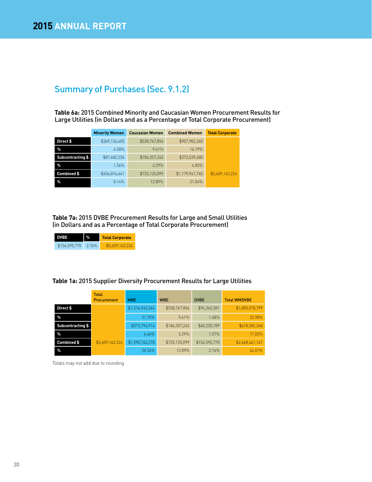## Summary of Purchases (Sec. 9.1.2)

**Table 6a:** 2015 Combined Minority and Caucasian Women Procurement Results for Large Utilities (in Dollars and as a Percentage of Total Corporate Procurement)

|                   | <b>Minority Women</b> | <b>Caucasian Women</b> | <b>Combined Women</b> | <b>Total Corporate</b> |
|-------------------|-----------------------|------------------------|-----------------------|------------------------|
| Direct \$         | \$369,134,405         | \$538,767,854          | \$907,902,260         |                        |
| $\%$              | 6.58%                 | 9.61%                  | 16.19%                |                        |
| Subcontracting \$ | \$87,682,236          | \$184.357.245          | \$272,039,480         |                        |
| $\%$              | 1.56%                 | 3.29%                  | 4.85%                 |                        |
| Combined \$       | \$456,816,641         | \$723,125,099          | \$1,179,941,740       | \$5,609,162,224        |
| $\%$              | 8.14%                 | 12.89%                 | 21.04%                |                        |

**Table 7a:** 2015 DVBE Procurement Results for Large and Small Utilities (in Dollars and as a Percentage of Total Corporate Procurement)

| I DVBE        | $\frac{9}{6}$ | <b>Total Corporate</b> |  |  |  |  |
|---------------|---------------|------------------------|--|--|--|--|
| \$154,595,770 | 2.76%         | \$5,609,162,224        |  |  |  |  |

#### **Table 1a:** 2015 Supplier Diversity Procurement Results for Large Utilities

|                   | <b>Total</b><br><b>Procurement</b> | <b>MBE</b>      | <b>WBE</b>    | <b>DVBE</b>   | <b>Total WMDVBE</b> |
|-------------------|------------------------------------|-----------------|---------------|---------------|---------------------|
| Direct \$         |                                    | \$1,216,945,364 | \$538,767,854 | \$94,365,581  | \$1,850,078,799     |
| $\%$              |                                    | 21.70%          | 9.61%         | 1.68%         | 32.98%              |
| Subcontracting \$ |                                    | \$373,794,914   | \$184,357,245 | \$60,230,189  | \$618,382,348       |
| $\%$              |                                    | 6.66%           | 3.29%         | 1.07%         | 11.02%              |
| Combined \$       | \$5,609,162,224                    | \$1,590,740,278 | \$723,125,099 | \$154,595,770 | \$2,468,461,147     |
| $\%$              |                                    | 28.36%          | 12.89%        | 2.76%         | 44.01%              |

Totals may not add due to rounding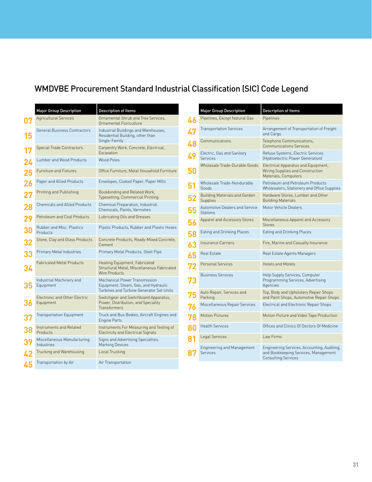## WMDVBE Procurement Standard Industrial Classification (SIC) Code Legend

|    | <b>Major Group Description</b>             | <b>Description of Items</b>                                                                                       |
|----|--------------------------------------------|-------------------------------------------------------------------------------------------------------------------|
|    | <b>Agricultural Services</b>               | Ornamental Shrub and Tree Services,<br>Ornamental Floriculture                                                    |
|    | <b>General Business Contractors</b>        | Industrial Buildings and Warehouses,<br>Residential Building, other than<br>Single-Family                         |
|    | Special Trade Contractors                  | Carpentry Work, Concrete, Electrical,<br>Excavation                                                               |
| 24 | Lumber and Wood Products                   | Wood Poles                                                                                                        |
| 25 | <b>Furniture and Fixtures</b>              | Office Furniture, Metal Household Furniture                                                                       |
| 26 | Paper and Allied Products                  | Envelopes, Coated Paper, Paper Mills                                                                              |
|    | Printing and Publishing                    | Bookbinding and Related Work,<br><b>Typesetting, Commercial Printing</b>                                          |
| 28 | <b>Chemicals and Allied Products</b>       | Chemical Preparation, Industrial<br>Chemicals, Paints, Varnishes                                                  |
| 29 | Petroleum and Coal Products                | Lubricating Oils and Greases                                                                                      |
| 30 | Rubber and Misc. Plastics<br>Products      | Plastic Products. Rubber and Plastic Hoses                                                                        |
|    | Stone, Clay and Glass Products             | Concrete Products, Ready-Mixed Concrete,<br>Cement                                                                |
| 33 | Primary Metal Industries                   | Primary Metal Products, Steel Pipe                                                                                |
| 34 | <b>Fabricated Metal Products</b>           | Heating Equipment, Fabricated<br>Structural Metal, Miscellaneous Fabricated<br>Wire Products                      |
|    | Industrial Machinery and<br>Equipment      | Mechanical Power Transmission<br>Equipment, Steam, Gas, and Hydraulic<br>Turbines and Turbine Generator Set Units |
|    | Electronic and Other Electric<br>Equipment | Switchgear and Switchboard Apparatus,<br>Power, Distribution, and Speciality<br>Transformers                      |
|    | Transportation Equipment                   | Truck and Bus Bodies, Aircraft Engines and<br><b>Engine Parts</b>                                                 |
| 38 | Instruments and Related<br>Products        | Instruments For Measuring and Testing of<br><b>Electricity and Electrical Signals</b>                             |
|    | Miscellaneous Manufacturing<br>Industries  | Signs and Advertising Specialties,<br><b>Marking Devices</b>                                                      |
| 42 | Trucking and Warehousing                   | Local Trucking                                                                                                    |
| 45 | Transportation by Air                      | Air Transportation                                                                                                |

|    | <b>Major Group Description</b>                       | <b>Description of Items</b>                                                                                       |
|----|------------------------------------------------------|-------------------------------------------------------------------------------------------------------------------|
| 46 | Pipelines, Except Natural Gas                        | Pipelines                                                                                                         |
| 47 | <b>Transportation Services</b>                       | Arrangement of Transportation of Freight<br>and Cargo                                                             |
| 48 | Communications                                       | Telephone Communications,<br><b>Communications Services</b>                                                       |
| 49 | Electric, Gas and Sanitary<br>Services               | Refuse Systems, Electric Services<br>(Hydroelectric Power Generation)                                             |
| 50 | Wholesale Trade-Durable Goods                        | Electrical Apparatus and Equipment,<br>Wiring Supplies and Construction<br>Materials, Computers                   |
| 51 | Wholesale Trade-Nondurable<br>Goods                  | Petroleum and Petroleum Products<br>Wholesalers, Stationery and Office Supplies                                   |
| 52 | <b>Building Materials and Garden</b><br>Supplies     | Hardware Stores, Lumber and Other<br><b>Building Materials</b>                                                    |
| 55 | <b>Automotive Dealers and Service</b><br>Stations    | Motor Vehicle Dealers                                                                                             |
| 56 | Apparel and Accessory Stores                         | Miscellaneous Apparel and Accessory<br><b>Stores</b>                                                              |
| 58 | Eating and Drinking Places                           | Eating and Drinking Places                                                                                        |
| 63 | <b>Insurance Carriers</b>                            | Fire, Marine and Casualty Insurance                                                                               |
| 65 | <b>Real Estate</b>                                   | Real Estate Agents Managers                                                                                       |
| 72 | <b>Personal Services</b>                             | <b>Hotels and Motels</b>                                                                                          |
| 73 | <b>Business Services</b>                             | Help Supply Services, Computer<br>Programming Services, Advertising<br>Agencies                                   |
| 75 | Auto Repair, Services and<br>Parking                 | Top, Body and Upholstery Repair Shops<br>and Paint Shops, Automotive Repair Shops                                 |
| 76 | Miscellaneous Repair Services                        | Electrical and Electronic Repair Shops                                                                            |
| 78 | <b>Motion Pictures</b>                               | Motion Picture and Video Tape Production                                                                          |
| 80 | <b>Health Services</b>                               | Offices and Clinics Of Doctors Of Medicine                                                                        |
| 81 | Legal Services                                       | Law Firms                                                                                                         |
|    | <b>Engineering and Management</b><br><b>Services</b> | Engineering Services, Accounting, Auditing,<br>and Bookkeeping Services, Management<br><b>Consulting Services</b> |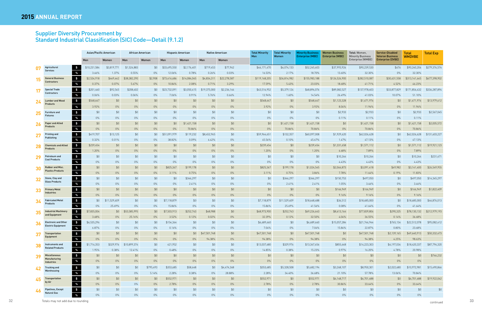## Supplier Diversity Procurement by Standard Industrial Classification (SIC) Code—Detail (9.1.2)

|    |                                                              |              | Asian/Pacific American |              | African American |              | <b>Hispanic American</b> |              | <b>Native American</b> |  | <b>Total Minority</b> | <b>Total Minority</b> | <b>Minority Business</b> | <b>Women Business</b>   | Total: Women,                                 | Service-Disabled                                    | <b>Total</b>  | <b>Total Exp</b> |
|----|--------------------------------------------------------------|--------------|------------------------|--------------|------------------|--------------|--------------------------|--------------|------------------------|--|-----------------------|-----------------------|--------------------------|-------------------------|-----------------------------------------------|-----------------------------------------------------|---------------|------------------|
|    |                                                              | Men          | Women                  | Men          | Women            | Men          | Women                    | Men          | Women                  |  | Men                   | Women                 | <b>Enterprise (MBE)</b>  | <b>Enterprise (WBE)</b> | <b>Minority Business</b><br>Enterprise (WMBE) | <b>Veteran Business</b><br><b>Enterprise (DVBE)</b> | <b>WMDVBE</b> |                  |
| 07 | $\sqrt{5}$<br>Agricultural                                   | \$10,231,584 | \$3,819,771            | \$1,524,883  | \$0              | \$33,695,550 | \$2,176,401              | \$719,453    | \$77,962               |  | \$46,171,470          | \$6,074,133           | \$52,245,603             | \$37,993,926            | \$90,239,530                                  | \$676                                               | \$90,240,206  | \$279,376,574    |
|    | <b>Services</b><br>%                                         | 3.66%        | 1.37%                  | 0.55%        | $0\%$            | 12.06%       | 0.78%                    | 0.26%        | 0.03%                  |  | 16.53%                | 2.17%                 | 18.70%                   | 13.60%                  | 32.30%                                        | $0\%$                                               | 32.30%        |                  |
| 15 | $\frac{1}{2}$<br><b>General Business</b>                     | \$2,534,918  | \$449,442              | \$38,382,290 | \$2,908          | \$73,416,686 | \$14,084,045             | \$4,834,311  | \$22,278,587           |  | \$119,168,205         | \$36,814,982          | \$155,983,188            | \$126,526,900           | \$282,510,087                                 | \$30,631,558                                        | \$313,141,645 | \$677,398,902    |
|    | <b>Contractors</b><br>$\%$                                   | 0.37%        | 0.07%                  | 5.67%        | $0\%$            | 10.84%       | 2.08%                    | 0.71%        | 3.29%                  |  | 17.59%                | 5.43%                 | 23.03%                   | 18.68%                  | 41.71%                                        | 4.52%                                               | 46.23%        |                  |
| 17 | $\frac{1}{2}$<br><b>Special Trade</b>                        | \$201,460    | \$92,545               | \$208,402    | \$0\$            | \$23,732,091 | \$3,050,415              | \$19,375,000 | \$2,236,164            |  | \$43,516,952          | \$5,379,124           | \$48,896,076             | \$89,082,527            | \$137,978,603                                 | \$33,877,829                                        | \$171,856,432 | \$336,287,894    |
|    | <b>Contractors</b><br>$\%$                                   | 0.06%        | 0.03%                  | 0.06%        | $0\%$            | 7.06%        | 0.91%                    | 5.76%        | 0.66%                  |  | 12.94%                | 1.60%                 | 14.54%                   | 26.49%                  | 41.03%                                        | 10.07%                                              | 51.10%        |                  |
| 24 | $\sqrt{5}$<br><b>Lumber and Wood</b>                         | \$548,647    | \$0                    | \$0          | \$0              | \$0          | \$0                      | \$0          | \$0                    |  | \$548,647             | \$0                   | \$548,647                | \$1,123,328             | \$1,671,976                                   | \$0                                                 | \$1,671,976   | \$13,979,612     |
|    | <b>Products</b><br>%                                         | 3.92%        | $0\%$                  | $0\%$        | $0\%$            | $0\%$        | $0\%$                    | $0\%$        | $0\%$                  |  | 3.92%                 | $0\%$                 | 3.92%                    | 8.04%                   | 11.96%                                        | $0\%$                                               | 11.96%        |                  |
| 25 | $\sim$<br><b>Furniture and</b>                               | \$0          | \$0                    | \$0          | \$0              | \$0          | \$0                      | \$0          | \$0                    |  | \$0                   | \$0                   | \$0                      | \$2,933                 | \$2,933                                       | \$0                                                 | \$2,933       | \$2,567,045      |
|    | <b>Fixtures</b><br>$\%$                                      | $0\%$        | $0\%$                  | $0\%$        | $0\%$            | $0\%$        | $0\%$                    | $0\%$        | $0\%$                  |  | $0\%$                 | $0\%$                 | $0\%$                    | 0.11%                   | 0.11%                                         | $0\%$                                               | 0.11%         |                  |
| 26 | $\sim$<br><b>Paper and Allied</b>                            | \$0          | \$0                    | \$0          | \$0              | \$0          | \$1,421,158              | \$0          | \$0                    |  | \$0                   | \$1,421,158           | \$1,421,158              | \$0                     | \$1,421,158                                   | \$0                                                 | \$1,421,158   | \$2,005,572      |
|    | <b>Products</b><br>$\%$                                      | $0\%$        | $0\%$                  | $0\%$        | $0\%$            | $0\%$        | 70.86%                   | $0\%$        | $0\%$                  |  | $0\%$                 | 70.86%                | 70.86%                   | $0\%$                   | 70.86%                                        | $0\%$                                               | 70.86%        |                  |
| 27 | $\frac{1}{2}$<br><b>Printing and</b>                         | \$419,707    | \$13,125               | \$0          | \$0\$            | \$51,091,979 | \$119,232                | \$8,452,965  | \$0                    |  | \$59,964,651          | \$132,357             | \$60,097,008             | \$1,929,620             | \$62,026,628                                  | \$0                                                 | \$62,026,628  | \$131,603,227    |
|    | Publishing<br>%                                              | 0.32%        | 0.01%                  | $0\%$        | $0\%$            | 38.82%       | 0.09%                    | 6.42%        | $0\%$                  |  | 45.56%                | 0.10%                 | 45.67%                   | 1.47%                   | 47.13%                                        | $0\%$                                               | 47.13%        |                  |
| 28 | $\frac{1}{2}$<br><b>Chemicals and Allied</b>                 | \$239,454    | \$0                    | \$0          | \$0              | \$0          | \$0                      | \$0          | \$0                    |  | \$239,454             | \$0                   | \$239,454                | \$1,331,658             | \$1,571,112                                   | \$0                                                 | \$1,571,112   | \$19,921,123     |
|    | <b>Products</b><br>$\%$                                      | 1.20%        | $0\%$                  | $0\%$        | $0\%$            | 0%           | $0\%$                    | $0\%$        | $0\%$                  |  | 1.20%                 | $0\%$                 | 1.20%                    | 6.68%                   | 7.89%                                         | $0\%$                                               | 7.89%         |                  |
| 29 | $\sim$<br>Petroleum and                                      | \$0          | \$0                    | \$0          | \$0              | \$0          | \$0                      | \$0          | \$0                    |  | \$0                   | \$0                   | \$0                      | \$10,264                | \$10,264                                      | \$0                                                 | \$10,264      | \$231,471        |
|    | <b>Coal Products</b><br>$\%$                                 | $0\%$        | $0\%$                  | $0\%$        | $0\%$            | $0\%$        | $0\%$                    | $0\%$        | $0\%$                  |  | $0\%$                 | $0\%$                 | $0\%$                    | 4.43%                   | 4.43%                                         | $0\%$                                               | 4.43%         |                  |
| 30 | $\frac{1}{2}$<br><b>Rubber and Misc.</b>                     | \$0          | \$0                    | \$0          | \$0              | \$825,367    | \$199,178                | \$0          | \$0                    |  | \$825,367             | \$199,178             | \$1,024,545              | \$2,066,873             | \$3,091,418                                   | \$49,982                                            | \$3,141,400   | \$26,549,955     |
|    | <b>Plastics Products</b><br>%                                | $0\%$        | $0\%$                  | $0\%$        | $0\%$            | 3.11%        | 0.75%                    | $0\%$        | $0\%$                  |  | 3.11%                 | 0.75%                 | 3.86%                    | 7.78%                   | 11.64%                                        | 0.19%                                               | 11.83%        |                  |
| 32 | $\sim$<br>Stone, Clay and                                    | \$0          | \$0                    | \$0          | \$0              | \$0          | \$346,297                | \$0          | \$0                    |  | \$0                   | \$346,297             | \$346,297                | \$150,753               | \$497,050                                     | \$0                                                 | \$497,050     | \$14,345,297     |
|    | <b>Glass Products</b><br>$\%$                                | $0\%$        | $0\%$                  | $0\%$        | $0\%$            | $0\%$        | 2.41%                    | $0\%$        | $0\%$                  |  | $0\%$                 | 2.41%                 | 2.41%                    | 1.05%                   | 3.46%                                         | $0\%$                                               | 3.46%         |                  |
| 33 | $\sim$<br><b>Primary Metal</b>                               | \$0          | \$0                    | \$0          | \$0              | \$0          | \$0                      | \$0          | \$0                    |  | \$0                   | \$0                   | \$0                      | \$166,949               | \$166,949                                     | \$0                                                 | \$166,949     | \$1,822,409      |
|    | <b>Industries</b><br>$\%$                                    | $0\%$        | $0\%$                  | $0\%$        | $0\%$            | $0\%$        | $0\%$                    | $0\%$        | $0\%$                  |  | $0\%$                 | $0\%$                 | $0\%$                    | 9.16%                   | 9.16%                                         | $0\%$                                               | 9.16%         |                  |
| 34 | $\frac{1}{2}$<br><b>Fabricated Metal</b>                     | \$0          | \$11,529,609           | \$0          | \$0              | \$7,118,879  | \$0                      | \$0          | \$0                    |  | \$7,118,879           | \$11,529,609          | \$18,648,488             | \$36,512                | \$18,685,000                                  | \$0                                                 | \$18,685,000  | \$44,876,013     |
|    | Products<br>$\%$                                             | $0\%$        | 25.69%                 | $0\%$        | $0\%$            | 15.86%       | $0\%$                    | $0\%$        | $0\%$                  |  | 15.86%                | 25.69%                | 41.56%                   | 0.08%                   | 41.64%                                        | $0\%$                                               | 41.64%        |                  |
| 35 | $\frac{1}{2}$<br><b>Industrial Machinery</b>                 | \$7,835,004  | \$0                    | \$53,585,995 | \$0              | \$7,503,913  | \$252,743                | \$48,988     | \$0                    |  | \$68,973,900          | \$252,743             | \$69,226,643             | \$8,613,164             | \$77,839,806                                  | \$290,325                                           | \$78,130,132  | \$212,979,193    |
|    | and Equipment<br>$\%$                                        | 3.68%        | 0%                     | 25.16%       | $0\%$            | 3.52%        | 0.12%                    | 0.02%        | $0\%$                  |  | 32.39%                | 0.12%                 | 32.50%                   | 4.04%                   | 36.55%                                        | 0.14%                                               | 36.68%        |                  |
| 36 | $\frac{1}{2}$<br><b>Electronic and Other</b>                 | \$6,535,296  | \$0                    | \$0          | \$0              | \$154,364    | \$0                      | \$0          | \$0                    |  | \$6,689,660           | \$0                   | \$6,689,660              | \$15,057,284            | \$21,746,944                                  | \$765,134                                           | \$22,512,078  | \$95,082,412     |
|    | Electric Equipment<br>%                                      | 6.87%        | $0\%$                  | $0\%$        | $0\%$            | 0.16%        | $0\%$                    | $0\%$        | $0\%$                  |  | 7.04%                 | $0\%$                 | 7.04%                    | 15.84%                  | 22.87%                                        | 0.80%                                               | 23.68%        |                  |
| 37 | $\frac{1}{2}$<br>Transportation<br>Equipment                 | \$0          | \$0                    | \$0          | \$0              | \$0          | \$0                      | \$47,501,748 | \$0                    |  | \$47,501,748          | \$0                   | \$47,501,748             | \$0                     | \$47,501,748                                  | \$2,139,165                                         | \$49,640,913  | \$50,332,473     |
|    | %                                                            | $0\%$        | $0\%$                  | $0\%$        | $0\%$            | $0\%$        | $0\%$                    | 94.38%       | $0\%$                  |  | 94.38%                | $0\%$                 | 94.38%                   | $0\%$                   | 94.38%                                        | 4.25%                                               | 98.63%        |                  |
| 38 | $\frac{1}{2}$<br>Instruments and<br><b>Related Products</b>  | \$1,716,353  | \$329,976              | \$10,899,374 | \$0              | 421,952      | \$0                      | \$0          | \$0                    |  | \$13,037,680          | \$329,976             | \$13,367,656             | \$855,648               | \$14,223,303                                  | \$4,197,034                                         | \$18,420,337  | \$87,794,320     |
|    | $\%$                                                         | 1.95%        | 0.38%                  | 12.41%       | $0\%$            | 0.48%        | $0\%$                    | 0%           | $0\%$                  |  | 14.85%                | 0.38%                 | 15.23%                   | 0.97%                   | 16.20%                                        | 4.78%                                               | 20.98%        |                  |
| 39 | $\sqrt{5}$<br><b>Miscellaneous</b><br>Manufacturing          | \$0          | \$0                    | \$0          | \$0              | \$0          | \$0                      | \$0          | \$0                    |  | \$0                   | \$0                   | \$0                      | \$0                     | \$0                                           | \$0                                                 | \$0           | \$746,232        |
|    | %<br>Industries                                              | $0\%$        | $0\%$                  | $0\%$        | $0\%$            | $0\%$        | $0\%$                    | $0\%$        | $0\%$                  |  | $0\%$                 | $0\%$                 | $0\%$                    | $0\%$                   | $0\%$                                         | $0\%$                                               | $0\%$         |                  |
| 42 | $\frac{1}{2}$<br><b>Trucking and</b><br>Warehousing          | \$0          | \$0                    | \$0          | \$795,493        | \$353,685    | \$58,648                 | \$0          | \$4,474,368            |  | \$353,685             | \$5,328,508           | \$5,682,194              | \$3,268,107             | \$8,950,301                                   | \$2,022,680                                         | \$10,972,981  | \$15,490,866     |
|    | $\%$                                                         | $0\%$        | $0\%$                  | $0\%$        | 5.14%            | 2.28%        | 0.38%                    | $0\%$        | 28.88%                 |  | 2.28%                 | 34.40%                | 36.68%                   | 21.10%                  | 57.78%                                        | 13.06%                                              | 70.84%        |                  |
| 45 | $\frac{1}{2}$<br>Transportation<br>by Air                    | \$0          | \$0                    | \$0          | \$0              | \$552,971    | \$0                      | \$0          | \$0                    |  | \$552,971             | \$0                   | \$552,971                | \$6,148,717             | \$6,701,688                                   | \$0                                                 | \$6,701,688   | \$19,922,042     |
|    | %                                                            | $0\%$        | $0\%$                  | $0\%$        | $0\%$            | 2.78%        | $0\%$                    | $0\%$        | $0\%$                  |  | 2.78%                 | $0\%$                 | 2.78%                    | 30.86%                  | 33.64%                                        | $0\%$                                               | 33.64%        |                  |
| 46 | $\sqrt{ }$<br><b>Pipelines, Except</b><br><b>Natural Gas</b> | \$0          | \$0                    | \$0          | \$0              | \$0          | \$0                      | \$0          | \$0                    |  | \$0                   | \$0                   | \$0                      | \$0                     | \$0                                           | \$0                                                 | \$0           | \$0              |
|    | $\%$                                                         | $0\%$        | $0\%$                  | $0\%$        | $0\%$            | $0\%$        | $0\%$                    | $0\%$        | $0\%$                  |  | $0\%$                 | $0\%$                 | $0\%$                    | $0\%$                   | $0\%$                                         | $0\%$                                               | $0\%$         |                  |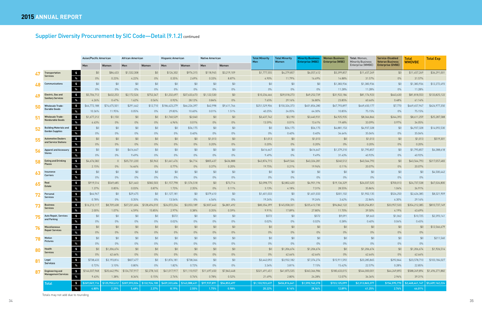## Supplier Diversity Procurement by SIC Code-Detail (9.1.2) continued

|    |                                                                       |               | Asian/Pacific American |               | African American |               | <b>Hispanic American</b> |              | <b>Native American</b> |                 | <b>Total Minority</b><br>Women | <b>Minority Business</b><br><b>Enterprise (MBE)</b> | <b>Women Business</b><br><b>Enterprise (WBE)</b> | Total: Women,<br><b>Minority Business</b> | Service-Disabled<br><b>Veteran Business</b> | Total<br><b>WMDVBE</b> | <b>Total Exp</b> |
|----|-----------------------------------------------------------------------|---------------|------------------------|---------------|------------------|---------------|--------------------------|--------------|------------------------|-----------------|--------------------------------|-----------------------------------------------------|--------------------------------------------------|-------------------------------------------|---------------------------------------------|------------------------|------------------|
|    |                                                                       | Men           | Women                  | Men           | Women            | Men           | Women                    | Men          | Women                  | <b>Men</b>      |                                |                                                     |                                                  | Enterprise (WMBE)                         | <b>Enterprise (DVBE)</b>                    |                        |                  |
|    | $\sqrt{5}$<br>Transportation                                          | \$0           | \$84,433               | \$1,532,308   | \$0              | \$126,302     | \$976,315                | \$118,945    | \$3,219,109            | \$1,777,555     | \$4,279,857                    | \$6,057,412                                         | \$5,399,857                                      | \$11,457,269                              | \$0                                         | \$11,457,269           | \$36,291,001     |
|    | <b>Services</b><br>$\%$                                               | $0\%$         | 0.23%                  | 4.22%         | $0\%$            | 0.35%         | 2.69%                    | 0.33%        | 8.87%                  | 4.90%           | 11.79%                         | 16.69%                                              | 14.88%                                           | 31.57%                                    | $0\%$                                       | 31.57%                 |                  |
|    | $\frac{1}{2}$<br><b>Communications</b>                                | \$0           | \$0                    | \$0           | \$0              | \$0           | \$0                      | \$0          | \$0                    | \$0             | \$0                            | \$0                                                 | \$1,383,936                                      | \$1,383,936                               | \$0                                         | \$1,383,936            | \$12,272,493     |
|    | %                                                                     | 0%            | $0\%$                  | $0\%$         | $0\%$            | $0\%$         | $0\%$                    | $0\%$        | $0\%$                  | $0\%$           | $0\%$                          | $0\%$                                               | 11.28%                                           | 11.28%                                    | $0\%$                                       | 11.28%                 |                  |
|    | $\frac{1}{2}$<br>Electric, Gas and                                    | \$5,706,712   | \$632,253              | \$2,172,526   | \$752,347        | \$1,232,697   | \$37,633,673             | \$1,122,530  | \$0                    | \$10,234,466    | \$39,018,273                   | \$49,252,739                                        | \$31,922,184                                     | \$81,174,923                              | \$643,630                                   | \$81,818,553           | \$133,825,122    |
|    | <b>Sanitary Services</b><br>$\%$                                      | 4.26%         | 0.47%                  | 1.62%         | 0.56%            | 0.92%         | 28.12%                   | 0.84%        | $0\%$                  | 7.65%           | 29.16%                         | 36.80%                                              | 23.85%                                           | 60.66%                                    | 0.48%                                       | 61.14%                 |                  |
| 50 | $\frac{1}{2}$<br><b>Wholesale Trade-</b>                              | \$64,772,188  | \$74,675,501           | \$291,442     | \$12,710         | \$186,423,279 | \$66,226,397             | \$42,998     | \$9,411,766            | \$251,529,906   | \$150,326,373                  | \$401,856,280                                       | \$67,793,897                                     | \$469,650,177                             | \$7,770                                     | \$469,657,947          | \$624,977,350    |
|    | <b>Durable Goods</b><br>%                                             | 10.36%        | 11.95%                 | 0.05%         | 0%               | 29.83%        | 10.60%                   | 0.01%        | 1.51%                  | 40.25%          | 24.05%                         | 64.30%                                              | 10.85%                                           | 75.15%                                    | 0%                                          | 75.15%                 |                  |
| 51 | $\frac{1}{2}$<br><b>Wholesale Trade-</b>                              | \$1,677,212   | \$1,150                | \$0           | \$0              | \$1,760,529   | \$2,040                  | \$0          | \$0                    | \$3,437,742     | \$3,190                        | \$3,440,931                                         | \$4,925,935                                      | \$8,366,866                               | \$244,393                                   | \$8,611,259            | \$25,287,588     |
|    | <b>Nondurable Goods</b><br>$\%$                                       | 6.63%         | $0\%$                  | $0\%$         | $0\%$            | 6.96%         | 0.01%                    | $0\%$        | $0\%$                  | 13.59%          | 0.01%                          | 13.61%                                              | 19.48%                                           | 33.09%                                    | 0.97%                                       | 34.05%                 |                  |
| 52 | $\frac{1}{2}$<br><b>Building Materials and</b>                        | \$0           | \$0                    | \$0           | \$0              | \$0           | \$56,175                 | \$0          | $$0$$                  | \$0             | \$56,175                       | \$56,175                                            | \$4,881,153                                      | \$4,937,328                               | \$0                                         | \$4,937,328            | \$14,092,530     |
|    | <b>Garden Supplies</b><br>$\%$                                        | $0\%$         | $0\%$                  | $0\%$         | $0\%$            | $0\%$         | 0.40%                    | $0\%$        | $0\%$                  | $0\%$           | 0.40%                          | 0.40%                                               | 34.64%                                           | 35.04%                                    | $0\%$                                       | 35.04%                 |                  |
| 55 | $\frac{1}{2}$<br><b>Automotive Dealers</b><br>and Service Stations    | \$0           | \$0                    | \$0           | \$0              | \$0           | \$0                      | \$1,013      | \$0                    | \$1,013         | \$0                            | \$1,013                                             | \$0                                              | \$1,013                                   | \$0                                         | \$1,013                | \$519,301        |
|    | $\%$                                                                  | $0\%$         | $0\%$                  | $0\%$         | $0\%$            | $0\%$         | $0\%$                    | 0.20%        | $0\%$                  | 0.20%           | $0\%$                          | 0.20%                                               | $0\%$                                            | 0.20%                                     | $0\%$                                       | 0.20%                  |                  |
| 56 | $\frac{3}{2}$<br><b>Apparel and Accessory</b><br><b>Stores</b>        | \$0           | \$0                    | \$416,647     | \$0              | \$0           | \$0                      | \$0          | \$0                    | \$416,647       | \$0                            | \$416,647                                           | \$1,379,210                                      | \$1,795,857                               | \$0                                         | \$1,795,857            | \$4,388,618      |
|    | %                                                                     | 0%            | $0\%$                  | 9.49%         | $0\%$            | $0\%$         | $0\%$                    | $0\%$        | $0\%$                  | 9.49%           | $0\%$                          | 9.49%                                               | 31.43%                                           | 40.92%                                    | $0\%$                                       | 40.92%                 |                  |
| 58 | $\sqrt{5}$<br><b>Eating and Drinking</b><br><b>Places</b>             | \$4,676,582   | $\bigcap$              | \$35,731,220  | \$5,963          | \$1,661,476   | \$6,714                  | \$805,437    | \$436,888              | \$42,874,715    | \$449,566                      | \$43,324,281                                        | \$240,512                                        | \$43,564,793                              | \$0                                         | \$43,564,793           | \$217,057,483    |
|    |                                                                       | $\%$<br>2.15% | $0\%$                  | 16.46%        | $0\%$            | 0.77%         | $0\%$                    | 0.37%        | 0.20%                  | 19.75%          | 0.21%                          | 19.96%                                              | 0.11%                                            | 20.07%                                    | $0\%$                                       | 20.07%                 |                  |
| 63 | $\sim$<br>Insurance<br>Carriers                                       | \$0           | \$0                    | \$0           | \$0              | \$0           | \$0                      | \$0          | \$0                    | \$0             | \$0                            | \$0                                                 | \$0                                              | \$0                                       | \$0                                         | \$0                    | \$4,500,442      |
|    | %                                                                     | $0\%$         | $0\%$                  | $0\%$         | $0\%$            | 0%            | $0\%$                    | $0\%$        | $0\%$                  | $0\%$           | $0\%$                          | $0\%$                                               | $0\%$                                            | $0\%$                                     | $0\%$                                       | $0\%$                  |                  |
| 65 | $\sim$<br>Real<br>Estate                                              | \$919,514     | \$569,685              | \$21,463      | \$582,503        | \$1,157,798   | \$1,576,518              | \$0          | \$73,714               | \$2,098,775     | \$2,802,420                    | \$4,901,196                                         | \$19,136,329                                     | \$24,037,525                              | \$700,013                                   | \$24,737,538           | \$67,024,800     |
|    | %                                                                     | 1.37%         | 0.85%                  | 0.03%         | 0.87%            | 1.73%         | 2.35%                    | $0\%$        | 0.11%                  | 3.13%           | 4.18%                          | 7.31%                                               | 28.55%                                           | 35.86%                                    | 1.04%                                       | 36.91%                 |                  |
| 72 | $\sqrt{ }$<br>Personal<br><b>Services</b>                             | \$64,967      | \$0                    | \$29,475      | \$0              | \$1,127,181   | \$0                      | \$379,410    | \$0                    | \$1,601,033     | \$0                            | \$1,601,033                                         | \$301,102                                        | \$1,902,135                               | \$524,250                                   | \$2,426,385            | \$8,321,909      |
|    | $\%$                                                                  | 0.78%         | $0\%$                  | 0.35%         | $0\%$            | 13.54%        | $0\%$                    | 4.56%        | $0\%$                  | 19.24%          | $0\%$                          | 19.24%                                              | 3.62%                                            | 22.86%                                    | 6.30%                                       | 29.16%                 |                  |
|    | $\frac{1}{2}$<br><b>Business</b><br><b>Services</b>                   | \$16,213,117  | \$8,709,638            | \$37,231,604  | \$128,494,010    | \$24,072,234  | \$3,053,189              | \$2,837,443  | \$4,801,492            | \$80,354,399    | \$145,058,331                  | \$225,412,730                                       | \$94,842,122                                     | \$320,254,851                             | \$33,957,533                                | \$354,212,385          | \$810,737,149    |
|    | %                                                                     | 2.00%         | 1.07%                  | 4.59%         | 15.85%           | 2.97%         | 0.38%                    | 0.35%        | 0.59%                  | 9.91%           | 17.89%                         | 27.80%                                              | 11.70%                                           | 39.50%                                    | 4.19%                                       | 43.69%                 |                  |
|    | $\frac{3}{2}$<br><b>Auto Repair, Services</b><br>and Parking          | \$0           | \$0                    | \$0           | \$0              | \$572         | \$0                      | \$0          | \$0                    | \$572           | \$0                            | \$572                                               | \$9,091                                          | \$9,663                                   | \$1,062                                     | \$10,725               | \$2,393,141      |
|    | $\%$                                                                  | $0\%$         | $0\%$                  | $0\%$         | $0\%$            | 0.02%         | $0\%$                    | $0\%$        | $0\%$                  | 0.02%           | $0\%$                          | 0.02%                                               | 0.38%                                            | 0.40%                                     | 0.04%                                       | 0.45%                  |                  |
| 76 | $\frac{1}{2}$<br>Miscellaneous<br><b>Repair Services</b>              | \$0           | \$0                    | \$0           | \$0              | \$0           | \$0                      | \$0          | \$0                    | \$0             | \$0                            | \$0                                                 | \$0                                              | \$0                                       | \$0                                         | \$0                    | \$12,566,679     |
|    | %                                                                     | $0\%$         | $0\%$                  | $0\%$         | $0\%$            | $0\%$         | $0\%$                    | $0\%$        | $0\%$                  | $0\%$           | $0\%$                          | $0\%$                                               | $0\%$                                            | $0\%$                                     | $0\%$                                       | $0\%$                  |                  |
|    | $\sqrt{5}$<br>Motion<br><b>Pictures</b>                               | \$0           | \$0                    | \$0           | \$0              | \$0           | \$0                      | \$0          | \$0                    | \$0             | \$0                            | \$0                                                 | \$0                                              | \$0                                       | \$0                                         | \$0                    | \$211,560        |
|    | %                                                                     | $0\%$         | $0\%$                  | $0\%$         | $0\%$            | $0\%$         | $0\%$                    | $0\%$        | $0\%$                  | $0\%$           | $0\%$                          | $0\%$                                               | $0\%$                                            | 0%                                        | $0\%$                                       | $0\%$                  |                  |
|    | $\sim$<br>Health<br><b>Services</b>                                   | \$0           | \$1,206,674            | \$0           | \$0              | \$0           | \$0                      | \$0          | \$0                    | \$0             | \$1,206,674                    | \$1,206,674                                         | \$0                                              | \$1,206,674                               | \$0                                         | \$1,206,674            | \$1,926,514      |
|    | %                                                                     | $0\%$         | 62.64%                 | $0\%$         | $0\%$            | $0\%$         | $0\%$                    | $0\%$        | $0\%$                  | $0\%$           | 62.64%                         | 62.64%                                              | $0\%$                                            | 62.64%                                    | $0\%$                                       | 62.64%                 |                  |
| 81 | $\sim$<br>Legal<br><b>Services</b>                                    | \$738,433     | \$3,193,816            | \$827,477     | \$0              | \$1,876,181   | \$738,366                | \$0          | \$0                    | \$3,442,092     | \$3,932,182                    | \$7,374,274                                         | \$15,911,592                                     | \$23,285,865                              | \$292,844                                   | \$23,578,710           | \$103,184,027    |
|    | $\%$                                                                  | 0.72%         | 3.10%                  | 0.80%         | $0\%$            | 1.82%         | 0.72%                    | $0\%$        | $0\%$                  | 3.34%           | 3.81%                          | 7.15%                                               | 15.42%                                           | 22.57%                                    | 0.28%                                       | 22.85%                 |                  |
| 87 | $\frac{1}{2}$<br><b>Engineering and</b><br><b>Management Services</b> | \$144,037,968 | \$20,642,994           | \$124,737,917 | \$2,278,165      | \$41,017,917  | \$11,110,927             | \$11,697,650 | \$7,843,448            | \$321,491,451   | \$41,875,535                   | \$363,366,986                                       | \$180,633,015                                    | \$544,000,001                             | \$44,249,893                                | \$588,249,894          | \$1,496,271,882  |
|    | %                                                                     | 9.63%         | 1.38%                  | 8.34%         | 0.15%            | 2.74%         | 0.74%                    | 0.78%        | 0.52%                  | 21.49%          | 2.80%                          | 24.28%                                              | 12.07%                                           | 36.36%                                    | 2.96%                                       | 39.31%                 |                  |
|    | $\sim$<br>Total                                                       | 6269,069,116  | \$125,950,612          | \$307,593,024 | \$132,924,100    | \$459,323,606 | \$143,088,431            | \$97,937,891 | \$54,853,497           | \$1,133,923,637 | \$456,816,641                  | \$1,590,740,278                                     | \$723,125,099                                    | \$2,313,865,377                           | \$154,595,770                               | \$2,468,461,147        | \$5,609,162,224  |
|    | %                                                                     | 4.80%         | 2.25%                  | 5.48%         | 2.37%            | 8.19%         | 2.55%                    | 1.75%        | 0.98%                  | 20.22%          | 8.14%                          | 28.36%                                              | 12.89%                                           | 41.25%                                    | 2.76%                                       | 44.01%                 |                  |

Totals may not add due to rounding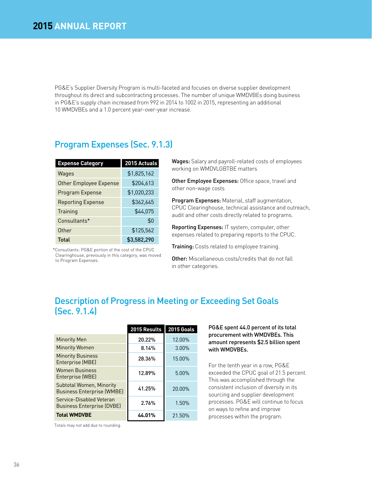PG&E's Supplier Diversity Program is multi-faceted and focuses on diverse supplier development throughout its direct and subcontracting processes. The number of unique WMDVBEs doing business in PG&E's supply chain increased from 992 in 2014 to 1002 in 2015, representing an additional 10 WMDVBEs and a 1.0 percent year-over-year increase.

## Program Expenses (Sec. 9.1.3)

| <b>Expense Category</b>  | 2015 Actuals |
|--------------------------|--------------|
| Wages                    | \$1,825,162  |
| Other Employee Expense   | \$204,613    |
| Program Expense          | \$1,020,233  |
| <b>Reporting Expense</b> | \$362,645    |
| Training                 | \$44,075     |
| Consultants*             | \$0          |
| Other                    | \$125,562    |
| Total                    | \$3,582,290  |

\*Consultants: PG&E portion of the cost of the CPUC Clearinghouse, previously in this category, was moved to Program Expenses.

Wages: Salary and payroll-related costs of employees working on WMDVLGBTBE matters

Other Employee Expenses: Office space, travel and other non-wage costs

Program Expenses: Material, staff augmentation, CPUC Clearinghouse, technical assistance and outreach, audit and other costs directly related to programs.

Reporting Expenses: IT system, computer, other expenses related to preparing reports to the CPUC.

Training: Costs related to employee training.

Other: Miscellaneous costs/credits that do not fall in other categories.

## Description of Progress in Meeting or Exceeding Set Goals (Sec. 9.1.4)

|                                                                      | 2015 Results | <b>2015 Goals</b> |
|----------------------------------------------------------------------|--------------|-------------------|
| <b>Minority Men</b>                                                  | 20.22%       | 12.00%            |
| <b>Minority Women</b>                                                | 8.14%        | 3.00%             |
| <b>Minority Business</b><br>Enterprise (MBE)                         | 28.36%       | 15.00%            |
| <b>Women Business</b><br>Enterprise (WBE)                            | 12.89%       | 5.00%             |
| <b>Subtotal Women, Minority</b><br><b>Business Enterprise (WMBE)</b> | 41.25%       | 20.00%            |
| Service-Disabled Veteran<br><b>Business Enterprise (DVBE)</b>        | 2.76%        | 1.50%             |
| <b>Total WMDVBE</b>                                                  | 44.01%       | 21.50%            |

#### PG&E spent 44.0 percent of its total procurement with WMDVBEs. This amount represents \$2.5 billion spent with WMDVBEs.

For the tenth year in a row, PG&E exceeded the CPUC goal of 21.5 percent. This was accomplished through the consistent inclusion of diversity in its sourcing and supplier development processes. PG&E will continue to focus on ways to refine and improve processes within the program.

Totals may not add due to rounding.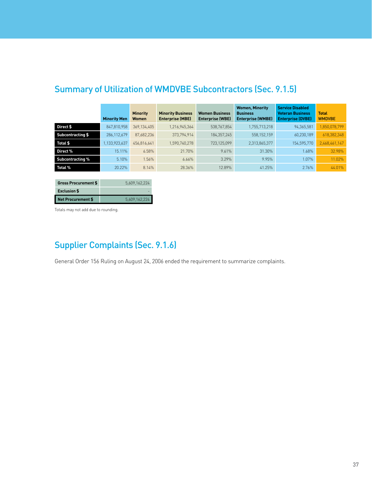|                         | <b>Minority Men</b> | <b>Minority</b><br>Women | <b>Minority Business</b><br><b>Enterprise (MBE)</b> | <b>Women Business</b><br><b>Enterprise (WBE)</b> | <b>Women, Minority</b><br><b>Business</b><br><b>Enterprise (WMBE)</b> | <b>Service Disabled</b><br><b>Veteran Business</b><br><b>Enterprise (DVBE)</b> | <b>Total</b><br><b>WMDVBE</b> |
|-------------------------|---------------------|--------------------------|-----------------------------------------------------|--------------------------------------------------|-----------------------------------------------------------------------|--------------------------------------------------------------------------------|-------------------------------|
| Direct \$               | 847,810,958         | 369,134,405              | 1,216,945,364                                       | 538,767,854                                      | 1,755,713,218                                                         | 94,365,581                                                                     | 1,850,078,799                 |
| Subcontracting \$       | 286,112,679         | 87,682,236               | 373,794,914                                         | 184,357,245                                      | 558, 152, 159                                                         | 60,230,189                                                                     | 618,382,348                   |
| Total \$                | 1,133,923,637       | 456,816,641              | 1,590,740,278                                       | 723,125,099                                      | 2,313,865,377                                                         | 154,595,770                                                                    | 2,468,461,147                 |
| Direct %                | 15.11%              | 6.58%                    | 21.70%                                              | 9.61%                                            | 31.30%                                                                | 1.68%                                                                          | 32.98%                        |
| <b>Subcontracting %</b> | 5.10%               | 1.56%                    | 6.66%                                               | 3.29%                                            | 9.95%                                                                 | 1.07%                                                                          | 11.02%                        |
| <b>Total %</b>          | 20.22%              | 8.14%                    | 28.36%                                              | 12.89%                                           | 41.25%                                                                | 2.76%                                                                          | 44.01%                        |
|                         |                     |                          |                                                     |                                                  |                                                                       |                                                                                |                               |

# Summary of Utilization of WMDVBE Subcontractors (Sec. 9.1.5)

| Gross Procurement \$      | 5,609,162,224 |
|---------------------------|---------------|
| <b>Exclusion \$</b>       |               |
| <b>Net Procurement \$</b> | 5,609,162,224 |

Totals may not add due to rounding.

# Supplier Complaints (Sec. 9.1.6)

General Order 156 Ruling on August 24, 2006 ended the requirement to summarize complaints.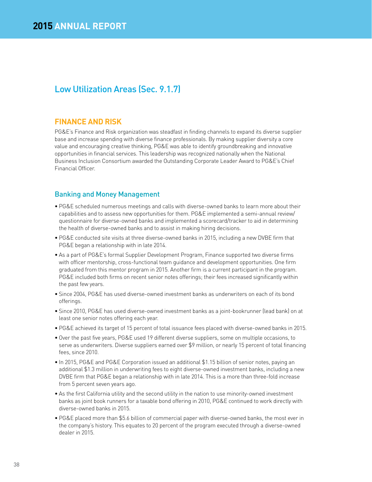# Low Utilization Areas (Sec. 9.1.7)

### **FINANCE AND RISK**

PG&E's Finance and Risk organization was steadfast in finding channels to expand its diverse supplier base and increase spending with diverse finance professionals. By making supplier diversity a core value and encouraging creative thinking, PG&E was able to identify groundbreaking and innovative opportunities in financial services. This leadership was recognized nationally when the National Business Inclusion Consortium awarded the Outstanding Corporate Leader Award to PG&E's Chief Financial Officer.

### Banking and Money Management

- PG&E scheduled numerous meetings and calls with diverse-owned banks to learn more about their capabilities and to assess new opportunities for them. PG&E implemented a semi-annual review/ questionnaire for diverse-owned banks and implemented a scorecard/tracker to aid in determining the health of diverse-owned banks and to assist in making hiring decisions.
- PG&E conducted site visits at three diverse-owned banks in 2015, including a new DVBE firm that PG&E began a relationship with in late 2014.
- As a part of PG&E's formal Supplier Development Program, Finance supported two diverse firms with officer mentorship, cross-functional team guidance and development opportunities. One firm graduated from this mentor program in 2015. Another firm is a current participant in the program. PG&E included both firms on recent senior notes offerings; their fees increased significantly within the past few years.
- Since 2004, PG&E has used diverse-owned investment banks as underwriters on each of its bond offerings.
- Since 2010, PG&E has used diverse-owned investment banks as a joint-bookrunner (lead bank) on at least one senior notes offering each year.
- PG&E achieved its target of 15 percent of total issuance fees placed with diverse-owned banks in 2015.
- Over the past five years, PG&E used 19 different diverse suppliers, some on multiple occasions, to serve as underwriters. Diverse suppliers earned over \$9 million, or nearly 15 percent of total financing fees, since 2010.
- In 2015, PG&E and PG&E Corporation issued an additional \$1.15 billion of senior notes, paying an additional \$1.3 million in underwriting fees to eight diverse-owned investment banks, including a new DVBE firm that PG&E began a relationship with in late 2014. This is a more than three-fold increase from 5 percent seven years ago.
- As the first California utility and the second utility in the nation to use minority-owned investment banks as joint book runners for a taxable bond offering in 2010, PG&E continued to work directly with diverse-owned banks in 2015.
- PG&E placed more than \$5.6 billion of commercial paper with diverse-owned banks, the most ever in the company's history. This equates to 20 percent of the program executed through a diverse-owned dealer in 2015.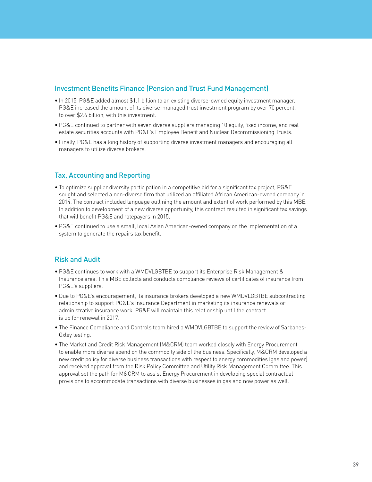### Investment Benefits Finance (Pension and Trust Fund Management)

- In 2015, PG&E added almost \$1.1 billion to an existing diverse-owned equity investment manager. PG&E increased the amount of its diverse-managed trust investment program by over 70 percent, to over \$2.6 billion, with this investment.
- PG&E continued to partner with seven diverse suppliers managing 10 equity, fixed income, and real estate securities accounts with PG&E's Employee Benefit and Nuclear Decommissioning Trusts.
- Finally, PG&E has a long history of supporting diverse investment managers and encouraging all managers to utilize diverse brokers.

### Tax, Accounting and Reporting

- To optimize supplier diversity participation in a competitive bid for a significant tax project, PG&E sought and selected a non-diverse firm that utilized an affiliated African American-owned company in 2014. The contract included language outlining the amount and extent of work performed by this MBE. In addition to development of a new diverse opportunity, this contract resulted in significant tax savings that will benefit PG&E and ratepayers in 2015.
- PG&E continued to use a small, local Asian American-owned company on the implementation of a system to generate the repairs tax benefit.

### Risk and Audit

- PG&E continues to work with a WMDVLGBTBE to support its Enterprise Risk Management & Insurance area. This MBE collects and conducts compliance reviews of certificates of insurance from PG&E's suppliers.
- Due to PG&E's encouragement, its insurance brokers developed a new WMDVLGBTBE subcontracting relationship to support PG&E's Insurance Department in marketing its insurance renewals or administrative insurance work. PG&E will maintain this relationship until the contract is up for renewal in 2017.
- The Finance Compliance and Controls team hired a WMDVLGBTBE to support the review of Sarbanes-Oxley testing.
- The Market and Credit Risk Management (M&CRM) team worked closely with Energy Procurement to enable more diverse spend on the commodity side of the business. Specifically, M&CRM developed a new credit policy for diverse business transactions with respect to energy commodities (gas and power) and received approval from the Risk Policy Committee and Utility Risk Management Committee. This approval set the path for M&CRM to assist Energy Procurement in developing special contractual provisions to accommodate transactions with diverse businesses in gas and now power as well.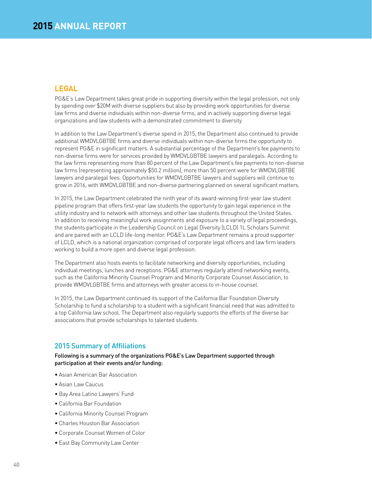### **LEGAL**

PG&E's Law Department takes great pride in supporting diversity within the legal profession, not only by spending over \$20M with diverse suppliers but also by providing work opportunities for diverse law firms and diverse individuals within non-diverse firms, and in actively supporting diverse legal organizations and law students with a demonstrated commitment to diversity.

In addition to the Law Department's diverse spend in 2015, the Department also continued to provide additional WMDVLGBTBE firms and diverse individuals within non-diverse firms the opportunity to represent PG&E in significant matters. A substantial percentage of the Department's fee payments to non-diverse firms were for services provided by WMDVLGBTBE lawyers and paralegals. According to the law firms representing more than 80 percent of the Law Department's fee payments to non-diverse law firms (representing approximately \$50.2 million), more than 50 percent were for WMDVLGBTBE lawyers and paralegal fees. Opportunities for WMDVLGBTBE lawyers and suppliers will continue to grow in 2016, with WMDVLGBTBE and non-diverse partnering planned on several significant matters.

In 2015, the Law Department celebrated the ninth year of its award-winning first-year law student pipeline program that offers first-year law students the opportunity to gain legal experience in the utility industry and to network with attorneys and other law students throughout the United States. In addition to receiving meaningful work assignments and exposure to a variety of legal proceedings, the students participate in the Leadership Council on Legal Diversity (LCLD) 1L Scholars Summit and are paired with an LCLD life-long mentor. PG&E's Law Department remains a proud supporter of LCLD, which is a national organization comprised of corporate legal officers and law firm leaders working to build a more open and diverse legal profession.

The Department also hosts events to facilitate networking and diversity opportunities, including individual meetings, lunches and receptions. PG&E attorneys regularly attend networking events, such as the California Minority Counsel Program and Minority Corporate Counsel Association, to provide WMDVLGBTBE firms and attorneys with greater access to in-house counsel.

In 2015, the Law Department continued its support of the California Bar Foundation Diversity Scholarship to fund a scholarship to a student with a significant financial need that was admitted to a top California law school. The Department also regularly supports the efforts of the diverse bar associations that provide scholarships to talented students.

### 2015 Summary of Affiliations

Following is a summary of the organizations PG&E's Law Department supported through participation at their events and/or funding:

- Asian American Bar Association
- Asian Law Caucus
- Bay Area Latino Lawyers' Fund
- California Bar Foundation
- California Minority Counsel Program
- Charles Houston Bar Association
- Corporate Counsel Women of Color
- East Bay Community Law Center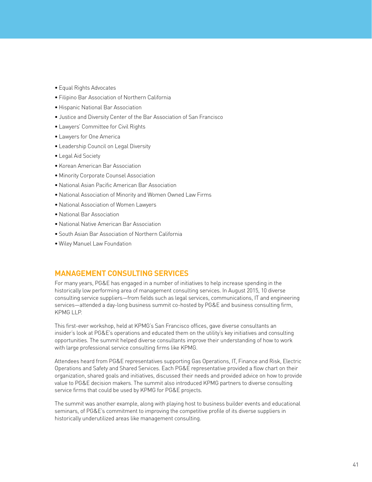- Equal Rights Advocates
- Filipino Bar Association of Northern California
- Hispanic National Bar Association
- Justice and Diversity Center of the Bar Association of San Francisco
- Lawyers' Committee for Civil Rights
- Lawyers for One America
- Leadership Council on Legal Diversity
- Legal Aid Society
- Korean American Bar Association
- Minority Corporate Counsel Association
- National Asian Pacific American Bar Association
- National Association of Minority and Women Owned Law Firms
- National Association of Women Lawyers
- National Bar Association
- National Native American Bar Association
- South Asian Bar Association of Northern California
- Wiley Manuel Law Foundation

### **MANAGEMENT CONSULTING SERVICES**

For many years, PG&E has engaged in a number of initiatives to help increase spending in the historically low performing area of management consulting services. In August 2015, 10 diverse consulting service suppliers—from fields such as legal services, communications, IT and engineering services—attended a day-long business summit co-hosted by PG&E and business consulting firm, KPMG LLP.

This first-ever workshop, held at KPMG's San Francisco offices, gave diverse consultants an insider's look at PG&E's operations and educated them on the utility's key initiatives and consulting opportunities. The summit helped diverse consultants improve their understanding of how to work with large professional service consulting firms like KPMG.

Attendees heard from PG&E representatives supporting Gas Operations, IT, Finance and Risk, Electric Operations and Safety and Shared Services. Each PG&E representative provided a flow chart on their organization, shared goals and initiatives, discussed their needs and provided advice on how to provide value to PG&E decision makers. The summit also introduced KPMG partners to diverse consulting service firms that could be used by KPMG for PG&E projects.

The summit was another example, along with playing host to business builder events and educational seminars, of PG&E's commitment to improving the competitive profile of its diverse suppliers in historically underutilized areas like management consulting.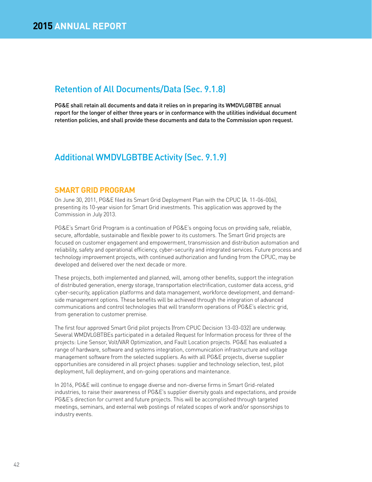# Retention of All Documents/Data (Sec. 9.1.8)

PG&E shall retain all documents and data it relies on in preparing its WMDVLGBTBE annual report for the longer of either three years or in conformance with the utilities individual document retention policies, and shall provide these documents and data to the Commission upon request.

### Additional WMDVLGBTBEActivity (Sec. 9.1.9)

### **SMART GRID PROGRAM**

On June 30, 2011, PG&E filed its Smart Grid Deployment Plan with the CPUC (A. 11-06-006), presenting its 10-year vision for Smart Grid investments. This application was approved by the Commission in July 2013.

PG&E's Smart Grid Program is a continuation of PG&E's ongoing focus on providing safe, reliable, secure, affordable, sustainable and flexible power to its customers. The Smart Grid projects are focused on customer engagement and empowerment, transmission and distribution automation and reliability, safety and operational efficiency, cyber-security and integrated services. Future process and technology improvement projects, with continued authorization and funding from the CPUC, may be developed and delivered over the next decade or more.

These projects, both implemented and planned, will, among other benefits, support the integration of distributed generation, energy storage, transportation electrification, customer data access, grid cyber-security, application platforms and data management, workforce development, and demandside management options. These benefits will be achieved through the integration of advanced communications and control technologies that will transform operations of PG&E's electric grid, from generation to customer premise.

The first four approved Smart Grid pilot projects (from CPUC Decision 13-03-032) are underway. Several WMDVLGBTBEs participated in a detailed Request for Information process for three of the projects: Line Sensor, Volt/VAR Optimization, and Fault Location projects. PG&E has evaluated a range of hardware, software and systems integration, communication infrastructure and voltage management software from the selected suppliers. As with all PG&E projects, diverse supplier opportunities are considered in all project phases: supplier and technology selection, test, pilot deployment, full deployment, and on-going operations and maintenance.

In 2016, PG&E will continue to engage diverse and non-diverse firms in Smart Grid-related industries, to raise their awareness of PG&E's supplier diversity goals and expectations, and provide PG&E's direction for current and future projects. This will be accomplished through targeted meetings, seminars, and external web postings of related scopes of work and/or sponsorships to industry events.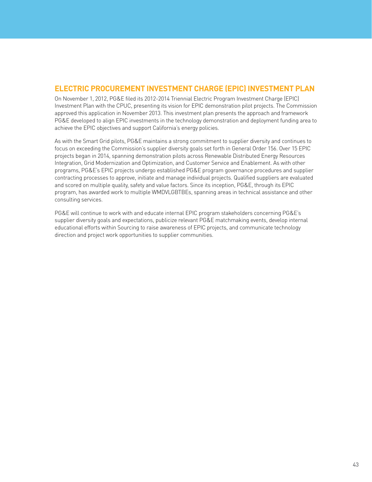### **ELECTRIC PROCUREMENT INVESTMENT CHARGE (EPIC) INVESTMENT PLAN**

On November 1, 2012, PG&E filed its 2012-2014 Triennial Electric Program Investment Charge (EPIC) Investment Plan with the CPUC, presenting its vision for EPIC demonstration pilot projects. The Commission approved this application in November 2013. This investment plan presents the approach and framework PG&E developed to align EPIC investments in the technology demonstration and deployment funding area to achieve the EPIC objectives and support California's energy policies.

As with the Smart Grid pilots, PG&E maintains a strong commitment to supplier diversity and continues to focus on exceeding the Commission's supplier diversity goals set forth in General Order 156. Over 15 EPIC projects began in 2014, spanning demonstration pilots across Renewable Distributed Energy Resources Integration, Grid Modernization and Optimization, and Customer Service and Enablement. As with other programs, PG&E's EPIC projects undergo established PG&E program governance procedures and supplier contracting processes to approve, initiate and manage individual projects. Qualified suppliers are evaluated and scored on multiple quality, safety and value factors. Since its inception, PG&E, through its EPIC program, has awarded work to multiple WMDVLGBTBEs, spanning areas in technical assistance and other consulting services.

PG&E will continue to work with and educate internal EPIC program stakeholders concerning PG&E's supplier diversity goals and expectations, publicize relevant PG&E matchmaking events, develop internal educational efforts within Sourcing to raise awareness of EPIC projects, and communicate technology direction and project work opportunities to supplier communities.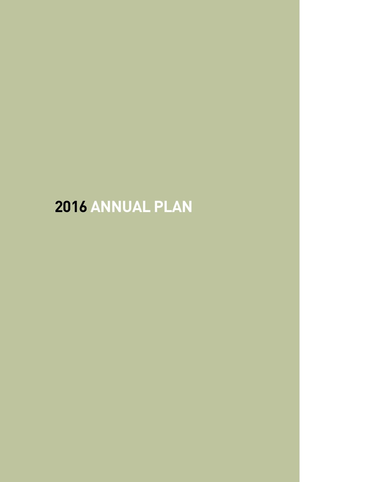# **ANNUAL PLAN**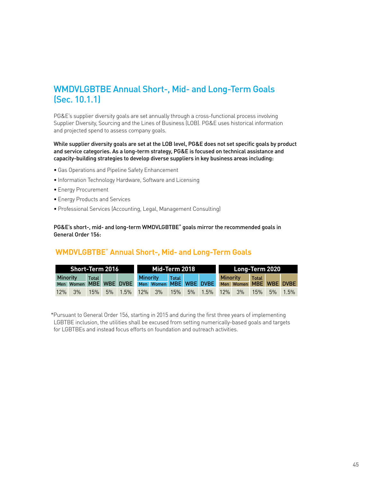# WMDVLGBTBE Annual Short-, Mid- and Long-Term Goals (Sec. 10.1.1)

PG&E's supplier diversity goals are set annually through a cross-functional process involving Supplier Diversity, Sourcing and the Lines of Business (LOB). PG&E uses historical information and projected spend to assess company goals.

While supplier diversity goals are set at the LOB level, PG&E does not set specific goals by product and service categories. As a long-term strategy, PG&E is focused on technical assistance and capacity-building strategies to develop diverse suppliers in key business areas including:

- Gas Operations and Pipeline Safety Enhancement
- Information Technology Hardware, Software and Licensing
- Energy Procurement
- Energy Products and Services
- Professional Services (Accounting, Legal, Management Consulting)

PG&E's short-, mid- and long-term WMDVLGBTBE\* goals mirror the recommended goals in General Order 156:

### **WMDVLGBTBE**\* **Annual Short-, Mid- and Long-Term Goals**

|                 | <b>Short-Term 2016</b> |       |                                               | Mid-Term 2018   |              |                       | Long-Term 2020  |                        |              |  |         |
|-----------------|------------------------|-------|-----------------------------------------------|-----------------|--------------|-----------------------|-----------------|------------------------|--------------|--|---------|
| <b>Minority</b> |                        | Total |                                               | <b>Minority</b> | <b>Total</b> |                       | <b>Minority</b> |                        | <b>Total</b> |  |         |
|                 |                        |       | Men Women MBE WBE DVBE Men Women MBE WBE DVBE |                 |              |                       |                 | Men Women MBE WBE DVBE |              |  |         |
| 12%             | 3%                     | 15%   | 5% 1.5% 12% 3% 15%                            |                 |              | 5% 1.5% 12% 3% 15% 5% |                 |                        |              |  | $1.5\%$ |

 \*Pursuant to General Order 156, starting in 2015 and during the first three years of implementing LGBTBE inclusion, the utilities shall be excused from setting numerically-based goals and targets for LGBTBEs and instead focus efforts on foundation and outreach activities.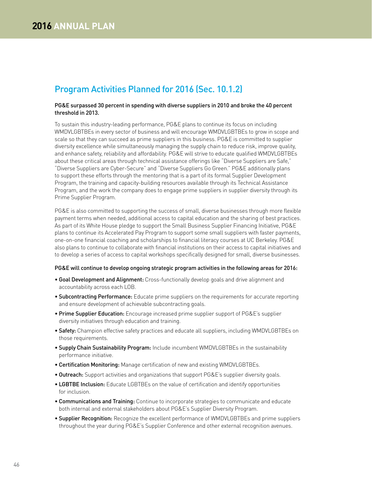# Program Activities Planned for 2016 (Sec. 10.1.2)

#### PG&E surpassed 30 percent in spending with diverse suppliers in 2010 and broke the 40 percent threshold in 2013.

To sustain this industry-leading performance, PG&E plans to continue its focus on including WMDVLGBTBEs in every sector of business and will encourage WMDVLGBTBEs to grow in scope and scale so that they can succeed as prime suppliers in this business. PG&E is committed to supplier diversity excellence while simultaneously managing the supply chain to reduce risk, improve quality, and enhance safety, reliability and affordability. PG&E will strive to educate qualified WMDVLGBTBEs about these critical areas through technical assistance offerings like "Diverse Suppliers are Safe," "Diverse Suppliers are Cyber-Secure" and "Diverse Suppliers Go Green." PG&E additionally plans to support these efforts through the mentoring that is a part of its formal Supplier Development Program, the training and capacity-building resources available through its Technical Assistance Program, and the work the company does to engage prime suppliers in supplier diversity through its Prime Supplier Program.

PG&E is also committed to supporting the success of small, diverse businesses through more flexible payment terms when needed, additional access to capital education and the sharing of best practices. As part of its White House pledge to support the Small Business Supplier Financing Initiative, PG&E plans to continue its Accelerated Pay Program to support some small suppliers with faster payments, one-on-one financial coaching and scholarships to financial literacy courses at UC Berkeley. PG&E also plans to continue to collaborate with financial institutions on their access to capital initiatives and to develop a series of access to capital workshops specifically designed for small, diverse businesses.

#### PG&E will continue to develop ongoing strategic program activities in the following areas for 2016:

- Goal Development and Alignment: Cross-functionally develop goals and drive alignment and accountability across each LOB.
- Subcontracting Performance: Educate prime suppliers on the requirements for accurate reporting and ensure development of achievable subcontracting goals.
- Prime Supplier Education: Encourage increased prime supplier support of PG&E's supplier diversity initiatives through education and training.
- Safety: Champion effective safety practices and educate all suppliers, including WMDVLGBTBEs on those requirements.
- Supply Chain Sustainability Program: Include incumbent WMDVLGBTBEs in the sustainability performance initiative.
- Certification Monitoring: Manage certification of new and existing WMDVLGBTBEs.
- **Outreach:** Support activities and organizations that support PG&E's supplier diversity goals.
- LGBTBE Inclusion: Educate LGBTBEs on the value of certification and identify opportunities for inclusion.
- Communications and Training: Continue to incorporate strategies to communicate and educate both internal and external stakeholders about PG&E's Supplier Diversity Program.
- Supplier Recognition: Recognize the excellent performance of WMDVLGBTBEs and prime suppliers throughout the year during PG&E's Supplier Conference and other external recognition avenues.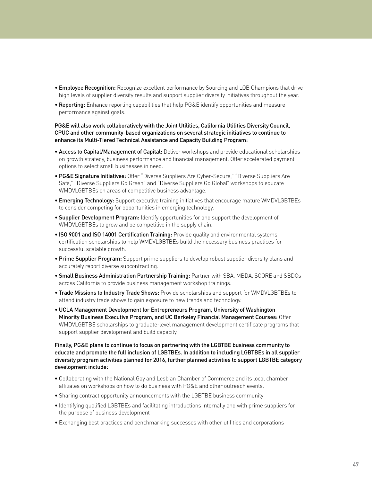- Employee Recognition: Recognize excellent performance by Sourcing and LOB Champions that drive high levels of supplier diversity results and support supplier diversity initiatives throughout the year.
- Reporting: Enhance reporting capabilities that help PG&E identify opportunities and measure performance against goals.

### PG&E will also work collaboratively with the Joint Utilities, California Utilities Diversity Council, CPUC and other community-based organizations on several strategic initiatives to continue to enhance its Multi-Tiered Technical Assistance and Capacity Building Program:

- Access to Capital/Management of Capital: Deliver workshops and provide educational scholarships on growth strategy, business performance and financial management. Offer accelerated payment options to select small businesses in need.
- PG&E Signature Initiatives: Offer "Diverse Suppliers Are Cyber-Secure," "Diverse Suppliers Are Safe," "Diverse Suppliers Go Green" and "Diverse Suppliers Go Global" workshops to educate WMDVLGBTBEs on areas of competitive business advantage.
- Emerging Technology: Support executive training initiatives that encourage mature WMDVLGBTBEs to consider competing for opportunities in emerging technology.
- **Supplier Development Program:** Identify opportunities for and support the development of WMDVLGBTBEs to grow and be competitive in the supply chain.
- ISO 9001 and ISO 14001 Certification Training: Provide quality and environmental systems certification scholarships to help WMDVLGBTBEs build the necessary business practices for successful scalable growth.
- Prime Supplier Program: Support prime suppliers to develop robust supplier diversity plans and accurately report diverse subcontracting.
- Small Business Administration Partnership Training: Partner with SBA, MBDA, SCORE and SBDCs across California to provide business management workshop trainings.
- Trade Missions to Industry Trade Shows: Provide scholarships and support for WMDVLGBTBEs to attend industry trade shows to gain exposure to new trends and technology.
- UCLA Management Development for Entrepreneurs Program, University of Washington Minority Business Executive Program, and UC Berkeley Financial Management Courses: Offer WMDVLGBTBE scholarships to graduate-level management development certificate programs that support supplier development and build capacity.

### Finally, PG&E plans to continue to focus on partnering with the LGBTBE business community to educate and promote the full inclusion of LGBTBEs. In addition to including LGBTBEs in all supplier diversity program activities planned for 2016, further planned activities to support LGBTBE category development include:

- Collaborating with the National Gay and Lesbian Chamber of Commerce and its local chamber affiliates on workshops on how to do business with PG&E and other outreach events.
- Sharing contract opportunity announcements with the LGBTBE business community
- Identifying qualified LGBTBEs and facilitating introductions internally and with prime suppliers for the purpose of business development
- Exchanging best practices and benchmarking successes with other utilities and corporations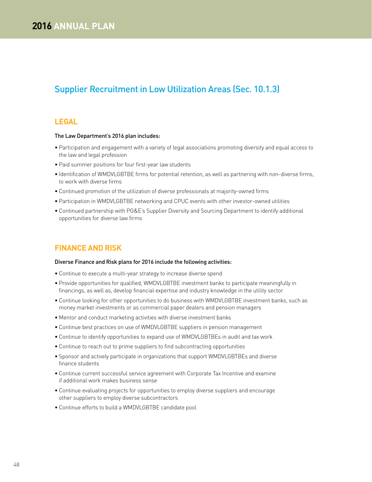# Supplier Recruitment in Low Utilization Areas (Sec. 10.1.3)

### **LEGAL**

#### The Law Department's 2016 plan includes:

- Participation and engagement with a variety of legal associations promoting diversity and equal access to the law and legal profession
- Paid summer positions for four first-year law students
- Identification of WMDVLGBTBE firms for potential retention, as well as partnering with non-diverse firms, to work with diverse firms
- Continued promotion of the utilization of diverse professionals at majority-owned firms
- Participation in WMDVLGBTBE networking and CPUC events with other investor-owned utilities
- Continued partnership with PG&E's Supplier Diversity and Sourcing Department to identify additional opportunities for diverse law firms

### **FINANCE AND RISK**

#### Diverse Finance and Risk plans for 2016 include the following activities:

- Continue to execute a multi-year strategy to increase diverse spend
- Provide opportunities for qualified, WMDVLGBTBE investment banks to participate meaningfully in financings, as well as, develop financial expertise and industry knowledge in the utility sector
- Continue looking for other opportunities to do business with WMDVLGBTBE investment banks, such as money market investments or as commercial paper dealers and pension managers
- Mentor and conduct marketing activities with diverse investment banks
- Continue best practices on use of WMDVLGBTBE suppliers in pension management
- Continue to identify opportunities to expand use of WMDVLGBTBEs in audit and tax work
- Continue to reach out to prime suppliers to find subcontracting opportunities
- Sponsor and actively participate in organizations that support WMDVLGBTBEs and diverse finance students
- Continue current successful service agreement with Corporate Tax Incentive and examine if additional work makes business sense
- Continue evaluating projects for opportunities to employ diverse suppliers and encourage other suppliers to employ diverse subcontractors
- Continue efforts to build a WMDVLGBTBE candidate pool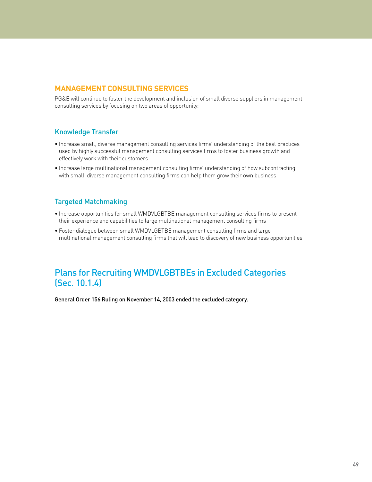### **MANAGEMENT CONSULTING SERVICES**

PG&E will continue to foster the development and inclusion of small diverse suppliers in management consulting services by focusing on two areas of opportunity:

### Knowledge Transfer

- Increase small, diverse management consulting services firms' understanding of the best practices used by highly successful management consulting services firms to foster business growth and effectively work with their customers
- Increase large multinational management consulting firms' understanding of how subcontracting with small, diverse management consulting firms can help them grow their own business

### Targeted Matchmaking

- Increase opportunities for small WMDVLGBTBE management consulting services firms to present their experience and capabilities to large multinational management consulting firms
- Foster dialogue between small WMDVLGBTBE management consulting firms and large multinational management consulting firms that will lead to discovery of new business opportunities

# Plans for Recruiting WMDVLGBTBEs in Excluded Categories (Sec. 10.1.4)

General Order 156 Ruling on November 14, 2003 ended the excluded category.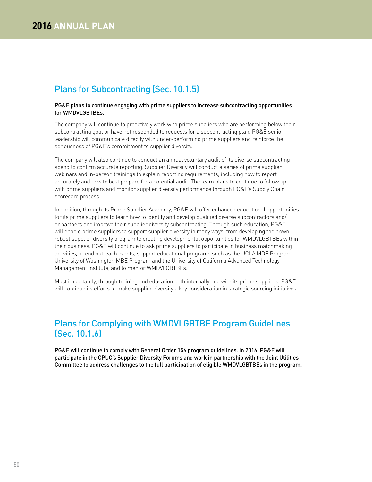# Plans for Subcontracting (Sec. 10.1.5)

#### PG&E plans to continue engaging with prime suppliers to increase subcontracting opportunities for WMDVLGBTBEs.

The company will continue to proactively work with prime suppliers who are performing below their subcontracting goal or have not responded to requests for a subcontracting plan. PG&E senior leadership will communicate directly with under-performing prime suppliers and reinforce the seriousness of PG&E's commitment to supplier diversity.

The company will also continue to conduct an annual voluntary audit of its diverse subcontracting spend to confirm accurate reporting. Supplier Diversity will conduct a series of prime supplier webinars and in-person trainings to explain reporting requirements, including how to report accurately and how to best prepare for a potential audit. The team plans to continue to follow up with prime suppliers and monitor supplier diversity performance through PG&E's Supply Chain scorecard process.

In addition, through its Prime Supplier Academy, PG&E will offer enhanced educational opportunities for its prime suppliers to learn how to identify and develop qualified diverse subcontractors and/ or partners and improve their supplier diversity subcontracting. Through such education, PG&E will enable prime suppliers to support supplier diversity in many ways, from developing their own robust supplier diversity program to creating developmental opportunities for WMDVLGBTBEs within their business. PG&E will continue to ask prime suppliers to participate in business matchmaking activities, attend outreach events, support educational programs such as the UCLA MDE Program, University of Washington MBE Program and the University of California Advanced Technology Management Institute, and to mentor WMDVLGBTBEs.

Most importantly, through training and education both internally and with its prime suppliers, PG&E will continue its efforts to make supplier diversity a key consideration in strategic sourcing initiatives.

# Plans for Complying with WMDVLGBTBE Program Guidelines (Sec. 10.1.6)

PG&E will continue to comply with General Order 156 program guidelines. In 2016, PG&E will participate in the CPUC's Supplier Diversity Forums and work in partnership with the Joint Utilities Committee to address challenges to the full participation of eligible WMDVLGBTBEs in the program.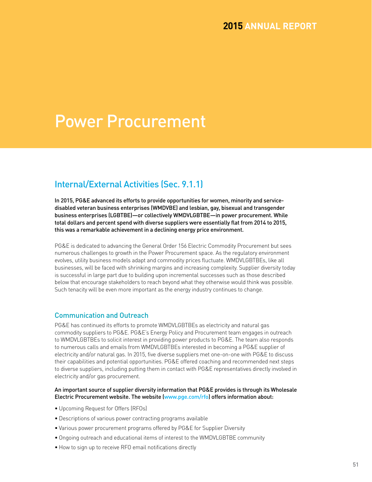# Power Procurement

# Internal/External Activities (Sec. 9.1.1)

In 2015, PG&E advanced its efforts to provide opportunities for women, minority and servicedisabled veteran business enterprises (WMDVBE) and lesbian, gay, bisexual and transgender business enterprises (LGBTBE)—or collectively WMDVLGBTBE—in power procurement. While total dollars and percent spend with diverse suppliers were essentially flat from 2014 to 2015, this was a remarkable achievement in a declining energy price environment.

PG&E is dedicated to advancing the General Order 156 Electric Commodity Procurement but sees numerous challenges to growth in the Power Procurement space. As the regulatory environment evolves, utility business models adapt and commodity prices fluctuate. WMDVLGBTBEs, like all businesses, will be faced with shrinking margins and increasing complexity. Supplier diversity today is successful in large part due to building upon incremental successes such as those described below that encourage stakeholders to reach beyond what they otherwise would think was possible. Such tenacity will be even more important as the energy industry continues to change.

### Communication and Outreach

PG&E has continued its efforts to promote WMDVLGBTBEs as electricity and natural gas commodity suppliers to PG&E. PG&E's Energy Policy and Procurement team engages in outreach to WMDVLGBTBEs to solicit interest in providing power products to PG&E. The team also responds to numerous calls and emails from WMDVLGBTBEs interested in becoming a PG&E supplier of electricity and/or natural gas. In 2015, five diverse suppliers met one-on-one with PG&E to discuss their capabilities and potential opportunities. PG&E offered coaching and recommended next steps to diverse suppliers, including putting them in contact with PG&E representatives directly involved in electricity and/or gas procurement.

### An important source of supplier diversity information that PG&E provides is through its Wholesale Electric Procurement website. The website (www.pge.com/rfo) offers information about:

- Upcoming Request for Offers (RFOs)
- Descriptions of various power contracting programs available
- Various power procurement programs offered by PG&E for Supplier Diversity
- Ongoing outreach and educational items of interest to the WMDVLGBTBE community
- How to sign up to receive RFO email notifications directly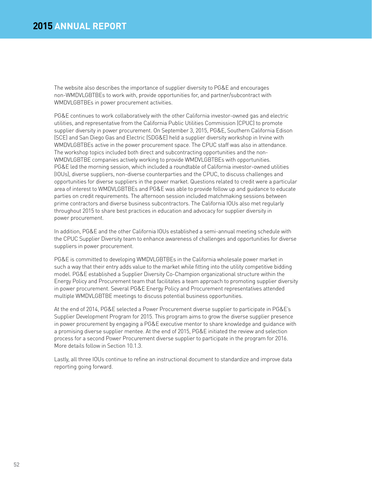The website also describes the importance of supplier diversity to PG&E and encourages non-WMDVLGBTBEs to work with, provide opportunities for, and partner/subcontract with WMDVLGBTBEs in power procurement activities.

PG&E continues to work collaboratively with the other California investor-owned gas and electric utilities, and representative from the California Public Utilities Commission (CPUC) to promote supplier diversity in power procurement. On September 3, 2015, PG&E, Southern California Edison (SCE) and San Diego Gas and Electric (SDG&E) held a supplier diversity workshop in Irvine with WMDVLGBTBEs active in the power procurement space. The CPUC staff was also in attendance. The workshop topics included both direct and subcontracting opportunities and the non-WMDVLGBTBE companies actively working to provide WMDVLGBTBEs with opportunities. PG&E led the morning session, which included a roundtable of California investor-owned utilities (IOUs), diverse suppliers, non-diverse counterparties and the CPUC, to discuss challenges and opportunities for diverse suppliers in the power market. Questions related to credit were a particular area of interest to WMDVLGBTBEs and PG&E was able to provide follow up and guidance to educate parties on credit requirements. The afternoon session included matchmaking sessions between prime contractors and diverse business subcontractors. The California IOUs also met regularly throughout 2015 to share best practices in education and advocacy for supplier diversity in power procurement.

In addition, PG&E and the other California IOUs established a semi-annual meeting schedule with the CPUC Supplier Diversity team to enhance awareness of challenges and opportunities for diverse suppliers in power procurement.

PG&E is committed to developing WMDVLGBTBEs in the California wholesale power market in such a way that their entry adds value to the market while fitting into the utility competitive bidding model. PG&E established a Supplier Diversity Co-Champion organizational structure within the Energy Policy and Procurement team that facilitates a team approach to promoting supplier diversity in power procurement. Several PG&E Energy Policy and Procurement representatives attended multiple WMDVLGBTBE meetings to discuss potential business opportunities.

At the end of 2014, PG&E selected a Power Procurement diverse supplier to participate in PG&E's Supplier Development Program for 2015. This program aims to grow the diverse supplier presence in power procurement by engaging a PG&E executive mentor to share knowledge and guidance with a promising diverse supplier mentee. At the end of 2015, PG&E initiated the review and selection process for a second Power Procurement diverse supplier to participate in the program for 2016. More details follow in Section 10.1.3.

Lastly, all three IOUs continue to refine an instructional document to standardize and improve data reporting going forward.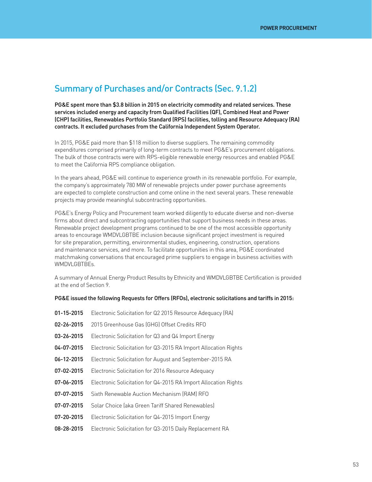### Summary of Purchases and/or Contracts (Sec. 9.1.2)

PG&E spent more than \$3.8 billion in 2015 on electricity commodity and related services. These services included energy and capacity from Qualified Facilities (QF), Combined Heat and Power (CHP) facilities, Renewables Portfolio Standard (RPS) facilities, tolling and Resource Adequacy (RA) contracts. It excluded purchases from the California Independent System Operator.

In 2015, PG&E paid more than \$118 million to diverse suppliers. The remaining commodity expenditures comprised primarily of long-term contracts to meet PG&E's procurement obligations. The bulk of those contracts were with RPS-eligible renewable energy resources and enabled PG&E to meet the California RPS compliance obligation.

In the years ahead, PG&E will continue to experience growth in its renewable portfolio. For example, the company's approximately 780 MW of renewable projects under power purchase agreements are expected to complete construction and come online in the next several years. These renewable projects may provide meaningful subcontracting opportunities.

PG&E's Energy Policy and Procurement team worked diligently to educate diverse and non-diverse firms about direct and subcontracting opportunities that support business needs in these areas. Renewable project development programs continued to be one of the most accessible opportunity areas to encourage WMDVLGBTBE inclusion because significant project investment is required for site preparation, permitting, environmental studies, engineering, construction, operations and maintenance services, and more. To facilitate opportunities in this area, PG&E coordinated matchmaking conversations that encouraged prime suppliers to engage in business activities with WMDVLGBTBEs.

A summary of Annual Energy Product Results by Ethnicity and WMDVLGBTBE Certification is provided at the end of Section 9.

#### PG&E issued the following Requests for Offers (RFOs), electronic solicitations and tariffs in 2015:

| 01-15-2015 | Electronic Solicitation for Q2 2015 Resource Adequacy (RA)      |
|------------|-----------------------------------------------------------------|
| 02-26-2015 | 2015 Greenhouse Gas (GHG) Offset Credits RFO                    |
| 03-26-2015 | Electronic Solicitation for Q3 and Q4 Import Energy             |
| 04-07-2015 | Electronic Solicitation for Q3-2015 RA Import Allocation Rights |
| 06-12-2015 | Electronic Solicitation for August and September-2015 RA        |
| 07-02-2015 | Electronic Solicitation for 2016 Resource Adequacy              |
| 07-06-2015 | Electronic Solicitation for Q4-2015 RA Import Allocation Rights |
| 07-07-2015 | Sixth Renewable Auction Mechanism (RAM) RFO                     |
| 07-07-2015 | Solar Choice (aka Green Tariff Shared Renewables)               |
| 07-20-2015 | Electronic Solicitation for Q4-2015 Import Energy               |
| 08-28-2015 | Electronic Solicitation for Q3-2015 Daily Replacement RA        |
|            |                                                                 |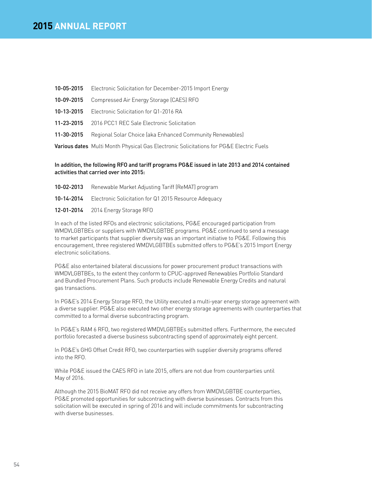- 10-05-2015 Electronic Solicitation for December-2015 Import Energy
- 10-09-2015 Compressed Air Energy Storage (CAES) RFO
- 10-13-2015 Electronic Solicitation for Q1-2016 RA
- 11-23-2015 2016 PCC1 REC Sale Electronic Solicitation
- 11-30-2015 Regional Solar Choice (aka Enhanced Community Renewables)

Various dates Multi Month Physical Gas Electronic Solicitations for PG&E Electric Fuels

### In addition, the following RFO and tariff programs PG&E issued in late 2013 and 2014 contained activities that carried over into 2015:

- 10-02-2013 Renewable Market Adjusting Tariff (ReMAT) program
- 10-14-2014 Electronic Solicitation for Q1 2015 Resource Adequacy
- 12-01-2014 2014 Energy Storage RFO

In each of the listed RFOs and electronic solicitations, PG&E encouraged participation from WMDVLGBTBEs or suppliers with WMDVLGBTBE programs. PG&E continued to send a message to market participants that supplier diversity was an important initiative to PG&E. Following this encouragement, three registered WMDVLGBTBEs submitted offers to PG&E's 2015 Import Energy electronic solicitations.

PG&E also entertained bilateral discussions for power procurement product transactions with WMDVLGBTBEs, to the extent they conform to CPUC-approved Renewables Portfolio Standard and Bundled Procurement Plans. Such products include Renewable Energy Credits and natural gas transactions.

In PG&E's 2014 Energy Storage RFO, the Utility executed a multi-year energy storage agreement with a diverse supplier. PG&E also executed two other energy storage agreements with counterparties that committed to a formal diverse subcontracting program.

In PG&E's RAM 6 RFO, two registered WMDVLGBTBEs submitted offers. Furthermore, the executed portfolio forecasted a diverse business subcontracting spend of approximately eight percent.

In PG&E's GHG Offset Credit RFO, two counterparties with supplier diversity programs offered into the RFO.

While PG&E issued the CAES RFO in late 2015, offers are not due from counterparties until May of 2016.

Although the 2015 BioMAT RFO did not receive any offers from WMDVLGBTBE counterparties, PG&E promoted opportunities for subcontracting with diverse businesses. Contracts from this solicitation will be executed in spring of 2016 and will include commitments for subcontracting with diverse businesses.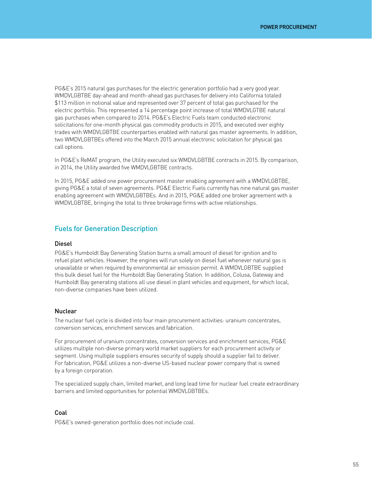PG&E's 2015 natural gas purchases for the electric generation portfolio had a very good year. WMDVLGBTBE day-ahead and month-ahead gas purchases for delivery into California totaled \$113 million in notional value and represented over 37 percent of total gas purchased for the electric portfolio. This represented a 14 percentage point increase of total WMDVLGTBE natural gas purchases when compared to 2014. PG&E's Electric Fuels team conducted electronic solicitations for one-month physical gas commodity products in 2015, and executed over eighty trades with WMDVLGBTBE counterparties enabled with natural gas master agreements. In addition, two WMDVLGBTBEs offered into the March 2015 annual electronic solicitation for physical gas call options.

In PG&E's ReMAT program, the Utility executed six WMDVLGBTBE contracts in 2015. By comparison, in 2014, the Utility awarded five WMDVLGBTBE contracts.

In 2015, PG&E added one power procurement master enabling agreement with a WMDVLGBTBE, giving PG&E a total of seven agreements. PG&E Electric Fuels currently has nine natural gas master enabling agreement with WMDVLGBTBEs. And in 2015, PG&E added one broker agreement with a WMDVLGBTBE, bringing the total to three brokerage firms with active relationships.

### Fuels for Generation Description

#### Diesel

PG&E's Humboldt Bay Generating Station burns a small amount of diesel for ignition and to refuel plant vehicles. However, the engines will run solely on diesel fuel whenever natural gas is unavailable or when required by environmental air emission permit. A WMDVLGBTBE supplied this bulk diesel fuel for the Humboldt Bay Generating Station. In addition, Colusa, Gateway and Humboldt Bay generating stations all use diesel in plant vehicles and equipment, for which local, non-diverse companies have been utilized.

#### Nuclear

The nuclear fuel cycle is divided into four main procurement activities: uranium concentrates, conversion services, enrichment services and fabrication.

For procurement of uranium concentrates, conversion services and enrichment services, PG&E utilizes multiple non-diverse primary world market suppliers for each procurement activity or segment. Using multiple suppliers ensures security of supply should a supplier fail to deliver. For fabrication, PG&E utilizes a non-diverse US-based nuclear power company that is owned by a foreign corporation.

The specialized supply chain, limited market, and long lead time for nuclear fuel create extraordinary barriers and limited opportunities for potential WMDVLGBTBEs.

### Coal

PG&E's owned-generation portfolio does not include coal.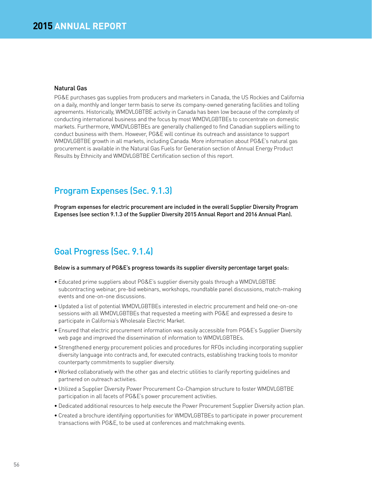### Natural Gas

PG&E purchases gas supplies from producers and marketers in Canada, the US Rockies and California on a daily, monthly and longer term basis to serve its company-owned generating facilities and tolling agreements. Historically, WMDVLGBTBE activity in Canada has been low because of the complexity of conducting international business and the focus by most WMDVLGBTBEs to concentrate on domestic markets. Furthermore, WMDVLGBTBEs are generally challenged to find Canadian suppliers willing to conduct business with them. However, PG&E will continue its outreach and assistance to support WMDVLGBTBE growth in all markets, including Canada. More information about PG&E's natural gas procurement is available in the Natural Gas Fuels for Generation section of Annual Energy Product Results by Ethnicity and WMDVLGBTBE Certification section of this report.

# Program Expenses (Sec. 9.1.3)

Program expenses for electric procurement are included in the overall Supplier Diversity Program Expenses (see section 9.1.3 of the Supplier Diversity 2015 Annual Report and 2016 Annual Plan).

# Goal Progress (Sec. 9.1.4)

#### Below is a summary of PG&E's progress towards its supplier diversity percentage target goals:

- Educated prime suppliers about PG&E's supplier diversity goals through a WMDVLGBTBE subcontracting webinar, pre-bid webinars, workshops, roundtable panel discussions, match-making events and one-on-one discussions.
- Updated a list of potential WMDVLGBTBEs interested in electric procurement and held one-on-one sessions with all WMDVLGBTBEs that requested a meeting with PG&E and expressed a desire to participate in California's Wholesale Electric Market.
- Ensured that electric procurement information was easily accessible from PG&E's Supplier Diversity web page and improved the dissemination of information to WMDVLGBTBEs.
- Strengthened energy procurement policies and procedures for RFOs including incorporating supplier diversity language into contracts and, for executed contracts, establishing tracking tools to monitor counterparty commitments to supplier diversity.
- Worked collaboratively with the other gas and electric utilities to clarify reporting guidelines and partnered on outreach activities.
- Utilized a Supplier Diversity Power Procurement Co-Champion structure to foster WMDVLGBTBE participation in all facets of PG&E's power procurement activities.
- Dedicated additional resources to help execute the Power Procurement Supplier Diversity action plan.
- Created a brochure identifying opportunities for WMDVLGBTBEs to participate in power procurement transactions with PG&E, to be used at conferences and matchmaking events.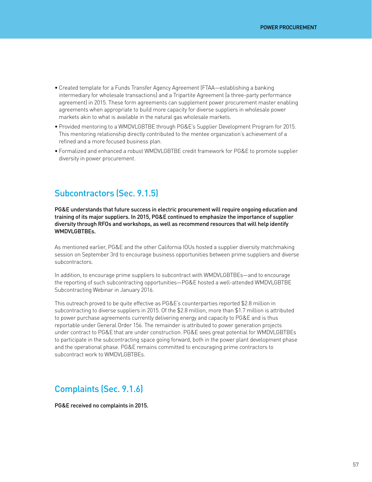- Created template for a Funds Transfer Agency Agreement (FTAA—establishing a banking intermediary for wholesale transactions) and a Tripartite Agreement (a three-party performance agreement) in 2015. These form agreements can supplement power procurement master enabling agreements when appropriate to build more capacity for diverse suppliers in wholesale power markets akin to what is available in the natural gas wholesale markets.
- Provided mentoring to a WMDVLGBTBE through PG&E's Supplier Development Program for 2015. This mentoring relationship directly contributed to the mentee organization's achievement of a refined and a more focused business plan.
- Formalized and enhanced a robust WMDVLGBTBE credit framework for PG&E to promote supplier diversity in power procurement.

### Subcontractors (Sec. 9.1.5)

PG&E understands that future success in electric procurement will require ongoing education and training of its major suppliers. In 2015, PG&E continued to emphasize the importance of supplier diversity through RFOs and workshops, as well as recommend resources that will help identify WMDVLGBTBEs.

As mentioned earlier, PG&E and the other California IOUs hosted a supplier diversity matchmaking session on September 3rd to encourage business opportunities between prime suppliers and diverse subcontractors.

In addition, to encourage prime suppliers to subcontract with WMDVLGBTBEs—and to encourage the reporting of such subcontracting opportunities—PG&E hosted a well-attended WMDVLGBTBE Subcontracting Webinar in January 2016.

This outreach proved to be quite effective as PG&E's counterparties reported \$2.8 million in subcontracting to diverse suppliers in 2015. Of the \$2.8 million, more than \$1.7 million is attributed to power purchase agreements currently delivering energy and capacity to PG&E and is thus reportable under General Order 156. The remainder is attributed to power generation projects under contract to PG&E that are under construction. PG&E sees great potential for WMDVLGBTBEs to participate in the subcontracting space going forward, both in the power plant development phase and the operational phase. PG&E remains committed to encouraging prime contractors to subcontract work to WMDVLGBTBEs.

# Complaints (Sec. 9.1.6)

PG&E received no complaints in 2015.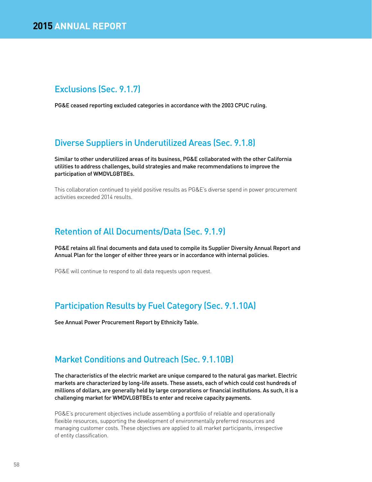# Exclusions (Sec. 9.1.7)

PG&E ceased reporting excluded categories in accordance with the 2003 CPUC ruling.

# Diverse Suppliers in Underutilized Areas (Sec. 9.1.8)

Similar to other underutilized areas of its business, PG&E collaborated with the other California utilities to address challenges, build strategies and make recommendations to improve the participation of WMDVLGBTBEs.

This collaboration continued to yield positive results as PG&E's diverse spend in power procurement activities exceeded 2014 results.

# Retention of All Documents/Data (Sec. 9.1.9)

PG&E retains all final documents and data used to compile its Supplier Diversity Annual Report and Annual Plan for the longer of either three years or in accordance with internal policies.

PG&E will continue to respond to all data requests upon request.

# Participation Results by Fuel Category (Sec. 9.1.10A)

See Annual Power Procurement Report by Ethnicity Table.

# Market Conditions and Outreach (Sec. 9.1.10B)

The characteristics of the electric market are unique compared to the natural gas market. Electric markets are characterized by long-life assets. These assets, each of which could cost hundreds of millions of dollars, are generally held by large corporations or financial institutions. As such, it is a challenging market for WMDVLGBTBEs to enter and receive capacity payments.

PG&E's procurement objectives include assembling a portfolio of reliable and operationally flexible resources, supporting the development of environmentally preferred resources and managing customer costs. These objectives are applied to all market participants, irrespective of entity classification.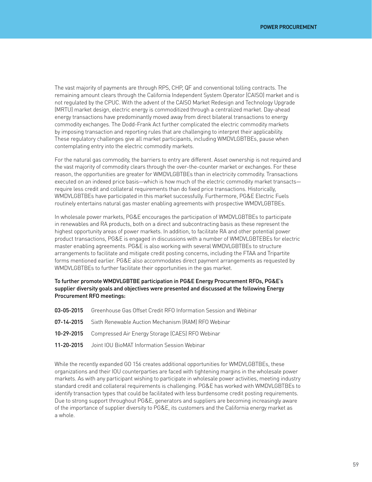The vast majority of payments are through RPS, CHP, QF and conventional tolling contracts. The remaining amount clears through the California Independent System Operator (CAISO) market and is not regulated by the CPUC. With the advent of the CAISO Market Redesign and Technology Upgrade (MRTU) market design, electric energy is commoditized through a centralized market. Day-ahead energy transactions have predominantly moved away from direct bilateral transactions to energy commodity exchanges. The Dodd-Frank Act further complicated the electric commodity markets by imposing transaction and reporting rules that are challenging to interpret their applicability. These regulatory challenges give all market participants, including WMDVLGBTBEs, pause when contemplating entry into the electric commodity markets.

For the natural gas commodity, the barriers to entry are different. Asset ownership is not required and the vast majority of commodity clears through the over-the-counter market or exchanges. For these reason, the opportunities are greater for WMDVLGBTBEs than in electricity commodity. Transactions executed on an indexed price basis—which is how much of the electric commodity market transacts require less credit and collateral requirements than do fixed price transactions. Historically, WMDVLGBTBEs have participated in this market successfully. Furthermore, PG&E Electric Fuels routinely entertains natural gas master enabling agreements with prospective WMDVLGBTBEs.

In wholesale power markets, PG&E encourages the participation of WMDVLGBTBEs to participate in renewables and RA products, both on a direct and subcontracting basis as these represent the highest opportunity areas of power markets. In addition, to facilitate RA and other potential power product transactions, PG&E is engaged in discussions with a number of WMDVLGBTEBEs for electric master enabling agreements. PG&E is also working with several WMDVLGBTBEs to structure arrangements to facilitate and mitigate credit posting concerns, including the FTAA and Tripartite forms mentioned earlier. PG&E also accommodates direct payment arrangements as requested by WMDVLGBTBEs to further facilitate their opportunities in the gas market.

### To further promote WMDVLGBTBE participation in PG&E Energy Procurement RFOs, PG&E's supplier diversity goals and objectives were presented and discussed at the following Energy Procurement RFO meetings:

| 03-05-2015 Greenhouse Gas Offset Credit RFO Information Session and Webinar |
|-----------------------------------------------------------------------------|
| <b>07-14-2015</b> Sixth Renewable Auction Mechanism (RAM) RFO Webinar       |
| <b>10-29-2015</b> Compressed Air Energy Storage (CAES) RFO Webinar          |
| 11-20-2015   Joint IOU BioMAT Information Session Webinar                   |

While the recently expanded GO 156 creates additional opportunities for WMDVLGBTBEs, these organizations and their IOU counterparties are faced with tightening margins in the wholesale power markets. As with any participant wishing to participate in wholesale power activities, meeting industry standard credit and collateral requirements is challenging. PG&E has worked with WMDVLGBTBEs to identify transaction types that could be facilitated with less burdensome credit posting requirements. Due to strong support throughout PG&E, generators and suppliers are becoming increasingly aware of the importance of supplier diversity to PG&E, its customers and the California energy market as a whole.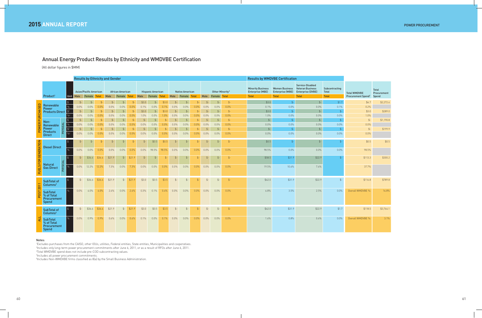# Annual Energy Product Results by Ethnicity and WMDVBE Certification

(All dollar figures in \$MM)

|                |                                                              |                             | <b>Results by Ethnicity and Gender</b> |                                         |              |                |                                   |                |         |                                          |                |                |                                       |              |                |                                             | <b>Results by WMDVBE Certification</b> |                                                                     |                                                                  |                                                                                         |                                                |                                                             |                             |
|----------------|--------------------------------------------------------------|-----------------------------|----------------------------------------|-----------------------------------------|--------------|----------------|-----------------------------------|----------------|---------|------------------------------------------|----------------|----------------|---------------------------------------|--------------|----------------|---------------------------------------------|----------------------------------------|---------------------------------------------------------------------|------------------------------------------------------------------|-----------------------------------------------------------------------------------------|------------------------------------------------|-------------------------------------------------------------|-----------------------------|
|                | Product <sup>1</sup>                                         | Unit                        | Male                                   | <b>Asian/Pacific American</b><br>Female | <b>Total</b> | Male           | <b>African American</b><br>Female | <b>Total</b>   | Male    | <b>Hispanic American</b><br>Female Total |                |                | <b>Native American</b><br>Male Female | <b>Total</b> | Male           | Other Minority <sup>5</sup><br>Female Total |                                        | <b>Minority Business</b><br><b>Enterprise (MBE)</b><br><b>Total</b> | <b>Women Business</b><br><b>Enterprise (WBE)</b><br><b>Total</b> | Service-Disabled<br><b>Veteran Business</b><br><b>Enterprise (DVBE)</b><br><b>Total</b> | Subcontracting<br><b>Total</b><br><b>Total</b> | <b>Total WMDVBE</b><br>Procurement Spend <sup>3</sup> Spend | <b>Total</b><br>Procurement |
|                |                                                              | $\vert \, \mathsf{S} \vert$ | $\mathsf{S}$                           | $$-$                                    | \$.          |                | $\uparrow$ .                      | $\mathfrak{L}$ | \$3.0   | \$-                                      | \$3.0          | $\uparrow$ .   | $\uparrow$ .                          |              | $\mathsf{S}$   | $\uparrow$                                  | $\mathcal{L}$                          | \$3.0                                                               | $$-$                                                             | $\frac{4}{5}$                                                                           | \$1.7                                          | \$4.7                                                       | \$2,272.6                   |
| 品              | Renewable<br>Power                                           |                             | $0.0\%$                                | 0.0%                                    | 0.0%         | 0.0%           | 0.0%                              | 0.0%           | 0.1%    | 0.0%                                     | 0.1%           | 0.0%           | 0.0%                                  | 0.0%         | 0.0%           | 0.0%                                        | 0.0%                                   | 0.1%                                                                | 0.0%                                                             | $0.0\%$                                                                                 | 0.1%                                           | 0.2%                                                        |                             |
|                | <b>Products Direct</b>                                       | $\frac{1}{2}$               | $\mathcal{L}$                          |                                         |              |                | $\ddot{\mathcal{L}}$              | $\mathfrak{L}$ | \$3.0   |                                          | \$3.0          | \$.            |                                       |              | $\mathsf{S}$   | $$-$                                        | $\mathcal{L}$                          | \$3.0                                                               | $$ -$                                                            | $$$ -                                                                                   | $\mathcal{L}$                                  | \$3.0                                                       | \$289.0                     |
|                |                                                              | $^{0}/_{0}^{2}$             | $0.0\%$                                | 0.0%                                    | 0.0%         | 0.0%           | 0.0%                              | 0.0%           | 1.0%    | 0.0%                                     | 1.0%           | 0.0%           | 0.0%                                  | $0.0\%$      | 0.0%           | $0.0\%$                                     | 0.0%                                   | 1.0%                                                                | 0.0%                                                             | $0.0\%$                                                                                 | 0.0%                                           | 1.0%                                                        |                             |
|                | Non-                                                         |                             | $$-$                                   |                                         |              | $\mathfrak{L}$ | $\mathsf{S}$                      | $\mathfrak{L}$ |         |                                          |                | $\mathfrak{L}$ |                                       | $$-$         | $\mathfrak{L}$ | \$                                          | $\mathcal{L}$                          | $\mathsf{L}$                                                        | $$-$                                                             | $$-$                                                                                    | $\mathcal{L}$                                  | $\frac{4}{2}$                                               | \$1,190.8                   |
|                | Renewable                                                    | $\frac{9}{6}$               | 0.0%                                   | 0.0%                                    | 0.0%         | 0.0%           | 0.0%                              | 0.0%           | $0.0\%$ | 0.0%                                     | $0.0\%$        | 0.0%           | 0.0%                                  | $0.0\%$      | 0.0%           | 0.0%                                        | 0.0%                                   | 0.0%                                                                | 0.0%                                                             | 0.0%                                                                                    | $0.0\%$                                        | $0.0\%$                                                     |                             |
|                | PHYSICAL<br>Power<br><b>Products</b>                         | $\frac{1}{2}$               | $\mathcal{L}$                          | $$-$                                    | $$-$         | $$-$           | \$                                | $$-$           | $$-$    | \$-                                      | $\mathfrak{L}$ | \$             | $$-$                                  | $$-$         | $$-$           | $\mathcal{S}$ -                             | $\mathcal{S}$ -                        | $\mathsf{L}$                                                        | $$-$                                                             | $$$ -                                                                                   | $\mathsf{L}$                                   | $\frac{4}{2}$                                               | \$199.9                     |
|                | <b>Direct</b>                                                | $\frac{9}{6}$ <sup>2</sup>  | $0.0\%$                                | $0.0\%$                                 | $0.0\%$      | $0.0\%$        | $0.0\%$                           | 0.0%           | $0.0\%$ | $0.0\%$                                  | $0.0\%$        | $0.0\%$        | $0.0\%$                               | $0.0\%$      | $0.0\%$        | $0.0\%$                                     | $0.0\%$                                | $0.0\%$                                                             | 0.0%                                                             | $0.0\%$                                                                                 | 0.0%                                           | $0.0\%$                                                     |                             |
|                | <b>Diesel Direct</b>                                         | ۱\$                         | $$-$                                   | $$-$                                    |              | $$-$           | $$-$                              | $$-$           | $$-$    | \$0.5                                    | \$0.5          | $$-$           | $$-$                                  | $S-$         | $$-$           | $$-$                                        | $\mathcal{S}$ -                        | \$0.5                                                               | $$-$                                                             | $$-$                                                                                    |                                                | \$0.5                                                       | \$0.5                       |
|                |                                                              |                             | 0.0%                                   | $0.0\%$                                 | 0.0%         | 0.0%           | $0.0\%$                           | 0.0%           | $0.0\%$ | 98.5%                                    | 98.5%          | 0.0%           | 0.0%                                  | $0.0\%$      | $0.0\%$        | $0.0\%$                                     | 0.0%                                   | 98.5%                                                               | 0.0%                                                             | $0.0\%$                                                                                 | $0.0\%$                                        | 98.5%                                                       |                             |
| FOR GENERATION |                                                              | l \$                        | $$-$                                   | \$36.6                                  | \$36.6       | \$21.9         | $\frac{4}{5}$                     | \$21.9         | $$-$    | $$-$                                     | $$-$           | $$-$           | $\frac{4}{5}$                         | $$-$         | $\frac{4}{5}$  | $$-$                                        | $\oint$ -                              | \$58.5                                                              | \$31.9                                                           | \$22.9                                                                                  | $$-$                                           | \$113.3                                                     | \$300.2                     |
| ഗ<br>FUEL      | PHYSICAL<br><b>Natural</b><br><b>Gas Direct</b>              | $\%$                        | $0.0\%$                                | 12.2%                                   | 12.2%        | 7.3%           | $0.0\%$                           | 7.3%           | $0.0\%$ | $0.0\%$                                  | $0.0\%$        | $0.0\%$        | $0.0\%$                               | $0.0\%$      | $0.0\%$        | $0.0\%$                                     | $0.0\%$                                | 19.5%                                                               | 10.6%                                                            | 7.6%                                                                                    |                                                | 37.7%                                                       |                             |
| 2011           | <b>SubTotal of</b><br>Columns <sup>2</sup>                   | I \$                        | $$-$                                   | \$36.6                                  | \$36.6       | \$21.9         | $$ - 5$                           | \$21.9         | \$3.0   | \$0.5                                    | \$3.5          | $$-$           | $$-$                                  | $$ -$        | $$-$           | $\frac{4}{2}$                               | $\oint$ -                              | \$62.0                                                              | \$31.9                                                           | \$22.9                                                                                  | $\frac{4}{2}$                                  | \$116.8                                                     | \$789.8                     |
| 뉴<br>င္ဂ       | <b>SubTotal</b><br>% of Total<br>Procurement<br>Spend        |                             | 0.0%                                   | 4.0%                                    | $4.0\%$      | $2.4\%$        | $0.0\%$                           | 2.4%           | 0.3%    | 0.1%                                     | $0.4\%$        | 0.0%           | 0.0%                                  | $0.0\%$      | $0.0\%$        | $0.0\%$                                     | $0.0\%$                                | 6.8%                                                                | 3.5%                                                             | 2.5%                                                                                    | $0.0\%$                                        | Overall WMDVBE %:                                           | 14.8%                       |
|                | SubTotal of<br>Columns <sup>4</sup>                          |                             | $$-$                                   | \$36.6                                  | \$36.6       | \$21.9         |                                   | $$ - 521.9$    | \$3.0   | \$0.5                                    | \$3.5          | $$-$           | $$-$                                  | $$-$         | $$-$           | $$-$                                        | $\frac{4}{2}$                          | \$62.0                                                              | \$31.9                                                           | \$22.9                                                                                  | \$1.7                                          | \$118.5                                                     | \$3,764.1                   |
| Ę              | <b>SubTotal</b><br>% of Total<br>Procurement<br><b>Spend</b> |                             | $0.0\%$                                | $0.9\%$                                 | $0.9\%$      | 0.6%           | $0.0\%$                           | 0.6%           | 0.1%    | 0.0%                                     | $0.1\%$        | 0.0%           | 0.0%                                  | $0.0\%$      | $0.0\%$        | $0.0\%$                                     | $0.0\%$                                | 1.6%                                                                | 0.8%                                                             | 0.6%                                                                                    | $0.0\%$                                        | Overall WMDVBE %:                                           | 3.1%                        |

#### Notes:

1 Excludes purchases from the CAISO, other IOUs, utilities, Federal entities, State entities, Municipalities and cooperatives.

2 Includes only long-term power procurement commitments after June 6, 2011, or as a result of RFOs after June 6, 2011.

3 Total WMDVBE spend does not include pre-COD subcontracting values.

4 Includes all power procurement commitments.

5 Includes Non-WMDVBE firms classified as 8(a) by the Small Business Administration.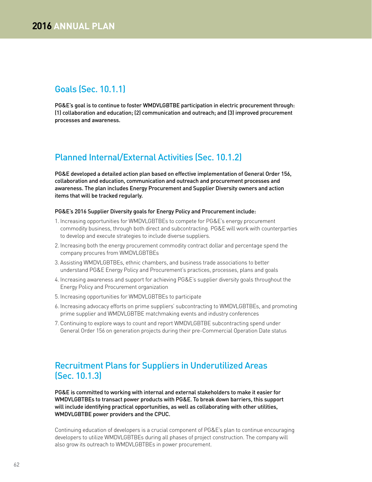# Goals (Sec. 10.1.1)

PG&E's goal is to continue to foster WMDVLGBTBE participation in electric procurement through: (1) collaboration and education; (2) communication and outreach; and (3) improved procurement processes and awareness.

# Planned Internal/External Activities (Sec. 10.1.2)

PG&E developed a detailed action plan based on effective implementation of General Order 156, collaboration and education, communication and outreach and procurement processes and awareness. The plan includes Energy Procurement and Supplier Diversity owners and action items that will be tracked regularly.

#### PG&E's 2016 Supplier Diversity goals for Energy Policy and Procurement include:

- 1. Increasing opportunities for WMDVLGBTBEs to compete for PG&E's energy procurement commodity business, through both direct and subcontracting. PG&E will work with counterparties to develop and execute strategies to include diverse suppliers.
- 2. Increasing both the energy procurement commodity contract dollar and percentage spend the company procures from WMDVLGBTBEs
- 3. Assisting WMDVLGBTBEs, ethnic chambers, and business trade associations to better understand PG&E Energy Policy and Procurement's practices, processes, plans and goals
- 4. Increasing awareness and support for achieving PG&E's supplier diversity goals throughout the Energy Policy and Procurement organization
- 5. Increasing opportunities for WMDVLGBTBEs to participate
- 6. Increasing advocacy efforts on prime suppliers' subcontracting to WMDVLGBTBEs, and promoting prime supplier and WMDVLGBTBE matchmaking events and industry conferences
- 7. Continuing to explore ways to count and report WMDVLGBTBE subcontracting spend under General Order 156 on generation projects during their pre-Commercial Operation Date status

# Recruitment Plans for Suppliers in Underutilized Areas (Sec. 10.1.3)

PG&E is committed to working with internal and external stakeholders to make it easier for WMDVLGBTBEs to transact power products with PG&E. To break down barriers, this support will include identifying practical opportunities, as well as collaborating with other utilities, WMDVLGBTBE power providers and the CPUC.

Continuing education of developers is a crucial component of PG&E's plan to continue encouraging developers to utilize WMDVLGBTBEs during all phases of project construction. The company will also grow its outreach to WMDVLGBTBEs in power procurement.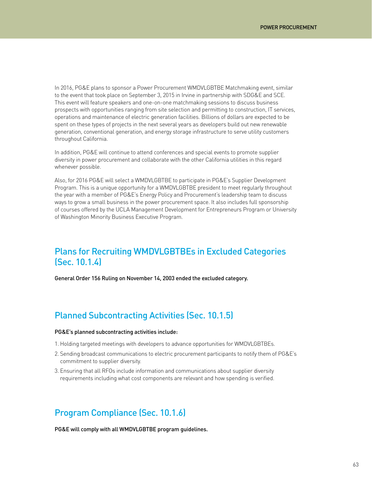In 2016, PG&E plans to sponsor a Power Procurement WMDVLGBTBE Matchmaking event, similar to the event that took place on September 3, 2015 in Irvine in partnership with SDG&E and SCE. This event will feature speakers and one-on-one matchmaking sessions to discuss business prospects with opportunities ranging from site selection and permitting to construction, IT services, operations and maintenance of electric generation facilities. Billions of dollars are expected to be spent on these types of projects in the next several years as developers build out new renewable generation, conventional generation, and energy storage infrastructure to serve utility customers throughout California.

In addition, PG&E will continue to attend conferences and special events to promote supplier diversity in power procurement and collaborate with the other California utilities in this regard whenever possible.

Also, for 2016 PG&E will select a WMDVLGBTBE to participate in PG&E's Supplier Development Program. This is a unique opportunity for a WMDVLGBTBE president to meet regularly throughout the year with a member of PG&E's Energy Policy and Procurement's leadership team to discuss ways to grow a small business in the power procurement space. It also includes full sponsorship of courses offered by the UCLA Management Development for Entrepreneurs Program or University of Washington Minority Business Executive Program.

# Plans for Recruiting WMDVLGBTBEs in Excluded Categories (Sec. 10.1.4)

General Order 156 Ruling on November 14, 2003 ended the excluded category.

### Planned Subcontracting Activities (Sec. 10.1.5)

#### PG&E's planned subcontracting activities include:

- 1. Holding targeted meetings with developers to advance opportunities for WMDVLGBTBEs.
- 2. Sending broadcast communications to electric procurement participants to notify them of PG&E's commitment to supplier diversity.
- 3. Ensuring that all RFOs include information and communications about supplier diversity requirements including what cost components are relevant and how spending is verified.

### Program Compliance (Sec. 10.1.6)

PG&E will comply with all WMDVLGBTBE program guidelines.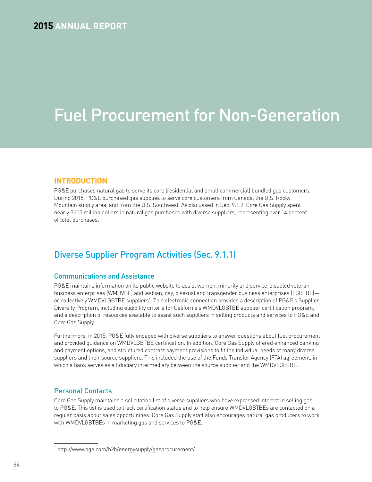# **2015** ANNUAL REPORT

# Fuel Procurement for Non-Generation

### **INTRODUCTION**

PG&E purchases natural gas to serve its core (residential and small commercial) bundled gas customers. During 2015, PG&E purchased gas supplies to serve core customers from Canada, the U.S. Rocky Mountain supply area, and from the U.S. Southwest. As discussed in Sec. 9.1.2, Core Gas Supply spent nearly \$115 million dollars in natural gas purchases with diverse suppliers, representing over 14 percent of total purchases.

# Diverse Supplier Program Activities (Sec. 9.1.1)

### Communications and Assistance

PG&E maintains information on its public website to assist women, minority and service-disabled veteran business enterprises (WMDVBE) and lesbian, gay, bisexual and transgender business enterprises (LGBTBE) or collectively WMDVLGBTBE suppliers<sup>1</sup>. This electronic connection provides a description of PG&E's Supplier Diversity Program, including eligibility criteria for California's WMDVLGBTBE supplier certification program, and a description of resources available to assist such suppliers in selling products and services to PG&E and Core Gas Supply.

Furthermore, in 2015, PG&E fully engaged with diverse suppliers to answer questions about fuel procurement and provided guidance on WMDVLGBTBE certification. In addition, Core Gas Supply offered enhanced banking and payment options, and structured contract payment provisions to fit the individual needs of many diverse suppliers and their source suppliers. This included the use of the Funds Transfer Agency (FTA) agreement, in which a bank serves as a fiduciary intermediary between the source supplier and the WMDVLGBTBE.

### Personal Contacts

Core Gas Supply maintains a solicitation list of diverse suppliers who have expressed interest in selling gas to PG&E. This list is used to track certification status and to help ensure WMDVLGBTBEs are contacted on a regular basis about sales opportunities. Core Gas Supply staff also encourages natural gas producers to work with WMDVLGBTBEs in marketing gas and services to PG&E.

<sup>1</sup> http://www.pge.com/b2b/energysupply/gasprocurement/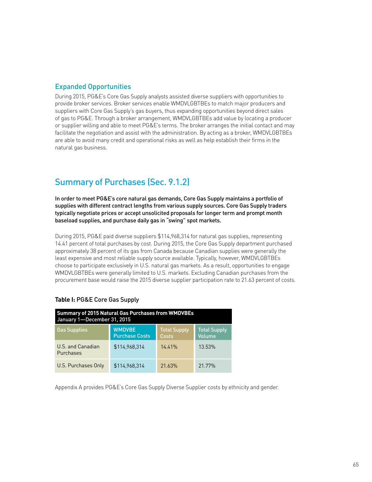### Expanded Opportunities

During 2015, PG&E's Core Gas Supply analysts assisted diverse suppliers with opportunities to provide broker services. Broker services enable WMDVLGBTBEs to match major producers and suppliers with Core Gas Supply's gas buyers, thus expanding opportunities beyond direct sales of gas to PG&E. Through a broker arrangement, WMDVLGBTBEs add value by locating a producer or supplier willing and able to meet PG&E's terms. The broker arranges the initial contact and may facilitate the negotiation and assist with the administration. By acting as a broker, WMDVLGBTBEs are able to avoid many credit and operational risks as well as help establish their firms in the natural gas business.

# Summary of Purchases (Sec. 9.1.2)

In order to meet PG&E's core natural gas demands, Core Gas Supply maintains a portfolio of supplies with different contract lengths from various supply sources. Core Gas Supply traders typically negotiate prices or accept unsolicited proposals for longer term and prompt month baseload supplies, and purchase daily gas in "swing" spot markets.

During 2015, PG&E paid diverse suppliers \$114,968,314 for natural gas supplies, representing 14.41 percent of total purchases by cost. During 2015, the Core Gas Supply department purchased approximately 38 percent of its gas from Canada because Canadian supplies were generally the least expensive and most reliable supply source available. Typically, however, WMDVLGBTBEs choose to participate exclusively in U.S. natural gas markets. As a result, opportunities to engage WMDVLGBTBEs were generally limited to U.S. markets. Excluding Canadian purchases from the procurement base would raise the 2015 diverse supplier participation rate to 21.63 percent of costs.

| <b>Summary of 2015 Natural Gas Purchases from WMDVBEs</b><br>January 1-December 31, 2015 |                                        |                              |                               |  |  |  |  |  |  |  |  |  |
|------------------------------------------------------------------------------------------|----------------------------------------|------------------------------|-------------------------------|--|--|--|--|--|--|--|--|--|
| <b>Gas Supplies</b>                                                                      | <b>WMDVBE</b><br><b>Purchase Costs</b> | <b>Total Supply</b><br>Costs | <b>Total Supply</b><br>Volume |  |  |  |  |  |  |  |  |  |
| U.S. and Canadian<br>Purchases                                                           | \$114.968.314                          | $14.41\%$                    | 13.53%                        |  |  |  |  |  |  |  |  |  |
| U.S. Purchases Only                                                                      | \$114.968.314                          | 21.63%                       | 21.77%                        |  |  |  |  |  |  |  |  |  |

### **Table I:** PG&E Core Gas Supply

Appendix A provides PG&E's Core Gas Supply Diverse Supplier costs by ethnicity and gender.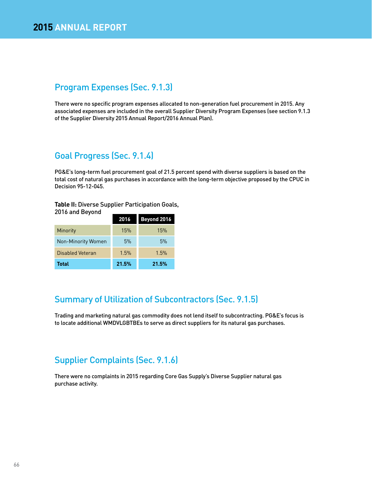# Program Expenses (Sec. 9.1.3)

There were no specific program expenses allocated to non-generation fuel procurement in 2015. Any associated expenses are included in the overall Supplier Diversity Program Expenses (see section 9.1.3 of the Supplier Diversity 2015 Annual Report/2016 Annual Plan).

# Goal Progress (Sec. 9.1.4)

PG&E's long-term fuel procurement goal of 21.5 percent spend with diverse suppliers is based on the total cost of natural gas purchases in accordance with the long-term objective proposed by the CPUC in Decision 95-12-045.

#### **Table II:** Diverse Supplier Participation Goals, 2016 and Beyond

| zu io dilu beyullu |       |             |
|--------------------|-------|-------------|
|                    | 2016  | Beyond 2016 |
| <b>Minority</b>    | 15%   | 15%         |
| Non-Minority Women | 5%    | 5%          |
| Disabled Veteran   | 1.5%  | 1.5%        |
| <b>Total</b>       | 21.5% | 21.5%       |

# Summary of Utilization of Subcontractors (Sec. 9.1.5)

Trading and marketing natural gas commodity does not lend itself to subcontracting. PG&E's focus is to locate additional WMDVLGBTBEs to serve as direct suppliers for its natural gas purchases.

# Supplier Complaints (Sec. 9.1.6)

There were no complaints in 2015 regarding Core Gas Supply's Diverse Supplier natural gas purchase activity.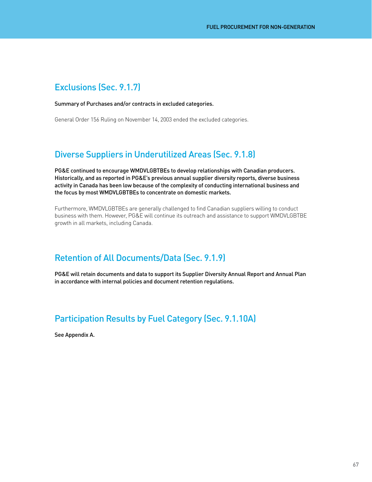# Exclusions (Sec. 9.1.7)

### Summary of Purchases and/or contracts in excluded categories.

General Order 156 Ruling on November 14, 2003 ended the excluded categories.

# Diverse Suppliers in Underutilized Areas (Sec. 9.1.8)

PG&E continued to encourage WMDVLGBTBEs to develop relationships with Canadian producers. Historically, and as reported in PG&E's previous annual supplier diversity reports, diverse business activity in Canada has been low because of the complexity of conducting international business and the focus by most WMDVLGBTBEs to concentrate on domestic markets.

Furthermore, WMDVLGBTBEs are generally challenged to find Canadian suppliers willing to conduct business with them. However, PG&E will continue its outreach and assistance to support WMDVLGBTBE growth in all markets, including Canada.

# Retention of All Documents/Data (Sec. 9.1.9)

PG&E will retain documents and data to support its Supplier Diversity Annual Report and Annual Plan in accordance with internal policies and document retention regulations.

# Participation Results by Fuel Category (Sec. 9.1.10A)

See Appendix A.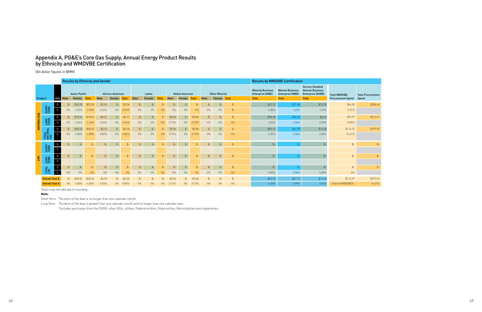# Appendix A. PG&E's Core Gas Supply, Annual Energy Product Results by Ethnicity and WMDVBE Certification

(All dollar figures in \$MM)



|             |                         | <b>Results by Ethnicity and Gender</b> |       |               |              |                  |        |                  |               |        |              |                 |                        |              |                | <b>Results by WMDVBE Certification</b> |                |                                                     |                                                  |                                                                         |                          |                          |
|-------------|-------------------------|----------------------------------------|-------|---------------|--------------|------------------|--------|------------------|---------------|--------|--------------|-----------------|------------------------|--------------|----------------|----------------------------------------|----------------|-----------------------------------------------------|--------------------------------------------------|-------------------------------------------------------------------------|--------------------------|--------------------------|
|             |                         |                                        |       | Asian-Pacific |              | African-American |        |                  | Latino        |        |              |                 | <b>Native American</b> |              |                | <b>Other Minority</b>                  |                | <b>Minority Business</b><br><b>Enterprise (MBE)</b> | <b>Women Business</b><br><b>Enterprise (WBE)</b> | Service-Disabled<br><b>Veteran Business</b><br><b>Enterprise (DVBE)</b> | <b>Total WMDVBE</b>      | <b>Total Procurement</b> |
|             | Product <sup>1</sup>    | Unit                                   | Male  | Female        | <b>Total</b> | Male             | Female | <b>Total</b>     | Male          | Female | <b>Total</b> | Male            | Female                 | <b>Total</b> | Male           | Female Total                           |                | <b>Total</b>                                        | <b>Total</b>                                     | <b>Total</b>                                                            | <b>Procurement Spend</b> | Spend                    |
|             |                         | $\frac{4}{3}$                          | $$-$  | \$20.28       | \$20.28      | \$2.04           | $$-$   | \$2.04           | $$-$          | $$-$   |              | \$-             | $$-$                   |              | ፍ-             | $$-$                                   | $$-$           | \$22.32                                             | \$11.40                                          | \$10.28                                                                 | \$44.00                  | \$286.44                 |
|             | SHORT<br>TERM           | $\%$                                   | $0\%$ | 2.54%         | 2.54%        | 0.26%            | $0\%$  | 0.26%            | $0\%$         | $0\%$  | $0\%$        | $0\%$           | $0\%$                  | 0%           | $0\%$          | $0\%$                                  | $S-$           | 2.80%                                               | 1.43%                                            | 1.29%                                                                   | 5.51%                    |                          |
|             |                         |                                        | $$-$  | \$18.04       | \$18.04      | \$4.51           | $$-$   | \$4.51           | $$-$          | $$-$   |              | \$5.84          | $$-$                   | \$5.84       | $\mathbb{S}^-$ | $$-$                                   | $S-$           | \$28.38                                             | \$36.39                                          | \$6.20                                                                  | \$70.97                  | \$511.51                 |
| NATURAL GAS | LONG<br>TERM            | $\%$                                   | $0\%$ | 2.26%         | 2.26%        | 0.56%            | $0\%$  | 0.56%            | $0\%$         | $0\%$  | 0%           | 0.73%           | $0\%$                  | 0.73%        | $0\%$          | $0\%$                                  | $0\%$          | 3.56%                                               | 4.56%                                            | 0.78%                                                                   | 8.89%                    |                          |
|             |                         |                                        | $$-$  | \$38.32       | \$38.32      | \$6.55           | $$-$   | \$6.55           | $$-$          | $$-$   |              | \$5.84          |                        | \$5.84       | $\mathcal{L}$  | $$-$                                   | $$-$           | \$50.70                                             | \$47.79                                          | \$16.48                                                                 | \$114.97                 | \$797.95                 |
|             | TOTAL<br>NATURAL<br>GAS | $\frac{9}{6}$                          | $0\%$ | 4.80%         | 4.80%        | 0.82%            | $0\%$  | 0.82%            | $0\%$         | $0\%$  | 0%           | 0.73%           | $0\%$                  | 0.73%        | $0\%$          | $0\%$                                  | $0\%$          | 6.35%                                               | 4.56%                                            | 2.06%                                                                   | 14.41%                   |                          |
|             |                         | $\frac{1}{2}$                          | $$-$  | $$-$          | $$-$         |                  |        |                  | $$-$          | $$-$   |              | . ፍ             | $$-$                   | .S-          | .S-            | $$-$                                   | $\mathsf{S}$ - | $\mathcal{L}$                                       | $$-$                                             |                                                                         | $$-$                     | $$-$                     |
|             | SHORT<br>TERM           | $\%$                                   |       |               |              |                  |        |                  |               |        |              |                 |                        |              |                |                                        |                |                                                     |                                                  |                                                                         |                          |                          |
| <b>B</b>    |                         | $\frac{4}{3}$                          | $$-$  |               | $$-$         | $$-$             |        | $S-$             | $$-$          | $$-$   | \$           | $$-$            | $$-$                   | $S-$         | $\mathbb{S}^-$ | $$-$                                   | $$-$           | $$-$                                                | $$-$                                             |                                                                         | $$-$                     | $$-$                     |
|             | LONG<br>TERM            | $\%$                                   |       |               |              |                  |        |                  |               |        |              |                 |                        |              |                |                                        |                |                                                     |                                                  |                                                                         |                          |                          |
|             | <b>TOTAL</b>            | $\, \, \mathbb{S} \,$                  | \$-   | \$-           | $$-$         |                  |        | $\mathfrak{S}$ - | $\frac{2}{2}$ | $$-$   |              | $\mathcal{S}$ - | $\mathbb{S}^-$         | \$-          | \$-            | $\mathsf{S}$ -                         | $$-$           | $\frac{4}{2}$                                       | $$-$                                             |                                                                         | $$ -$                    | $$-$                     |
|             |                         | $\%$                                   | $0\%$ | $0\%$         | $0\%$        | $0\%$            | $0\%$  | 0%               | $0\%$         | $0\%$  | 0%           | 0%              | $0\%$                  | 0%           | $0\%$          | $0\%$                                  | $0\%$          | $0.00\%$                                            | 0.00%                                            | $0.00\%$                                                                | $0\%$                    |                          |
|             | Overall Total \$        |                                        | $$-$  | \$38.32       | \$38.32      | \$6.55           | S-     | \$6.55           | \$-           |        |              | \$5.84          |                        | \$5.84       |                |                                        |                | \$50.70                                             | \$47.79                                          | \$16.48                                                                 | \$114.97                 | \$797.95                 |
|             | <b>Overall Total %</b>  |                                        | $0\%$ | 4.80%         | 4.80%        | 0.82%            |        | 0.82%            | $0\%$         | $0\%$  |              | 0.73%           | 0%                     | 0.73%        | $0\%$          | $0\%$                                  | $0\%$          | 6.35%                                               | 5.99%                                            | 2.06%                                                                   | Overall WMDVBE%:         | 14.41%                   |

Totals may not add due to rounding.

### **Note:**

Short Term The term of the deal is no longer than one calendar month.

Long Term The term of the deal is greater than one calendar month and no longer than one calendar year.

1 Excludes purchases from the CAISO, other IOUs, utilities, Federal entities, State entities, Municipalities and cooperatives.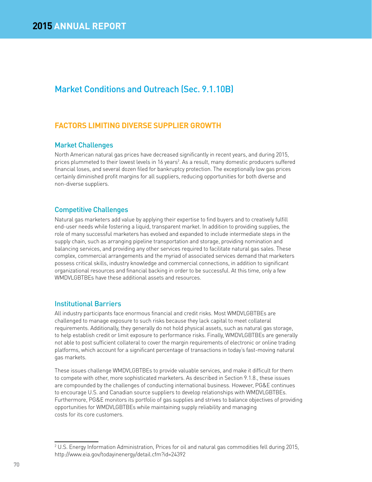# Market Conditions and Outreach (Sec. 9.1.10B)

### **FACTORS LIMITING DIVERSE SUPPLIER GROWTH**

### Market Challenges

North American natural gas prices have decreased significantly in recent years, and during 2015, prices plummeted to their lowest levels in 16 years<sup>2</sup>. As a result, many domestic producers suffered financial loses, and several dozen filed for bankruptcy protection. The exceptionally low gas prices certainly diminished profit margins for all suppliers, reducing opportunities for both diverse and non-diverse suppliers.

### Competitive Challenges

Natural gas marketers add value by applying their expertise to find buyers and to creatively fulfill end-user needs while fostering a liquid, transparent market. In addition to providing supplies, the role of many successful marketers has evolved and expanded to include intermediate steps in the supply chain, such as arranging pipeline transportation and storage, providing nomination and balancing services, and providing any other services required to facilitate natural gas sales. These complex, commercial arrangements and the myriad of associated services demand that marketers possess critical skills, industry knowledge and commercial connections, in addition to significant organizational resources and financial backing in order to be successful. At this time, only a few WMDVLGBTBEs have these additional assets and resources.

### Institutional Barriers

All industry participants face enormous financial and credit risks. Most WMDVLGBTBEs are challenged to manage exposure to such risks because they lack capital to meet collateral requirements. Additionally, they generally do not hold physical assets, such as natural gas storage, to help establish credit or limit exposure to performance risks. Finally, WMDVLGBTBEs are generally not able to post sufficient collateral to cover the margin requirements of electronic or online trading platforms, which account for a significant percentage of transactions in today's fast-moving natural gas markets.

These issues challenge WMDVLGBTBEs to provide valuable services, and make it difficult for them to compete with other, more sophisticated marketers. As described in Section 9.1.8., these issues are compounded by the challenges of conducting international business. However, PG&E continues to encourage U.S. and Canadian source suppliers to develop relationships with WMDVLGBTBEs. Furthermore, PG&E monitors its portfolio of gas supplies and strives to balance objectives of providing opportunities for WMDVLGBTBEs while maintaining supply reliability and managing costs for its core customers.

<sup>2</sup> U.S. Energy Information Administration, Prices for oil and natural gas commodities fell during 2015, http://www.eia.gov/todayinenergy/detail.cfm?id=24392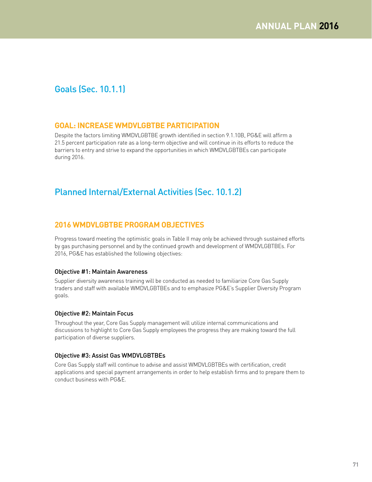# Goals (Sec. 10.1.1)

### **GOAL: INCREASE WMDVLGBTBE PARTICIPATION**

Despite the factors limiting WMDVLGBTBE growth identified in section 9.1.10B, PG&E will affirm a 21.5 percent participation rate as a long-term objective and will continue in its efforts to reduce the barriers to entry and strive to expand the opportunities in which WMDVLGBTBEs can participate during 2016.

# Planned Internal/External Activities (Sec. 10.1.2)

### **2016 WMDVLGBTBE PROGRAM OBJECTIVES**

Progress toward meeting the optimistic goals in Table II may only be achieved through sustained efforts by gas purchasing personnel and by the continued growth and development of WMDVLGBTBEs. For 2016, PG&E has established the following objectives:

### Objective #1: Maintain Awareness

Supplier diversity awareness training will be conducted as needed to familiarize Core Gas Supply traders and staff with available WMDVLGBTBEs and to emphasize PG&E's Supplier Diversity Program goals.

### Objective #2: Maintain Focus

Throughout the year, Core Gas Supply management will utilize internal communications and discussions to highlight to Core Gas Supply employees the progress they are making toward the full participation of diverse suppliers.

### Objective #3: Assist Gas WMDVLGBTBEs

Core Gas Supply staff will continue to advise and assist WMDVLGBTBEs with certification, credit applications and special payment arrangements in order to help establish firms and to prepare them to conduct business with PG&E.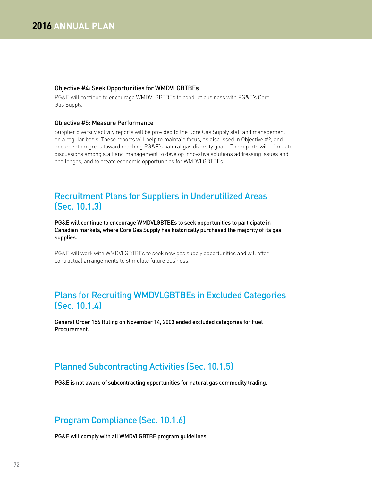#### Objective #4: Seek Opportunities for WMDVLGBTBEs

PG&E will continue to encourage WMDVLGBTBEs to conduct business with PG&E's Core Gas Supply.

#### Objective #5: Measure Performance

Supplier diversity activity reports will be provided to the Core Gas Supply staff and management on a regular basis. These reports will help to maintain focus, as discussed in Objective #2, and document progress toward reaching PG&E's natural gas diversity goals. The reports will stimulate discussions among staff and management to develop innovative solutions addressing issues and challenges, and to create economic opportunities for WMDVLGBTBEs.

# Recruitment Plans for Suppliers in Underutilized Areas (Sec. 10.1.3)

PG&E will continue to encourage WMDVLGBTBEs to seek opportunities to participate in Canadian markets, where Core Gas Supply has historically purchased the majority of its gas supplies.

PG&E will work with WMDVLGBTBEs to seek new gas supply opportunities and will offer contractual arrangements to stimulate future business.

# Plans for Recruiting WMDVLGBTBEs in Excluded Categories (Sec. 10.1.4)

General Order 156 Ruling on November 14, 2003 ended excluded categories for Fuel Procurement.

# Planned Subcontracting Activities (Sec. 10.1.5)

PG&E is not aware of subcontracting opportunities for natural gas commodity trading.

# Program Compliance (Sec. 10.1.6)

PG&E will comply with all WMDVLGBTBE program guidelines.